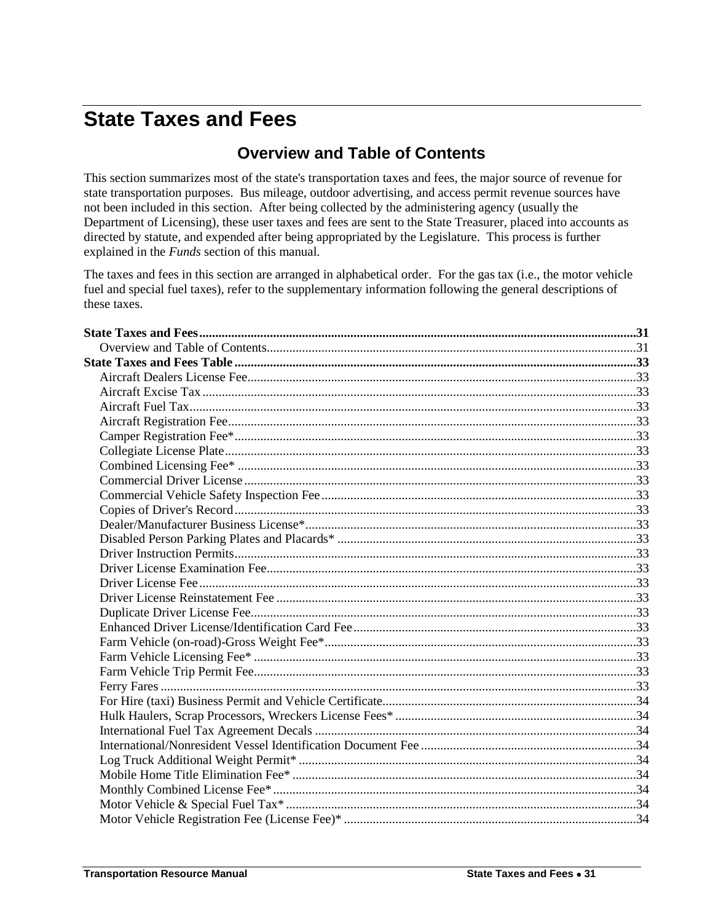## <span id="page-0-1"></span><span id="page-0-0"></span>**State Taxes and Fees**

## **Overview and Table of Contents**

This section summarizes most of the state's transportation taxes and fees, the major source of revenue for state transportation purposes. Bus mileage, outdoor advertising, and access permit revenue sources have not been included in this section. After being collected by the administering agency (usually the Department of Licensing), these user taxes and fees are sent to the State Treasurer, placed into accounts as directed by statute, and expended after being appropriated by the Legislature. This process is further explained in the *Funds* section of this manual.

The taxes and fees in this section are arranged in alphabetical order. For the gas tax (i.e., the motor vehicle fuel and special fuel taxes), refer to the supplementary information following the general descriptions of these taxes.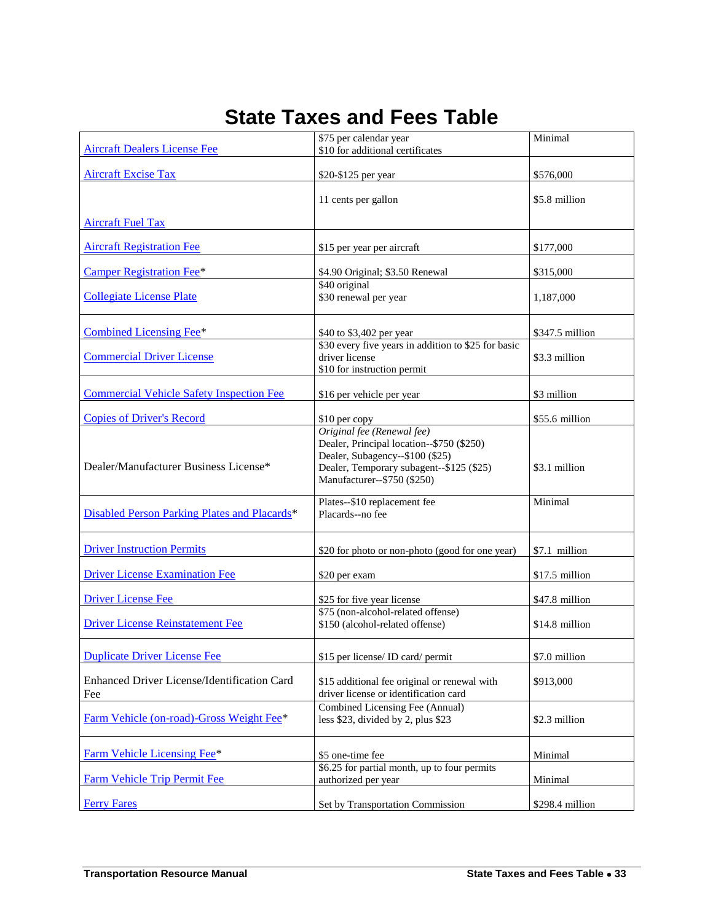| <b>State Taxes and Fees Table</b> |  |  |
|-----------------------------------|--|--|
|-----------------------------------|--|--|

<span id="page-2-22"></span><span id="page-2-21"></span><span id="page-2-20"></span><span id="page-2-19"></span><span id="page-2-18"></span><span id="page-2-17"></span><span id="page-2-16"></span><span id="page-2-15"></span><span id="page-2-14"></span><span id="page-2-13"></span><span id="page-2-12"></span><span id="page-2-11"></span><span id="page-2-10"></span><span id="page-2-9"></span><span id="page-2-8"></span><span id="page-2-7"></span><span id="page-2-6"></span><span id="page-2-5"></span><span id="page-2-4"></span><span id="page-2-3"></span><span id="page-2-2"></span><span id="page-2-1"></span><span id="page-2-0"></span>

|                                                 | \$75 per calendar year                                                | Minimal         |
|-------------------------------------------------|-----------------------------------------------------------------------|-----------------|
| <b>Aircraft Dealers License Fee</b>             | \$10 for additional certificates                                      |                 |
| <b>Aircraft Excise Tax</b>                      |                                                                       | \$576,000       |
|                                                 | \$20-\$125 per year                                                   |                 |
|                                                 | 11 cents per gallon                                                   | \$5.8 million   |
|                                                 |                                                                       |                 |
| <b>Aircraft Fuel Tax</b>                        |                                                                       |                 |
| <b>Aircraft Registration Fee</b>                | \$15 per year per aircraft                                            | \$177,000       |
|                                                 |                                                                       |                 |
| <b>Camper Registration Fee*</b>                 | \$4.90 Original; \$3.50 Renewal                                       | \$315,000       |
|                                                 | \$40 original                                                         |                 |
| <b>Collegiate License Plate</b>                 | \$30 renewal per year                                                 | 1,187,000       |
|                                                 |                                                                       |                 |
| Combined Licensing Fee*                         | \$40 to \$3,402 per year                                              | \$347.5 million |
| <b>Commercial Driver License</b>                | \$30 every five years in addition to \$25 for basic<br>driver license | \$3.3 million   |
|                                                 | \$10 for instruction permit                                           |                 |
|                                                 |                                                                       |                 |
| <b>Commercial Vehicle Safety Inspection Fee</b> | \$16 per vehicle per year                                             | \$3 million     |
| <b>Copies of Driver's Record</b>                |                                                                       | \$55.6 million  |
|                                                 | \$10 per copy<br>Original fee (Renewal fee)                           |                 |
|                                                 | Dealer, Principal location--\$750 (\$250)                             |                 |
|                                                 | Dealer, Subagency--\$100 (\$25)                                       |                 |
| Dealer/Manufacturer Business License*           | Dealer, Temporary subagent--\$125 (\$25)                              | \$3.1 million   |
|                                                 | Manufacturer--\$750 (\$250)                                           |                 |
|                                                 | Plates--\$10 replacement fee                                          | Minimal         |
| Disabled Person Parking Plates and Placards*    | Placards--no fee                                                      |                 |
|                                                 |                                                                       |                 |
| <b>Driver Instruction Permits</b>               | \$20 for photo or non-photo (good for one year)                       | \$7.1 million   |
|                                                 |                                                                       |                 |
| <b>Driver License Examination Fee</b>           | \$20 per exam                                                         | \$17.5 million  |
| <b>Driver License Fee</b>                       | \$25 for five year license                                            | \$47.8 million  |
|                                                 | \$75 (non-alcohol-related offense)                                    |                 |
| <b>Driver License Reinstatement Fee</b>         | \$150 (alcohol-related offense)                                       | \$14.8 million  |
|                                                 |                                                                       |                 |
| <b>Duplicate Driver License Fee</b>             | \$15 per license/ ID card/ permit                                     | \$7.0 million   |
|                                                 |                                                                       |                 |
| Enhanced Driver License/Identification Card     | \$15 additional fee original or renewal with                          | \$913,000       |
| Fee                                             | driver license or identification card                                 |                 |
|                                                 | Combined Licensing Fee (Annual)                                       |                 |
| Farm Vehicle (on-road)-Gross Weight Fee*        | less \$23, divided by 2, plus \$23                                    | \$2.3 million   |
|                                                 |                                                                       |                 |
| Farm Vehicle Licensing Fee*                     | \$5 one-time fee                                                      | Minimal         |
|                                                 | \$6.25 for partial month, up to four permits                          |                 |
| <b>Farm Vehicle Trip Permit Fee</b>             | authorized per year                                                   | Minimal         |
| <b>Ferry Fares</b>                              | Set by Transportation Commission                                      | \$298.4 million |
|                                                 |                                                                       |                 |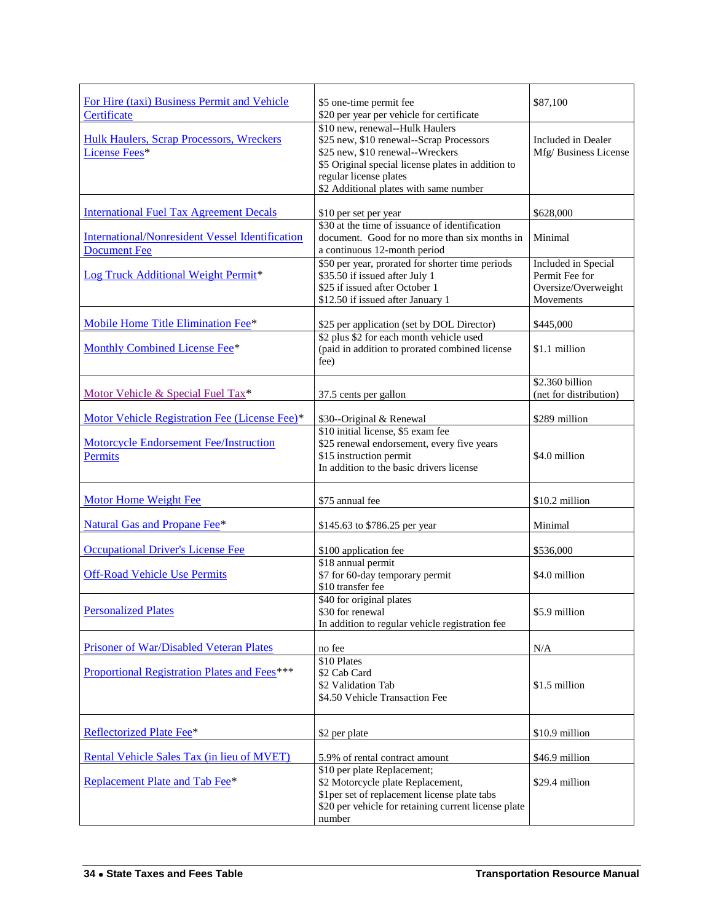<span id="page-3-19"></span><span id="page-3-18"></span><span id="page-3-17"></span><span id="page-3-16"></span><span id="page-3-15"></span><span id="page-3-14"></span><span id="page-3-13"></span><span id="page-3-12"></span><span id="page-3-11"></span><span id="page-3-10"></span><span id="page-3-9"></span><span id="page-3-8"></span><span id="page-3-7"></span><span id="page-3-6"></span><span id="page-3-5"></span><span id="page-3-4"></span><span id="page-3-3"></span><span id="page-3-2"></span><span id="page-3-1"></span><span id="page-3-0"></span>

| For Hire (taxi) Business Permit and Vehicle<br>Certificate                    | \$5 one-time permit fee<br>\$20 per year per vehicle for certificate                                                                                                                                                                      | \$87,100                                                                  |
|-------------------------------------------------------------------------------|-------------------------------------------------------------------------------------------------------------------------------------------------------------------------------------------------------------------------------------------|---------------------------------------------------------------------------|
| <b>Hulk Haulers, Scrap Processors, Wreckers</b><br>License Fees*              | \$10 new, renewal--Hulk Haulers<br>\$25 new, \$10 renewal--Scrap Processors<br>\$25 new, \$10 renewal--Wreckers<br>\$5 Original special license plates in addition to<br>regular license plates<br>\$2 Additional plates with same number | Included in Dealer<br>Mfg/Business License                                |
| <b>International Fuel Tax Agreement Decals</b>                                | \$10 per set per year                                                                                                                                                                                                                     | \$628,000                                                                 |
| <b>International/Nonresident Vessel Identification</b><br><b>Document Fee</b> | \$30 at the time of issuance of identification<br>document. Good for no more than six months in<br>a continuous 12-month period                                                                                                           | Minimal                                                                   |
| Log Truck Additional Weight Permit*                                           | \$50 per year, prorated for shorter time periods<br>\$35.50 if issued after July 1<br>\$25 if issued after October 1<br>\$12.50 if issued after January 1                                                                                 | Included in Special<br>Permit Fee for<br>Oversize/Overweight<br>Movements |
| Mobile Home Title Elimination Fee*                                            | \$25 per application (set by DOL Director)                                                                                                                                                                                                | \$445,000                                                                 |
| <b>Monthly Combined License Fee*</b>                                          | \$2 plus \$2 for each month vehicle used<br>(paid in addition to prorated combined license<br>fee)                                                                                                                                        | \$1.1 million                                                             |
| Motor Vehicle & Special Fuel Tax*                                             | 37.5 cents per gallon                                                                                                                                                                                                                     | \$2.360 billion<br>(net for distribution)                                 |
| Motor Vehicle Registration Fee (License Fee)*                                 | \$30--Original & Renewal                                                                                                                                                                                                                  | \$289 million                                                             |
| <b>Motorcycle Endorsement Fee/Instruction</b><br>Permits                      | \$10 initial license, \$5 exam fee<br>\$25 renewal endorsement, every five years<br>\$15 instruction permit<br>In addition to the basic drivers license                                                                                   | \$4.0 million                                                             |
| <b>Motor Home Weight Fee</b>                                                  | \$75 annual fee                                                                                                                                                                                                                           | \$10.2 million                                                            |
| <b>Natural Gas and Propane Fee*</b>                                           | \$145.63 to \$786.25 per year                                                                                                                                                                                                             | Minimal                                                                   |
| <b>Occupational Driver's License Fee</b>                                      | \$100 application fee                                                                                                                                                                                                                     | \$536,000                                                                 |
| <b>Off-Road Vehicle Use Permits</b>                                           | \$18 annual permit<br>\$7 for 60-day temporary permit<br>\$10 transfer fee                                                                                                                                                                | \$4.0 million                                                             |
| <b>Personalized Plates</b>                                                    | \$40 for original plates<br>\$30 for renewal<br>In addition to regular vehicle registration fee                                                                                                                                           | \$5.9 million                                                             |
| Prisoner of War/Disabled Veteran Plates                                       | no fee                                                                                                                                                                                                                                    | N/A                                                                       |
| Proportional Registration Plates and Fees***                                  | \$10 Plates<br>\$2 Cab Card<br>\$2 Validation Tab<br>\$4.50 Vehicle Transaction Fee                                                                                                                                                       | \$1.5 million                                                             |
| Reflectorized Plate Fee*                                                      | \$2 per plate                                                                                                                                                                                                                             | \$10.9 million                                                            |
| Rental Vehicle Sales Tax (in lieu of MVET)                                    | 5.9% of rental contract amount                                                                                                                                                                                                            | \$46.9 million                                                            |
| Replacement Plate and Tab Fee*                                                | \$10 per plate Replacement;<br>\$2 Motorcycle plate Replacement,<br>\$1 per set of replacement license plate tabs<br>\$20 per vehicle for retaining current license plate<br>number                                                       | \$29.4 million                                                            |
|                                                                               |                                                                                                                                                                                                                                           |                                                                           |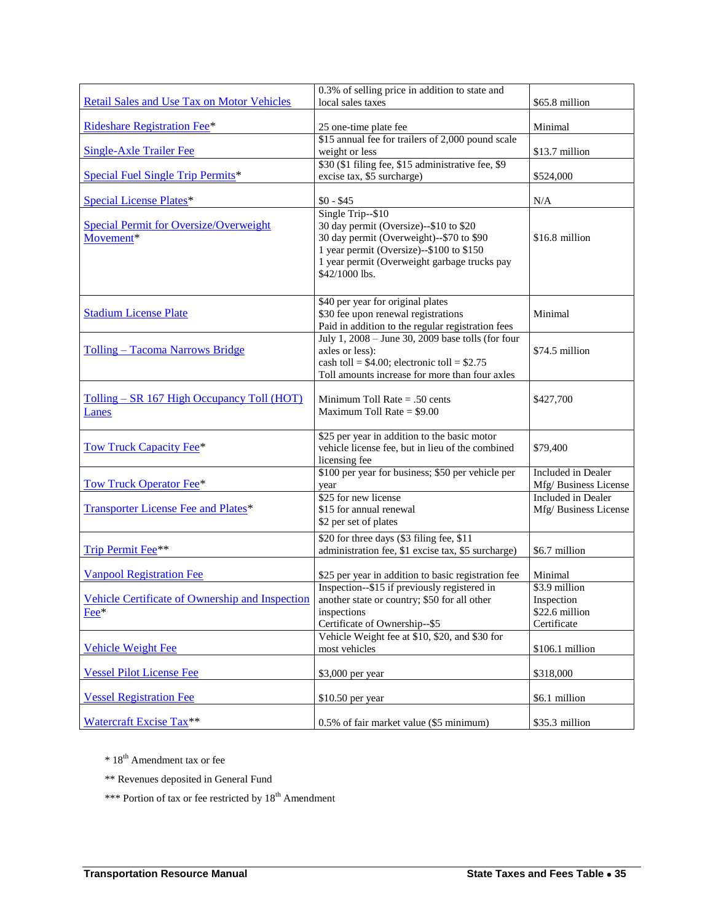<span id="page-4-8"></span><span id="page-4-7"></span><span id="page-4-6"></span><span id="page-4-5"></span><span id="page-4-4"></span><span id="page-4-3"></span><span id="page-4-2"></span><span id="page-4-1"></span><span id="page-4-0"></span>

| Retail Sales and Use Tax on Motor Vehicles                 | 0.3% of selling price in addition to state and<br>local sales taxes                                                                                                                                                   | \$65.8 million                                               |
|------------------------------------------------------------|-----------------------------------------------------------------------------------------------------------------------------------------------------------------------------------------------------------------------|--------------------------------------------------------------|
| <b>Rideshare Registration Fee*</b>                         | 25 one-time plate fee                                                                                                                                                                                                 | Minimal                                                      |
| <b>Single-Axle Trailer Fee</b>                             | \$15 annual fee for trailers of 2,000 pound scale<br>weight or less                                                                                                                                                   | \$13.7 million                                               |
| Special Fuel Single Trip Permits*                          | \$30 (\$1 filing fee, \$15 administrative fee, \$9<br>excise tax, \$5 surcharge)                                                                                                                                      | \$524,000                                                    |
| <b>Special License Plates*</b>                             | $$0 - $45$                                                                                                                                                                                                            | N/A                                                          |
| <b>Special Permit for Oversize/Overweight</b><br>Movement* | Single Trip--\$10<br>30 day permit (Oversize)--\$10 to \$20<br>30 day permit (Overweight)--\$70 to \$90<br>1 year permit (Oversize)--\$100 to \$150<br>1 year permit (Overweight garbage trucks pay<br>\$42/1000 lbs. | \$16.8 million                                               |
| <b>Stadium License Plate</b>                               | \$40 per year for original plates<br>\$30 fee upon renewal registrations<br>Paid in addition to the regular registration fees                                                                                         | Minimal                                                      |
| Tolling – Tacoma Narrows Bridge                            | July 1, 2008 - June 30, 2009 base tolls (for four<br>axles or less):<br>cash toll = $$4.00$ ; electronic toll = $$2.75$<br>Toll amounts increase for more than four axles                                             | \$74.5 million                                               |
| Tolling – SR 167 High Occupancy Toll (HOT)<br>Lanes        | Minimum Toll Rate $= .50$ cents<br>Maximum Toll Rate = $$9.00$                                                                                                                                                        | \$427,700                                                    |
| <b>Tow Truck Capacity Fee*</b>                             | \$25 per year in addition to the basic motor<br>vehicle license fee, but in lieu of the combined<br>licensing fee                                                                                                     | \$79,400                                                     |
| Tow Truck Operator Fee*                                    | \$100 per year for business; \$50 per vehicle per<br>year                                                                                                                                                             | Included in Dealer<br>Mfg/ Business License                  |
| <b>Transporter License Fee and Plates*</b>                 | \$25 for new license<br>\$15 for annual renewal<br>\$2 per set of plates                                                                                                                                              | Included in Dealer<br>Mfg/Business License                   |
| Trip Permit Fee**                                          | \$20 for three days (\$3 filing fee, \$11<br>administration fee, \$1 excise tax, \$5 surcharge)                                                                                                                       | \$6.7 million                                                |
| <b>Vanpool Registration Fee</b>                            | \$25 per year in addition to basic registration fee                                                                                                                                                                   | Minimal                                                      |
| Vehicle Certificate of Ownership and Inspection<br>Fee*    | Inspection--\$15 if previously registered in<br>another state or country; \$50 for all other<br>inspections<br>Certificate of Ownership--\$5                                                                          | \$3.9 million<br>Inspection<br>\$22.6 million<br>Certificate |
| <b>Vehicle Weight Fee</b>                                  | Vehicle Weight fee at \$10, \$20, and \$30 for<br>most vehicles                                                                                                                                                       | \$106.1 million                                              |
| <b>Vessel Pilot License Fee</b>                            | \$3,000 per year                                                                                                                                                                                                      | \$318,000                                                    |
| <b>Vessel Registration Fee</b>                             | \$10.50 per year                                                                                                                                                                                                      | \$6.1 million                                                |
| Watercraft Excise Tax**                                    | 0.5% of fair market value (\$5 minimum)                                                                                                                                                                               | \$35.3 million                                               |

<span id="page-4-18"></span><span id="page-4-17"></span><span id="page-4-16"></span><span id="page-4-15"></span><span id="page-4-14"></span><span id="page-4-13"></span><span id="page-4-12"></span><span id="page-4-11"></span><span id="page-4-10"></span><span id="page-4-9"></span> $\,^*$  18<sup>th</sup> Amendment tax or fee

\*\* Revenues deposited in General Fund

\*\*\* Portion of tax or fee restricted by  $18^{th}$  Amendment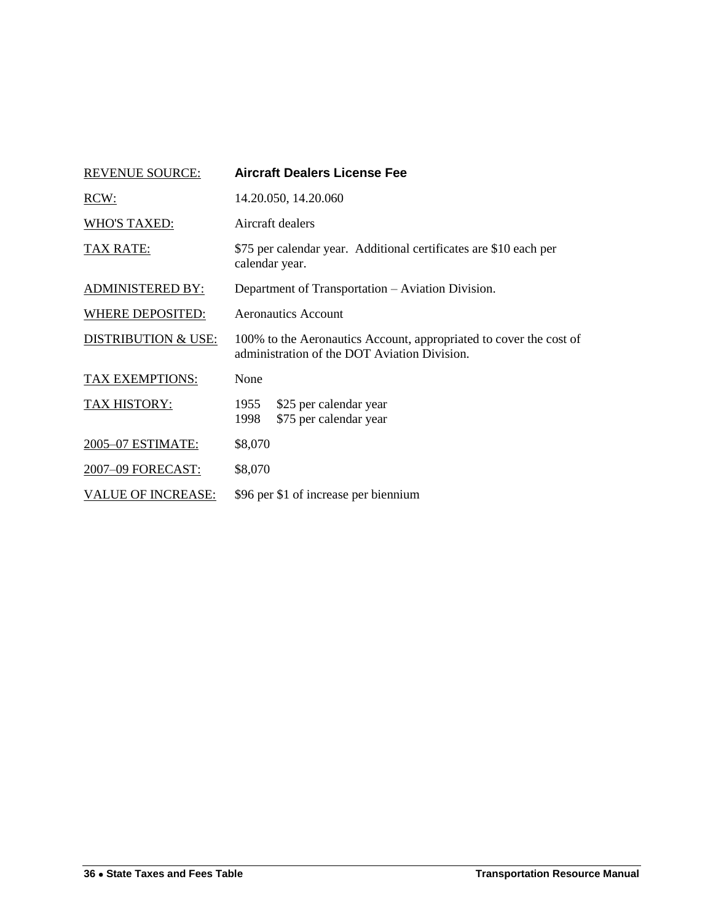<span id="page-5-0"></span>

| <b>REVENUE SOURCE:</b>         | <b>Aircraft Dealers License Fee</b>                                                                                |  |  |
|--------------------------------|--------------------------------------------------------------------------------------------------------------------|--|--|
| RCW:                           | 14.20.050, 14.20.060                                                                                               |  |  |
| <b>WHO'S TAXED:</b>            | Aircraft dealers                                                                                                   |  |  |
| TAX RATE:                      | \$75 per calendar year. Additional certificates are \$10 each per<br>calendar year.                                |  |  |
| <b>ADMINISTERED BY:</b>        | Department of Transportation – Aviation Division.                                                                  |  |  |
| <b>WHERE DEPOSITED:</b>        | <b>Aeronautics Account</b>                                                                                         |  |  |
| <b>DISTRIBUTION &amp; USE:</b> | 100% to the Aeronautics Account, appropriated to cover the cost of<br>administration of the DOT Aviation Division. |  |  |
| <b>TAX EXEMPTIONS:</b>         | None                                                                                                               |  |  |
| <b>TAX HISTORY:</b>            | \$25 per calendar year<br>1955<br>\$75 per calendar year<br>1998                                                   |  |  |
| 2005-07 ESTIMATE:              | \$8,070                                                                                                            |  |  |
| 2007-09 FORECAST:              | \$8,070                                                                                                            |  |  |
| <b>VALUE OF INCREASE:</b>      | \$96 per \$1 of increase per biennium                                                                              |  |  |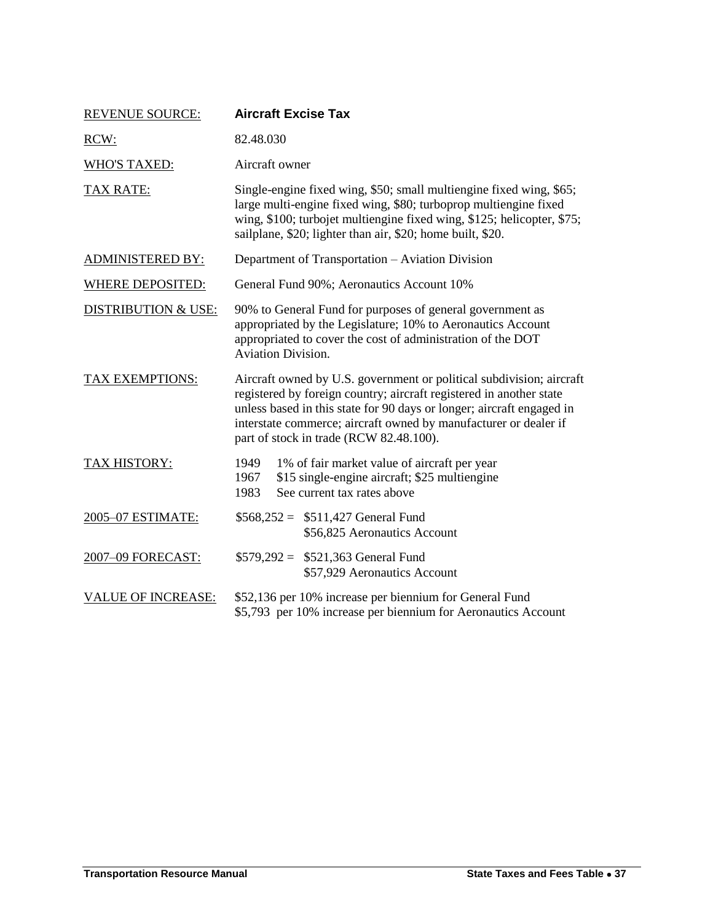<span id="page-6-0"></span>

| <b>REVENUE SOURCE:</b>         | <b>Aircraft Excise Tax</b>                                                                                                                                                                                                                                                                                                          |  |  |
|--------------------------------|-------------------------------------------------------------------------------------------------------------------------------------------------------------------------------------------------------------------------------------------------------------------------------------------------------------------------------------|--|--|
| RCW:                           | 82.48.030                                                                                                                                                                                                                                                                                                                           |  |  |
| <b>WHO'S TAXED:</b>            | Aircraft owner                                                                                                                                                                                                                                                                                                                      |  |  |
| TAX RATE:                      | Single-engine fixed wing, \$50; small multiengine fixed wing, \$65;<br>large multi-engine fixed wing, \$80; turboprop multiengine fixed<br>wing, \$100; turbojet multiengine fixed wing, \$125; helicopter, \$75;<br>sailplane, \$20; lighter than air, \$20; home built, \$20.                                                     |  |  |
| <b>ADMINISTERED BY:</b>        | Department of Transportation - Aviation Division                                                                                                                                                                                                                                                                                    |  |  |
| <b>WHERE DEPOSITED:</b>        | General Fund 90%; Aeronautics Account 10%                                                                                                                                                                                                                                                                                           |  |  |
| <b>DISTRIBUTION &amp; USE:</b> | 90% to General Fund for purposes of general government as<br>appropriated by the Legislature; 10% to Aeronautics Account<br>appropriated to cover the cost of administration of the DOT<br><b>Aviation Division.</b>                                                                                                                |  |  |
| <b>TAX EXEMPTIONS:</b>         | Aircraft owned by U.S. government or political subdivision; aircraft<br>registered by foreign country; aircraft registered in another state<br>unless based in this state for 90 days or longer; aircraft engaged in<br>interstate commerce; aircraft owned by manufacturer or dealer if<br>part of stock in trade (RCW 82.48.100). |  |  |
| TAX HISTORY:                   | 1949<br>1% of fair market value of aircraft per year<br>\$15 single-engine aircraft; \$25 multiengine<br>1967<br>See current tax rates above<br>1983                                                                                                                                                                                |  |  |
| 2005-07 ESTIMATE:              | $$568,252 = $511,427$ General Fund<br>\$56,825 Aeronautics Account                                                                                                                                                                                                                                                                  |  |  |
| 2007-09 FORECAST:              | $$579,292 = $521,363$ General Fund<br>\$57,929 Aeronautics Account                                                                                                                                                                                                                                                                  |  |  |
| <b>VALUE OF INCREASE:</b>      | \$52,136 per 10% increase per biennium for General Fund<br>\$5,793 per 10% increase per biennium for Aeronautics Account                                                                                                                                                                                                            |  |  |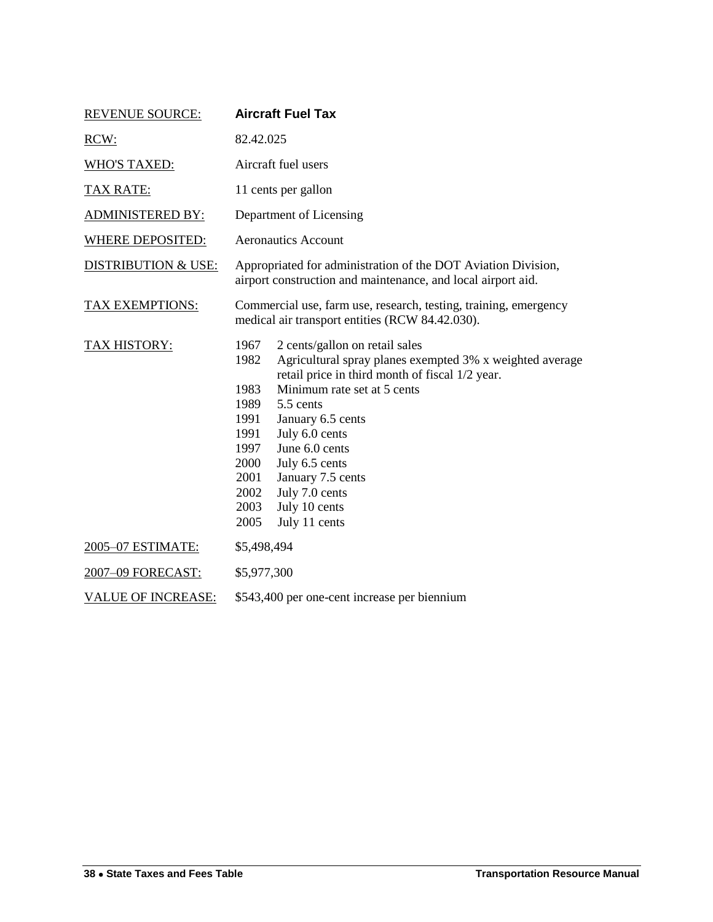<span id="page-7-0"></span>

| <b>REVENUE SOURCE:</b>         | <b>Aircraft Fuel Tax</b>                                                                                                                                                                                                                                                                                                                                                                                                                      |  |  |
|--------------------------------|-----------------------------------------------------------------------------------------------------------------------------------------------------------------------------------------------------------------------------------------------------------------------------------------------------------------------------------------------------------------------------------------------------------------------------------------------|--|--|
| RCW:                           | 82.42.025                                                                                                                                                                                                                                                                                                                                                                                                                                     |  |  |
| <b>WHO'S TAXED:</b>            | Aircraft fuel users                                                                                                                                                                                                                                                                                                                                                                                                                           |  |  |
| <b>TAX RATE:</b>               | 11 cents per gallon                                                                                                                                                                                                                                                                                                                                                                                                                           |  |  |
| <b>ADMINISTERED BY:</b>        | Department of Licensing                                                                                                                                                                                                                                                                                                                                                                                                                       |  |  |
| <b>WHERE DEPOSITED:</b>        | <b>Aeronautics Account</b>                                                                                                                                                                                                                                                                                                                                                                                                                    |  |  |
| <b>DISTRIBUTION &amp; USE:</b> | Appropriated for administration of the DOT Aviation Division,<br>airport construction and maintenance, and local airport aid.                                                                                                                                                                                                                                                                                                                 |  |  |
| <b>TAX EXEMPTIONS:</b>         | Commercial use, farm use, research, testing, training, emergency<br>medical air transport entities (RCW 84.42.030).                                                                                                                                                                                                                                                                                                                           |  |  |
| TAX HISTORY:                   | 2 cents/gallon on retail sales<br>1967<br>Agricultural spray planes exempted 3% x weighted average<br>1982<br>retail price in third month of fiscal 1/2 year.<br>Minimum rate set at 5 cents<br>1983<br>5.5 cents<br>1989<br>1991<br>January 6.5 cents<br>July 6.0 cents<br>1991<br>June 6.0 cents<br>1997<br>2000<br>July 6.5 cents<br>2001<br>January 7.5 cents<br>July 7.0 cents<br>2002<br>2003<br>July 10 cents<br>July 11 cents<br>2005 |  |  |
| 2005-07 ESTIMATE:              | \$5,498,494                                                                                                                                                                                                                                                                                                                                                                                                                                   |  |  |
| 2007-09 FORECAST:              | \$5,977,300                                                                                                                                                                                                                                                                                                                                                                                                                                   |  |  |
| <b>VALUE OF INCREASE:</b>      | \$543,400 per one-cent increase per biennium                                                                                                                                                                                                                                                                                                                                                                                                  |  |  |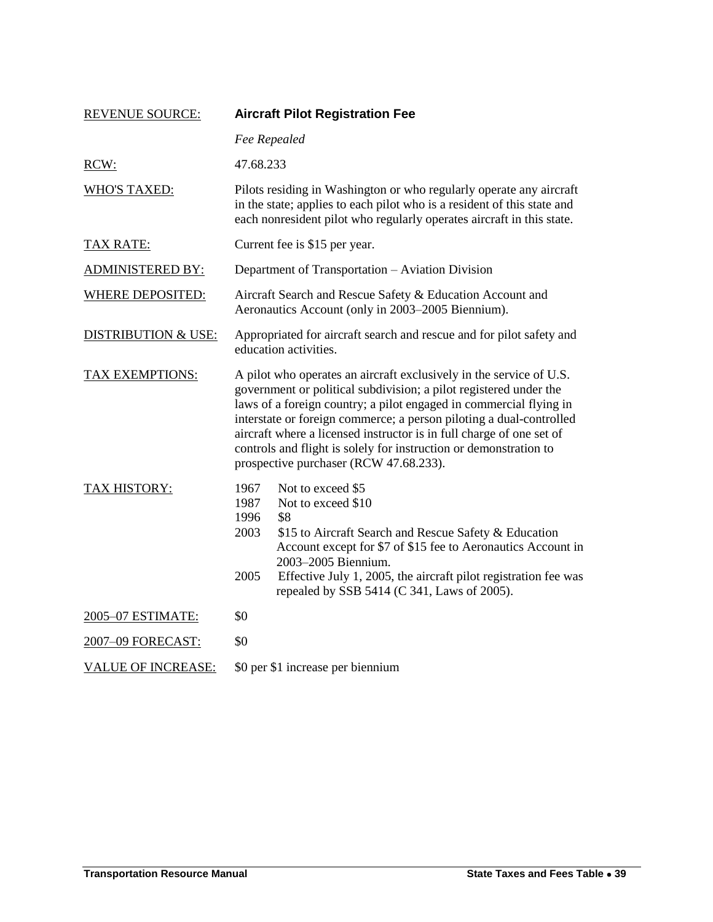| <b>REVENUE SOURCE:</b>         | <b>Aircraft Pilot Registration Fee</b>                                                                                                                                                                                                                                                                                                                                                                                                                                       |  |
|--------------------------------|------------------------------------------------------------------------------------------------------------------------------------------------------------------------------------------------------------------------------------------------------------------------------------------------------------------------------------------------------------------------------------------------------------------------------------------------------------------------------|--|
|                                | Fee Repealed                                                                                                                                                                                                                                                                                                                                                                                                                                                                 |  |
| RCW:                           | 47.68.233                                                                                                                                                                                                                                                                                                                                                                                                                                                                    |  |
| <b>WHO'S TAXED:</b>            | Pilots residing in Washington or who regularly operate any aircraft<br>in the state; applies to each pilot who is a resident of this state and<br>each nonresident pilot who regularly operates aircraft in this state.                                                                                                                                                                                                                                                      |  |
| <b>TAX RATE:</b>               | Current fee is \$15 per year.                                                                                                                                                                                                                                                                                                                                                                                                                                                |  |
| <b>ADMINISTERED BY:</b>        | Department of Transportation - Aviation Division                                                                                                                                                                                                                                                                                                                                                                                                                             |  |
| <b>WHERE DEPOSITED:</b>        | Aircraft Search and Rescue Safety & Education Account and<br>Aeronautics Account (only in 2003–2005 Biennium).                                                                                                                                                                                                                                                                                                                                                               |  |
| <b>DISTRIBUTION &amp; USE:</b> | Appropriated for aircraft search and rescue and for pilot safety and<br>education activities.                                                                                                                                                                                                                                                                                                                                                                                |  |
| <b>TAX EXEMPTIONS:</b>         | A pilot who operates an aircraft exclusively in the service of U.S.<br>government or political subdivision; a pilot registered under the<br>laws of a foreign country; a pilot engaged in commercial flying in<br>interstate or foreign commerce; a person piloting a dual-controlled<br>aircraft where a licensed instructor is in full charge of one set of<br>controls and flight is solely for instruction or demonstration to<br>prospective purchaser (RCW 47.68.233). |  |
| <b>TAX HISTORY:</b>            | 1967<br>Not to exceed \$5<br>1987<br>Not to exceed \$10<br>1996<br>\$8<br>2003<br>\$15 to Aircraft Search and Rescue Safety & Education<br>Account except for \$7 of \$15 fee to Aeronautics Account in<br>2003-2005 Biennium.<br>2005<br>Effective July 1, 2005, the aircraft pilot registration fee was<br>repealed by SSB 5414 (C 341, Laws of 2005).                                                                                                                     |  |
| 2005-07 ESTIMATE:              | \$0                                                                                                                                                                                                                                                                                                                                                                                                                                                                          |  |
| 2007-09 FORECAST:              | \$0                                                                                                                                                                                                                                                                                                                                                                                                                                                                          |  |
| <b>VALUE OF INCREASE:</b>      | \$0 per \$1 increase per biennium                                                                                                                                                                                                                                                                                                                                                                                                                                            |  |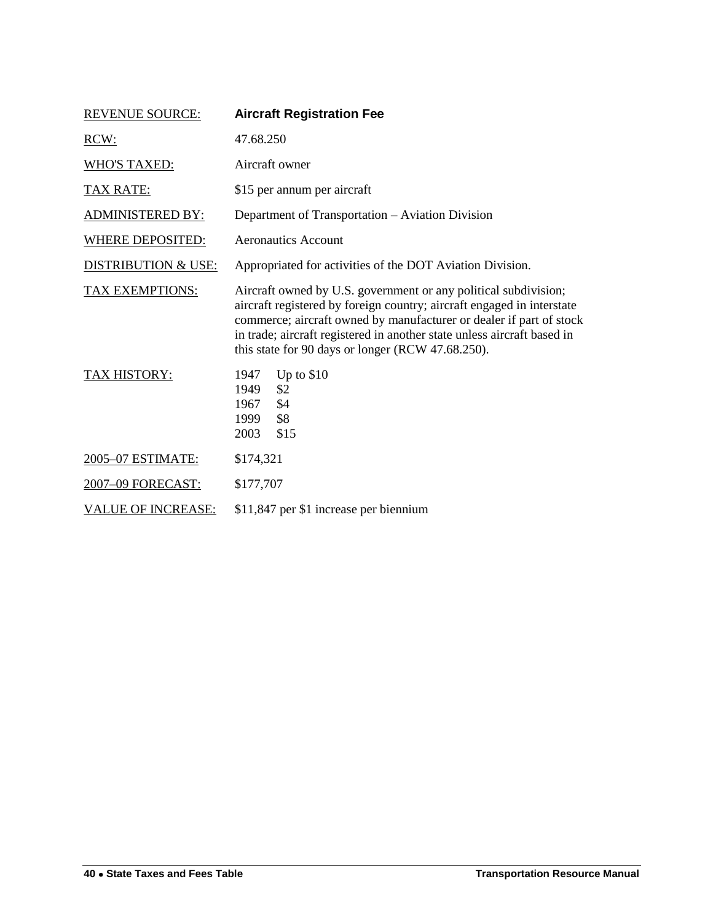<span id="page-9-0"></span>

| <b>REVENUE SOURCE:</b>         | <b>Aircraft Registration Fee</b>                                                                                                                                                                                                                                                                                                                 |  |  |
|--------------------------------|--------------------------------------------------------------------------------------------------------------------------------------------------------------------------------------------------------------------------------------------------------------------------------------------------------------------------------------------------|--|--|
| RCW:                           | 47.68.250                                                                                                                                                                                                                                                                                                                                        |  |  |
| <b>WHO'S TAXED:</b>            | Aircraft owner                                                                                                                                                                                                                                                                                                                                   |  |  |
| <u>TAX RATE:</u>               | \$15 per annum per aircraft                                                                                                                                                                                                                                                                                                                      |  |  |
| <b>ADMINISTERED BY:</b>        | Department of Transportation - Aviation Division                                                                                                                                                                                                                                                                                                 |  |  |
| <b>WHERE DEPOSITED:</b>        | <b>Aeronautics Account</b>                                                                                                                                                                                                                                                                                                                       |  |  |
| <b>DISTRIBUTION &amp; USE:</b> | Appropriated for activities of the DOT Aviation Division.                                                                                                                                                                                                                                                                                        |  |  |
| <b>TAX EXEMPTIONS:</b>         | Aircraft owned by U.S. government or any political subdivision;<br>aircraft registered by foreign country; aircraft engaged in interstate<br>commerce; aircraft owned by manufacturer or dealer if part of stock<br>in trade; aircraft registered in another state unless aircraft based in<br>this state for 90 days or longer (RCW 47.68.250). |  |  |
| <b>TAX HISTORY:</b>            | Up to $$10$<br>1947<br>\$2<br>1949<br>1967<br>\$4<br>\$8<br>1999<br>\$15<br>2003                                                                                                                                                                                                                                                                 |  |  |
| 2005-07 ESTIMATE:              | \$174,321                                                                                                                                                                                                                                                                                                                                        |  |  |
| 2007-09 FORECAST:              | \$177,707                                                                                                                                                                                                                                                                                                                                        |  |  |
| <b>VALUE OF INCREASE:</b>      | \$11,847 per \$1 increase per biennium                                                                                                                                                                                                                                                                                                           |  |  |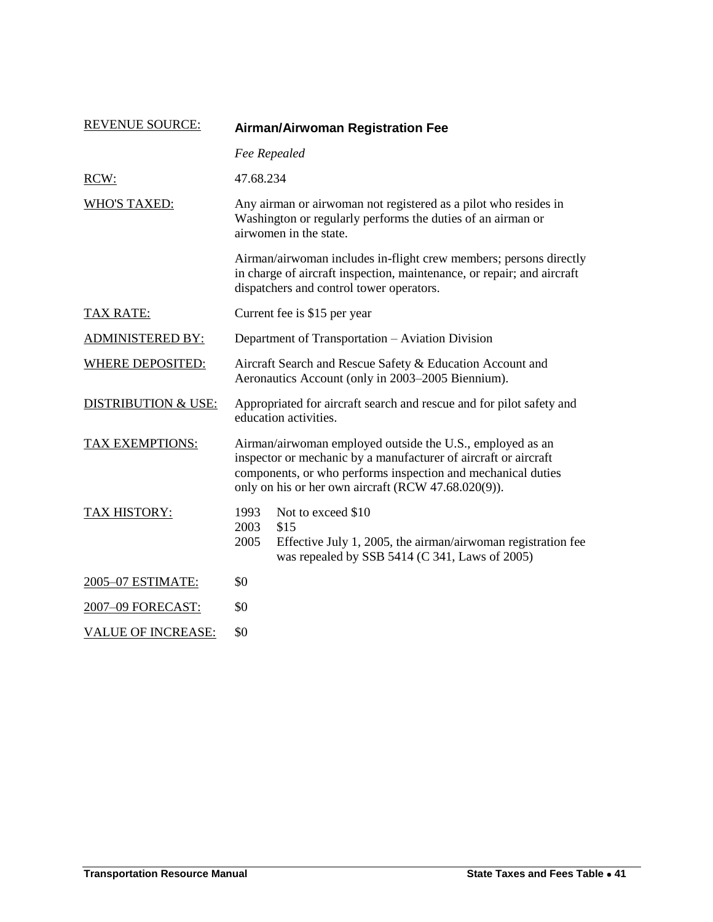| <b>REVENUE SOURCE:</b>         | <b>Airman/Airwoman Registration Fee</b>                                                                                                                                                                                                             |                                                                                                                                                                                         |  |
|--------------------------------|-----------------------------------------------------------------------------------------------------------------------------------------------------------------------------------------------------------------------------------------------------|-----------------------------------------------------------------------------------------------------------------------------------------------------------------------------------------|--|
|                                | Fee Repealed                                                                                                                                                                                                                                        |                                                                                                                                                                                         |  |
| RCW:                           | 47.68.234                                                                                                                                                                                                                                           |                                                                                                                                                                                         |  |
| <b>WHO'S TAXED:</b>            |                                                                                                                                                                                                                                                     | Any airman or airwoman not registered as a pilot who resides in<br>Washington or regularly performs the duties of an airman or<br>airwomen in the state.                                |  |
|                                |                                                                                                                                                                                                                                                     | Airman/airwoman includes in-flight crew members; persons directly<br>in charge of aircraft inspection, maintenance, or repair; and aircraft<br>dispatchers and control tower operators. |  |
| <b>TAX RATE:</b>               | Current fee is \$15 per year                                                                                                                                                                                                                        |                                                                                                                                                                                         |  |
| <b>ADMINISTERED BY:</b>        |                                                                                                                                                                                                                                                     | Department of Transportation - Aviation Division                                                                                                                                        |  |
| <b>WHERE DEPOSITED:</b>        | Aircraft Search and Rescue Safety & Education Account and<br>Aeronautics Account (only in 2003–2005 Biennium).                                                                                                                                      |                                                                                                                                                                                         |  |
| <b>DISTRIBUTION &amp; USE:</b> | Appropriated for aircraft search and rescue and for pilot safety and<br>education activities.                                                                                                                                                       |                                                                                                                                                                                         |  |
| TAX EXEMPTIONS:                | Airman/airwoman employed outside the U.S., employed as an<br>inspector or mechanic by a manufacturer of aircraft or aircraft<br>components, or who performs inspection and mechanical duties<br>only on his or her own aircraft (RCW 47.68.020(9)). |                                                                                                                                                                                         |  |
| TAX HISTORY:                   | 1993<br>2003<br>2005                                                                                                                                                                                                                                | Not to exceed \$10<br>\$15<br>Effective July 1, 2005, the airman/airwoman registration fee<br>was repealed by SSB 5414 (C 341, Laws of 2005)                                            |  |
| 2005-07 ESTIMATE:              | \$0                                                                                                                                                                                                                                                 |                                                                                                                                                                                         |  |
| 2007-09 FORECAST:              | \$0                                                                                                                                                                                                                                                 |                                                                                                                                                                                         |  |
| <b>VALUE OF INCREASE:</b>      | \$0                                                                                                                                                                                                                                                 |                                                                                                                                                                                         |  |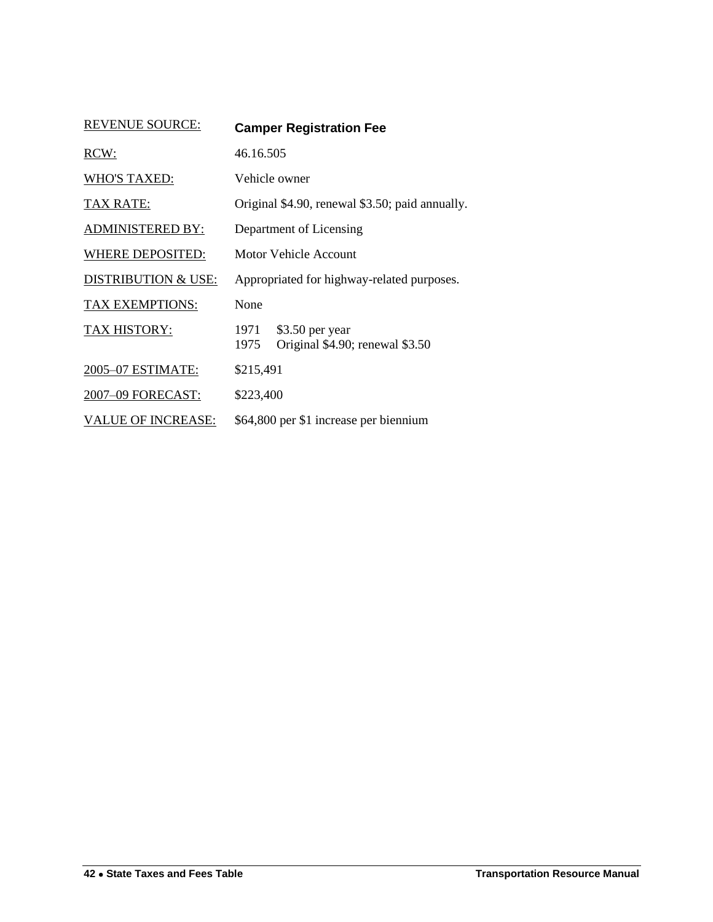<span id="page-11-0"></span>

| <b>REVENUE SOURCE:</b>         | <b>Camper Registration Fee</b>                                     |
|--------------------------------|--------------------------------------------------------------------|
| RCW:                           | 46.16.505                                                          |
| <b>WHO'S TAXED:</b>            | Vehicle owner                                                      |
| <b>TAX RATE:</b>               | Original \$4.90, renewal \$3.50; paid annually.                    |
| <b>ADMINISTERED BY:</b>        | Department of Licensing                                            |
| WHERE DEPOSITED:               | Motor Vehicle Account                                              |
| <b>DISTRIBUTION &amp; USE:</b> | Appropriated for highway-related purposes.                         |
| <b>TAX EXEMPTIONS:</b>         | None                                                               |
| TAX HISTORY:                   | 1971<br>\$3.50 per year<br>Original \$4.90; renewal \$3.50<br>1975 |
| 2005-07 ESTIMATE:              | \$215,491                                                          |
| 2007-09 FORECAST:              | \$223,400                                                          |
| <b>VALUE OF INCREASE:</b>      | \$64,800 per \$1 increase per biennium                             |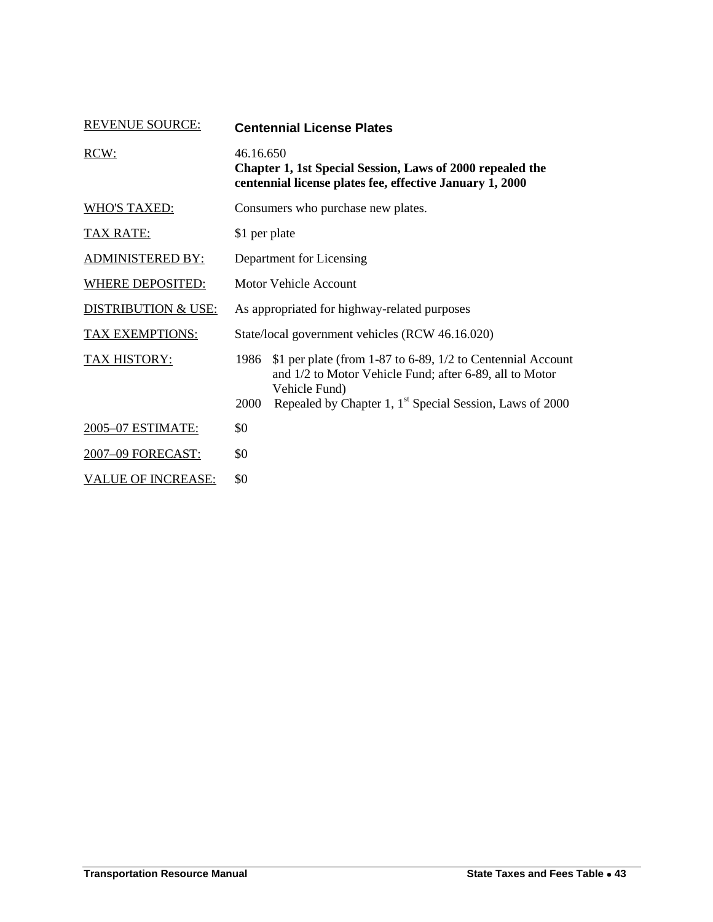| <b>REVENUE SOURCE:</b>         | <b>Centennial License Plates</b>                                                                                                                                                                                                |
|--------------------------------|---------------------------------------------------------------------------------------------------------------------------------------------------------------------------------------------------------------------------------|
| RCW:                           | 46.16.650<br>Chapter 1, 1st Special Session, Laws of 2000 repealed the<br>centennial license plates fee, effective January 1, 2000                                                                                              |
| <b>WHO'S TAXED:</b>            | Consumers who purchase new plates.                                                                                                                                                                                              |
| <b>TAX RATE:</b>               | \$1 per plate                                                                                                                                                                                                                   |
| <b>ADMINISTERED BY:</b>        | Department for Licensing                                                                                                                                                                                                        |
| <b>WHERE DEPOSITED:</b>        | Motor Vehicle Account                                                                                                                                                                                                           |
| <b>DISTRIBUTION &amp; USE:</b> | As appropriated for highway-related purposes                                                                                                                                                                                    |
| <b>TAX EXEMPTIONS:</b>         | State/local government vehicles (RCW 46.16.020)                                                                                                                                                                                 |
| <b>TAX HISTORY:</b>            | \$1 per plate (from 1-87 to 6-89, 1/2 to Centennial Account<br>1986<br>and 1/2 to Motor Vehicle Fund; after 6-89, all to Motor<br>Vehicle Fund)<br>Repealed by Chapter 1, 1 <sup>st</sup> Special Session, Laws of 2000<br>2000 |
| 2005-07 ESTIMATE:              | \$0                                                                                                                                                                                                                             |
| 2007-09 FORECAST:              | \$0                                                                                                                                                                                                                             |
| <b>VALUE OF INCREASE:</b>      | \$0                                                                                                                                                                                                                             |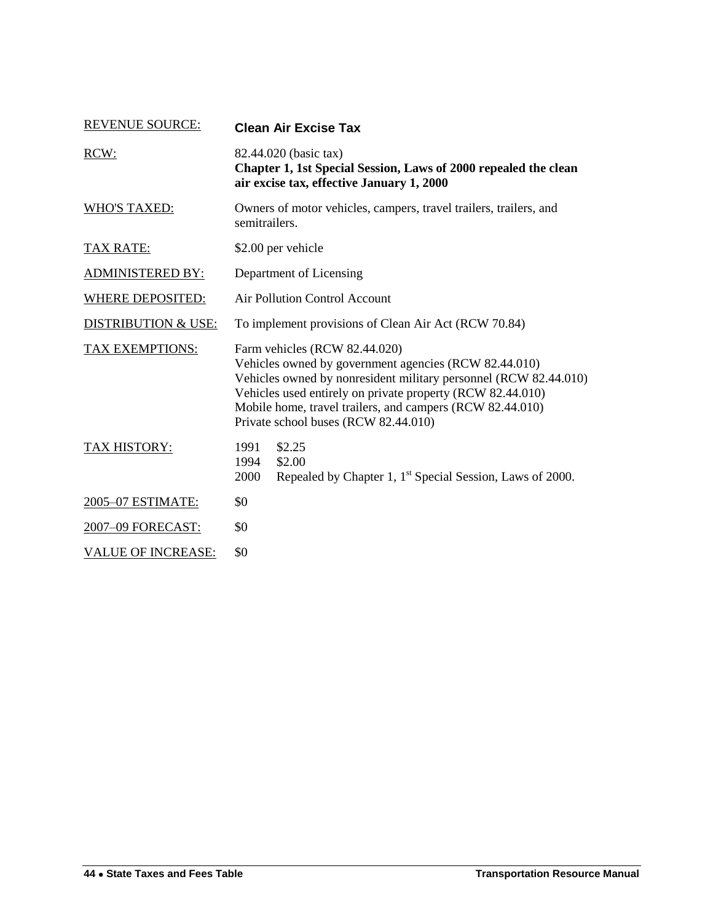| <b>REVENUE SOURCE:</b>         | <b>Clean Air Excise Tax</b>                                                                                                                                                                                                                                                                                                   |
|--------------------------------|-------------------------------------------------------------------------------------------------------------------------------------------------------------------------------------------------------------------------------------------------------------------------------------------------------------------------------|
| RCW:                           | 82.44.020 (basic tax)<br>Chapter 1, 1st Special Session, Laws of 2000 repealed the clean<br>air excise tax, effective January 1, 2000                                                                                                                                                                                         |
| <b>WHO'S TAXED:</b>            | Owners of motor vehicles, campers, travel trailers, trailers, and<br>semitrailers.                                                                                                                                                                                                                                            |
| <b>TAX RATE:</b>               | \$2.00 per vehicle                                                                                                                                                                                                                                                                                                            |
| <b>ADMINISTERED BY:</b>        | Department of Licensing                                                                                                                                                                                                                                                                                                       |
| <b>WHERE DEPOSITED:</b>        | Air Pollution Control Account                                                                                                                                                                                                                                                                                                 |
| <b>DISTRIBUTION &amp; USE:</b> | To implement provisions of Clean Air Act (RCW 70.84)                                                                                                                                                                                                                                                                          |
| TAX EXEMPTIONS:                | Farm vehicles (RCW 82.44.020)<br>Vehicles owned by government agencies (RCW 82.44.010)<br>Vehicles owned by nonresident military personnel (RCW 82.44.010)<br>Vehicles used entirely on private property (RCW 82.44.010)<br>Mobile home, travel trailers, and campers (RCW 82.44.010)<br>Private school buses (RCW 82.44.010) |
| TAX HISTORY:                   | 1991<br>\$2.25<br>1994<br>\$2.00<br>2000<br>Repealed by Chapter 1, 1 <sup>st</sup> Special Session, Laws of 2000.                                                                                                                                                                                                             |
| 2005-07 ESTIMATE:              | \$0                                                                                                                                                                                                                                                                                                                           |
| 2007-09 FORECAST:              | \$0                                                                                                                                                                                                                                                                                                                           |
| <b>VALUE OF INCREASE:</b>      | \$0                                                                                                                                                                                                                                                                                                                           |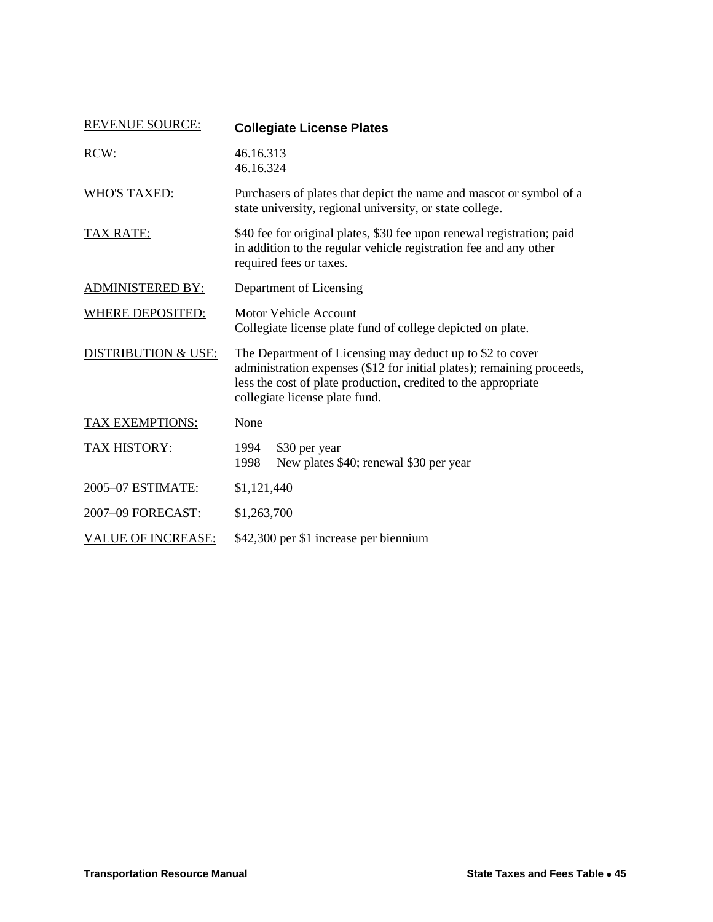<span id="page-14-0"></span>

| <b>REVENUE SOURCE:</b>         | <b>Collegiate License Plates</b>                                                                                                                                                                                                        |
|--------------------------------|-----------------------------------------------------------------------------------------------------------------------------------------------------------------------------------------------------------------------------------------|
| RCW:                           | 46.16.313<br>46.16.324                                                                                                                                                                                                                  |
| <b>WHO'S TAXED:</b>            | Purchasers of plates that depict the name and mascot or symbol of a<br>state university, regional university, or state college.                                                                                                         |
| <b>TAX RATE:</b>               | \$40 fee for original plates, \$30 fee upon renewal registration; paid<br>in addition to the regular vehicle registration fee and any other<br>required fees or taxes.                                                                  |
| <b>ADMINISTERED BY:</b>        | Department of Licensing                                                                                                                                                                                                                 |
| <b>WHERE DEPOSITED:</b>        | <b>Motor Vehicle Account</b><br>Collegiate license plate fund of college depicted on plate.                                                                                                                                             |
| <b>DISTRIBUTION &amp; USE:</b> | The Department of Licensing may deduct up to \$2 to cover<br>administration expenses (\$12 for initial plates); remaining proceeds,<br>less the cost of plate production, credited to the appropriate<br>collegiate license plate fund. |
| <b>TAX EXEMPTIONS:</b>         | None                                                                                                                                                                                                                                    |
| <b>TAX HISTORY:</b>            | 1994<br>\$30 per year<br>New plates \$40; renewal \$30 per year<br>1998                                                                                                                                                                 |
| 2005-07 ESTIMATE:              | \$1,121,440                                                                                                                                                                                                                             |
| 2007-09 FORECAST:              | \$1,263,700                                                                                                                                                                                                                             |
| <b>VALUE OF INCREASE:</b>      | \$42,300 per \$1 increase per biennium                                                                                                                                                                                                  |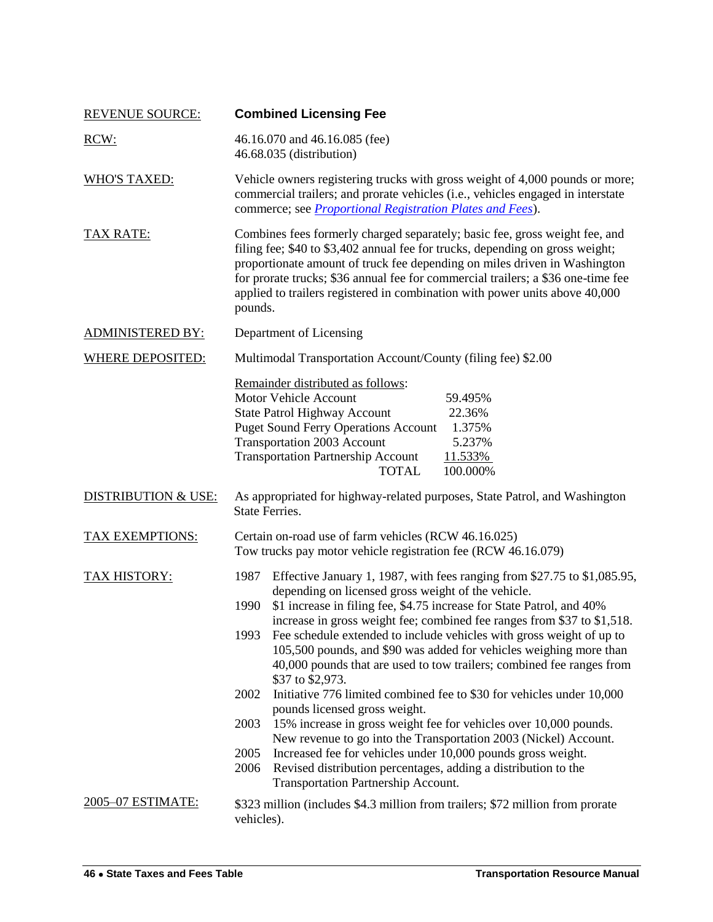<span id="page-15-0"></span>

| <b>REVENUE SOURCE:</b>         | <b>Combined Licensing Fee</b>                                                                                                                                                                                                                                                                                                                                                                                                                                                                                                                                                                                                                                                                                                                                                                                                                                                                                                                                                                                  |
|--------------------------------|----------------------------------------------------------------------------------------------------------------------------------------------------------------------------------------------------------------------------------------------------------------------------------------------------------------------------------------------------------------------------------------------------------------------------------------------------------------------------------------------------------------------------------------------------------------------------------------------------------------------------------------------------------------------------------------------------------------------------------------------------------------------------------------------------------------------------------------------------------------------------------------------------------------------------------------------------------------------------------------------------------------|
| RCW:                           | 46.16.070 and 46.16.085 (fee)<br>46.68.035 (distribution)                                                                                                                                                                                                                                                                                                                                                                                                                                                                                                                                                                                                                                                                                                                                                                                                                                                                                                                                                      |
| <b>WHO'S TAXED:</b>            | Vehicle owners registering trucks with gross weight of 4,000 pounds or more;<br>commercial trailers; and prorate vehicles (i.e., vehicles engaged in interstate<br>commerce; see <i>Proportional Registration Plates and Fees</i> ).                                                                                                                                                                                                                                                                                                                                                                                                                                                                                                                                                                                                                                                                                                                                                                           |
| <b>TAX RATE:</b>               | Combines fees formerly charged separately; basic fee, gross weight fee, and<br>filing fee; \$40 to \$3,402 annual fee for trucks, depending on gross weight;<br>proportionate amount of truck fee depending on miles driven in Washington<br>for prorate trucks; \$36 annual fee for commercial trailers; a \$36 one-time fee<br>applied to trailers registered in combination with power units above 40,000<br>pounds.                                                                                                                                                                                                                                                                                                                                                                                                                                                                                                                                                                                        |
| <b>ADMINISTERED BY:</b>        | Department of Licensing                                                                                                                                                                                                                                                                                                                                                                                                                                                                                                                                                                                                                                                                                                                                                                                                                                                                                                                                                                                        |
| <b>WHERE DEPOSITED:</b>        | Multimodal Transportation Account/County (filing fee) \$2.00                                                                                                                                                                                                                                                                                                                                                                                                                                                                                                                                                                                                                                                                                                                                                                                                                                                                                                                                                   |
|                                | Remainder distributed as follows:<br><b>Motor Vehicle Account</b><br>59.495%<br><b>State Patrol Highway Account</b><br>22.36%<br><b>Puget Sound Ferry Operations Account</b><br>1.375%<br><b>Transportation 2003 Account</b><br>5.237%<br><b>Transportation Partnership Account</b><br>11.533%<br><b>TOTAL</b><br>100.000%                                                                                                                                                                                                                                                                                                                                                                                                                                                                                                                                                                                                                                                                                     |
| <b>DISTRIBUTION &amp; USE:</b> | As appropriated for highway-related purposes, State Patrol, and Washington<br><b>State Ferries.</b>                                                                                                                                                                                                                                                                                                                                                                                                                                                                                                                                                                                                                                                                                                                                                                                                                                                                                                            |
| <b>TAX EXEMPTIONS:</b>         | Certain on-road use of farm vehicles (RCW 46.16.025)<br>Tow trucks pay motor vehicle registration fee (RCW 46.16.079)                                                                                                                                                                                                                                                                                                                                                                                                                                                                                                                                                                                                                                                                                                                                                                                                                                                                                          |
| <b>TAX HISTORY:</b>            | 1987 Effective January 1, 1987, with fees ranging from \$27.75 to \$1,085.95,<br>depending on licensed gross weight of the vehicle.<br>\$1 increase in filing fee, \$4.75 increase for State Patrol, and 40%<br>1990<br>increase in gross weight fee; combined fee ranges from \$37 to \$1,518.<br>Fee schedule extended to include vehicles with gross weight of up to<br>1993<br>105,500 pounds, and \$90 was added for vehicles weighing more than<br>40,000 pounds that are used to tow trailers; combined fee ranges from<br>\$37 to \$2,973.<br>Initiative 776 limited combined fee to \$30 for vehicles under 10,000<br>2002<br>pounds licensed gross weight.<br>15% increase in gross weight fee for vehicles over 10,000 pounds.<br>2003<br>New revenue to go into the Transportation 2003 (Nickel) Account.<br>2005<br>Increased fee for vehicles under 10,000 pounds gross weight.<br>Revised distribution percentages, adding a distribution to the<br>2006<br>Transportation Partnership Account. |
| 2005-07 ESTIMATE:              | \$323 million (includes \$4.3 million from trailers; \$72 million from prorate<br>vehicles).                                                                                                                                                                                                                                                                                                                                                                                                                                                                                                                                                                                                                                                                                                                                                                                                                                                                                                                   |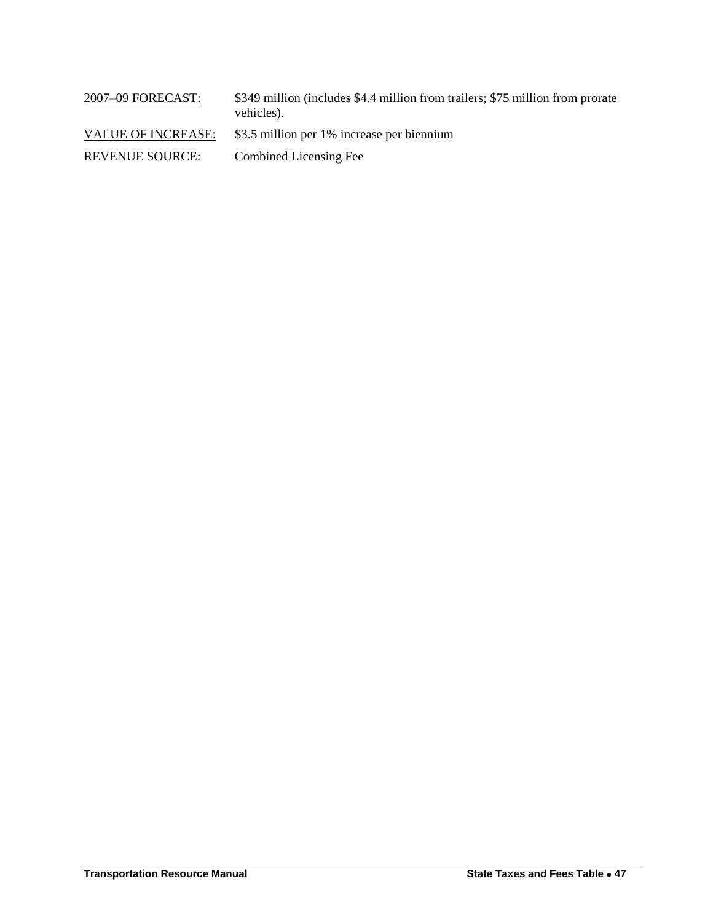| 2007-09 FORECAST:         | \$349 million (includes \$4.4 million from trailers; \$75 million from prorate<br>vehicles). |
|---------------------------|----------------------------------------------------------------------------------------------|
| <b>VALUE OF INCREASE:</b> | \$3.5 million per 1% increase per biennium                                                   |
| <b>REVENUE SOURCE:</b>    | Combined Licensing Fee                                                                       |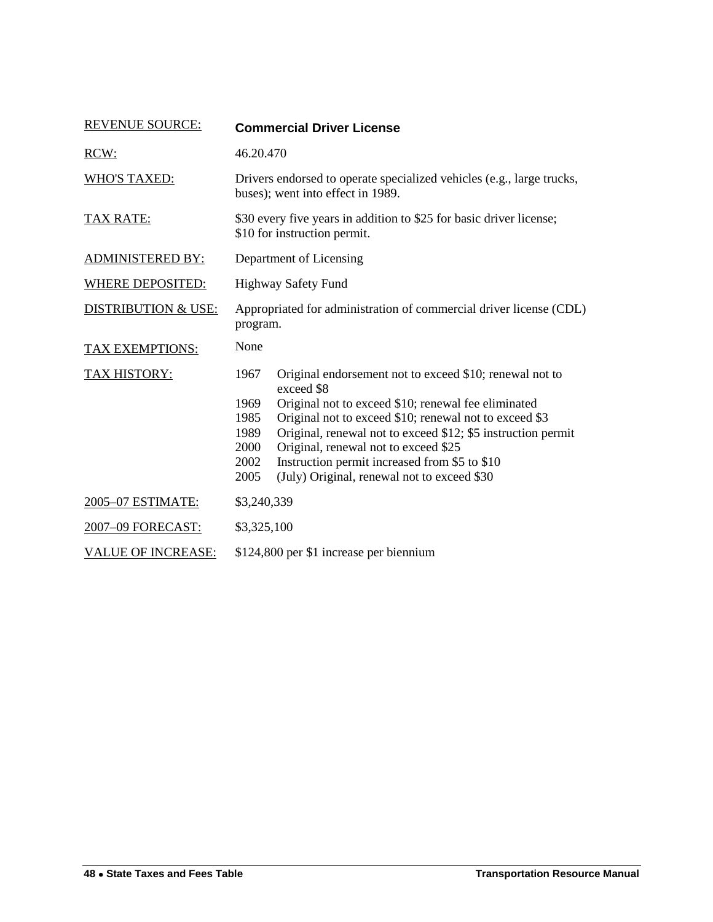<span id="page-17-0"></span>

| <b>REVENUE SOURCE:</b>         | <b>Commercial Driver License</b>                                                                                                                                                                                                                                                                                                                                                                                                                       |
|--------------------------------|--------------------------------------------------------------------------------------------------------------------------------------------------------------------------------------------------------------------------------------------------------------------------------------------------------------------------------------------------------------------------------------------------------------------------------------------------------|
| RCW:                           | 46.20.470                                                                                                                                                                                                                                                                                                                                                                                                                                              |
| <b>WHO'S TAXED:</b>            | Drivers endorsed to operate specialized vehicles (e.g., large trucks,<br>buses); went into effect in 1989.                                                                                                                                                                                                                                                                                                                                             |
| <b>TAX RATE:</b>               | \$30 every five years in addition to \$25 for basic driver license;<br>\$10 for instruction permit.                                                                                                                                                                                                                                                                                                                                                    |
| <b>ADMINISTERED BY:</b>        | Department of Licensing                                                                                                                                                                                                                                                                                                                                                                                                                                |
| <b>WHERE DEPOSITED:</b>        | <b>Highway Safety Fund</b>                                                                                                                                                                                                                                                                                                                                                                                                                             |
| <b>DISTRIBUTION &amp; USE:</b> | Appropriated for administration of commercial driver license (CDL)<br>program.                                                                                                                                                                                                                                                                                                                                                                         |
| TAX EXEMPTIONS:                | None                                                                                                                                                                                                                                                                                                                                                                                                                                                   |
| TAX HISTORY:                   | 1967<br>Original endorsement not to exceed \$10; renewal not to<br>exceed \$8<br>Original not to exceed \$10; renewal fee eliminated<br>1969<br>1985<br>Original not to exceed \$10; renewal not to exceed \$3<br>Original, renewal not to exceed \$12; \$5 instruction permit<br>1989<br>Original, renewal not to exceed \$25<br>2000<br>Instruction permit increased from \$5 to \$10<br>2002<br>2005<br>(July) Original, renewal not to exceed \$30 |
| 2005-07 ESTIMATE:              | \$3,240,339                                                                                                                                                                                                                                                                                                                                                                                                                                            |
| 2007-09 FORECAST:              | \$3,325,100                                                                                                                                                                                                                                                                                                                                                                                                                                            |
| <b>VALUE OF INCREASE:</b>      | \$124,800 per \$1 increase per biennium                                                                                                                                                                                                                                                                                                                                                                                                                |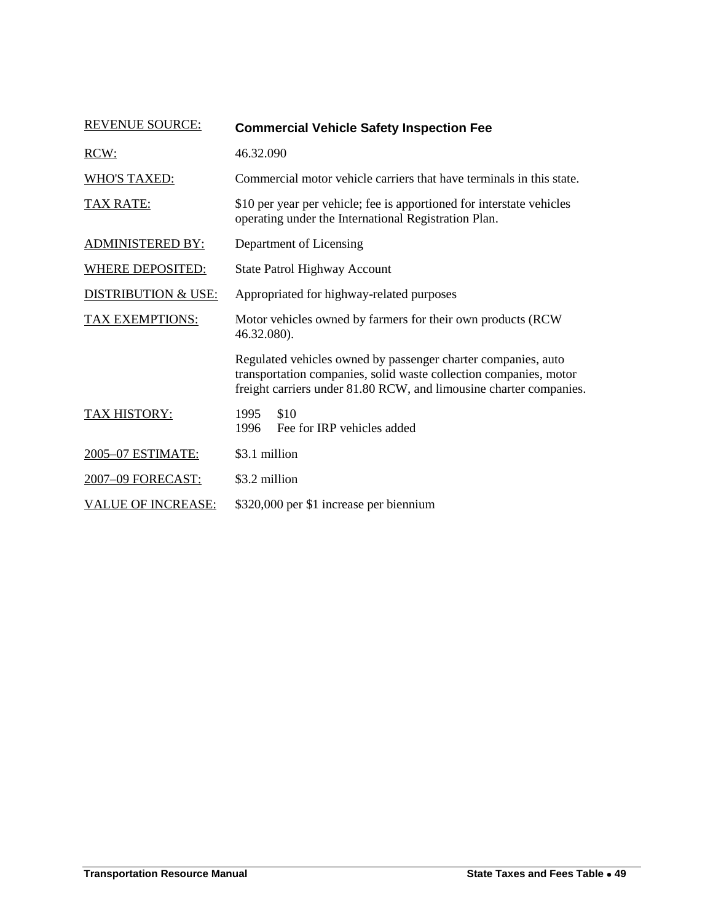<span id="page-18-0"></span>

| <b>REVENUE SOURCE:</b>         | <b>Commercial Vehicle Safety Inspection Fee</b>                                                                                                                                                          |
|--------------------------------|----------------------------------------------------------------------------------------------------------------------------------------------------------------------------------------------------------|
| RCW:                           | 46.32.090                                                                                                                                                                                                |
| <b>WHO'S TAXED:</b>            | Commercial motor vehicle carriers that have terminals in this state.                                                                                                                                     |
| <b>TAX RATE:</b>               | \$10 per year per vehicle; fee is apportioned for interstate vehicles<br>operating under the International Registration Plan.                                                                            |
| <b>ADMINISTERED BY:</b>        | Department of Licensing                                                                                                                                                                                  |
| <b>WHERE DEPOSITED:</b>        | State Patrol Highway Account                                                                                                                                                                             |
| <b>DISTRIBUTION &amp; USE:</b> | Appropriated for highway-related purposes                                                                                                                                                                |
| <b>TAX EXEMPTIONS:</b>         | Motor vehicles owned by farmers for their own products (RCW)<br>46.32.080).                                                                                                                              |
|                                | Regulated vehicles owned by passenger charter companies, auto<br>transportation companies, solid waste collection companies, motor<br>freight carriers under 81.80 RCW, and limousine charter companies. |
| <b>TAX HISTORY:</b>            | \$10<br>1995<br>1996<br>Fee for IRP vehicles added                                                                                                                                                       |
| 2005-07 ESTIMATE:              | \$3.1 million                                                                                                                                                                                            |
| 2007-09 FORECAST:              | \$3.2 million                                                                                                                                                                                            |
| <b>VALUE OF INCREASE:</b>      | \$320,000 per \$1 increase per biennium                                                                                                                                                                  |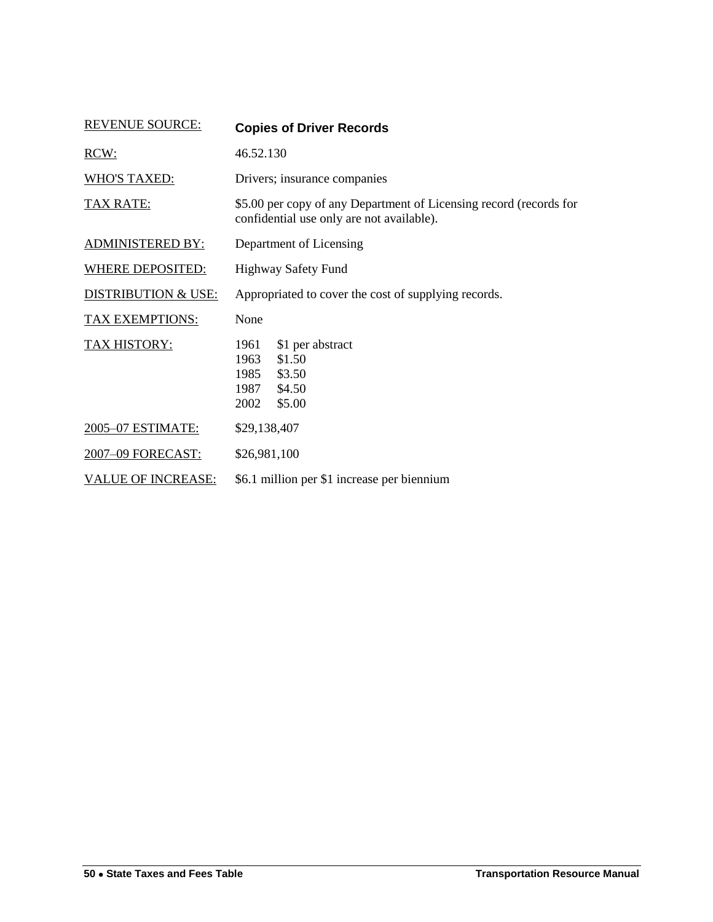<span id="page-19-0"></span>

| <b>REVENUE SOURCE:</b>         | <b>Copies of Driver Records</b>                                                                                 |
|--------------------------------|-----------------------------------------------------------------------------------------------------------------|
| RCW:                           | 46.52.130                                                                                                       |
| <b>WHO'S TAXED:</b>            | Drivers; insurance companies                                                                                    |
| <b>TAX RATE:</b>               | \$5.00 per copy of any Department of Licensing record (records for<br>confidential use only are not available). |
| <b>ADMINISTERED BY:</b>        | Department of Licensing                                                                                         |
| <b>WHERE DEPOSITED:</b>        | Highway Safety Fund                                                                                             |
| <b>DISTRIBUTION &amp; USE:</b> | Appropriated to cover the cost of supplying records.                                                            |
| TAX EXEMPTIONS:                | None                                                                                                            |
| <b>TAX HISTORY:</b>            | \$1 per abstract<br>1961<br>\$1.50<br>1963<br>1985<br>\$3.50<br>\$4.50<br>1987<br>2002<br>\$5.00                |
| 2005-07 ESTIMATE:              | \$29,138,407                                                                                                    |
| 2007-09 FORECAST:              | \$26,981,100                                                                                                    |
| <b>VALUE OF INCREASE:</b>      | \$6.1 million per \$1 increase per biennium                                                                     |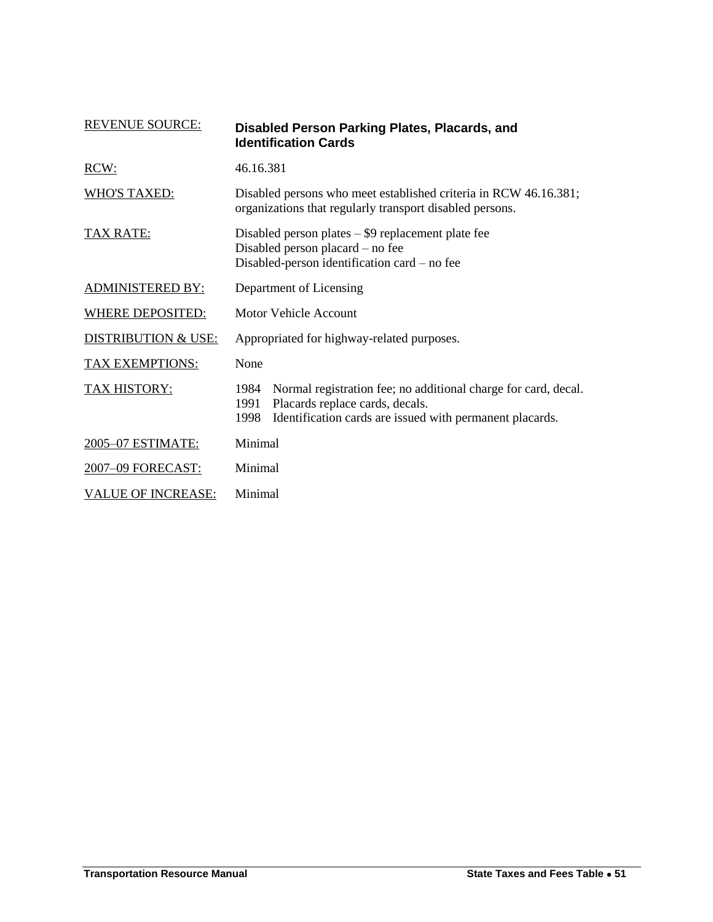<span id="page-20-0"></span>

| <b>REVENUE SOURCE:</b>         | Disabled Person Parking Plates, Placards, and<br><b>Identification Cards</b>                                                                                                          |
|--------------------------------|---------------------------------------------------------------------------------------------------------------------------------------------------------------------------------------|
| RCW:                           | 46.16.381                                                                                                                                                                             |
| <b>WHO'S TAXED:</b>            | Disabled persons who meet established criteria in RCW 46.16.381;<br>organizations that regularly transport disabled persons.                                                          |
| <u>TAX RATE:</u>               | Disabled person plates $-$ \$9 replacement plate fee<br>Disabled person placard – no fee<br>Disabled-person identification card – no fee                                              |
| <b>ADMINISTERED BY:</b>        | Department of Licensing                                                                                                                                                               |
| <b>WHERE DEPOSITED:</b>        | Motor Vehicle Account                                                                                                                                                                 |
| <b>DISTRIBUTION &amp; USE:</b> | Appropriated for highway-related purposes.                                                                                                                                            |
| TAX EXEMPTIONS:                | None                                                                                                                                                                                  |
| <b>TAX HISTORY:</b>            | Normal registration fee; no additional charge for card, decal.<br>1984<br>Placards replace cards, decals.<br>1991<br>1998<br>Identification cards are issued with permanent placards. |
| 2005-07 ESTIMATE:              | Minimal                                                                                                                                                                               |
| 2007-09 FORECAST:              | Minimal                                                                                                                                                                               |
| <b>VALUE OF INCREASE:</b>      | Minimal                                                                                                                                                                               |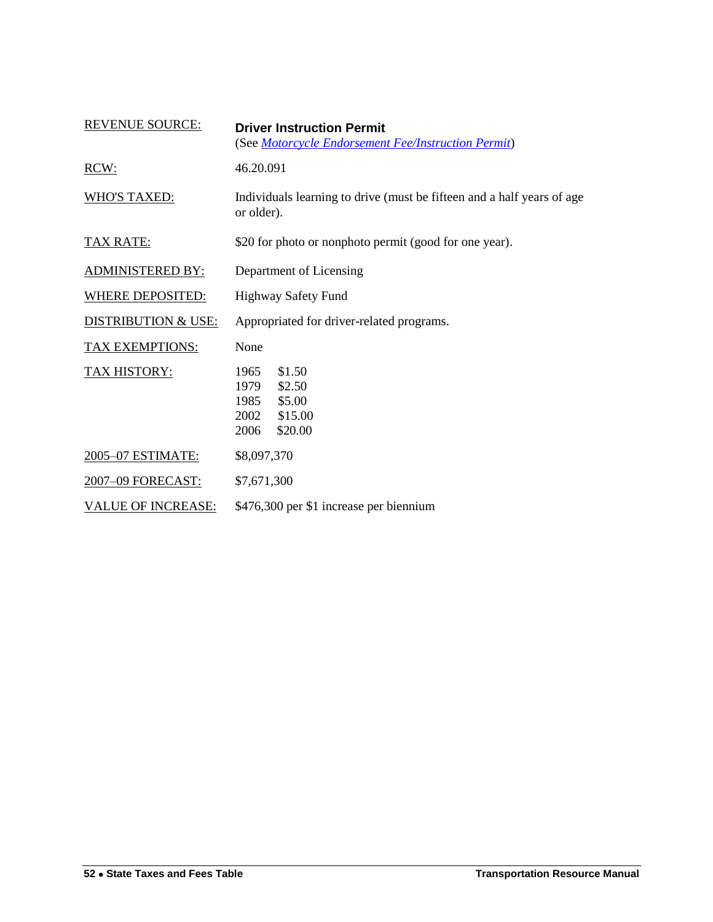<span id="page-21-0"></span>

| <b>REVENUE SOURCE:</b>         | <b>Driver Instruction Permit</b><br>(See Motorcycle Endorsement Fee/Instruction Permit)  |
|--------------------------------|------------------------------------------------------------------------------------------|
| RCW:                           | 46.20.091                                                                                |
| <b>WHO'S TAXED:</b>            | Individuals learning to drive (must be fifteen and a half years of age<br>or older).     |
| <b>TAX RATE:</b>               | \$20 for photo or nonphoto permit (good for one year).                                   |
| <b>ADMINISTERED BY:</b>        | Department of Licensing                                                                  |
| <b>WHERE DEPOSITED:</b>        | <b>Highway Safety Fund</b>                                                               |
| <b>DISTRIBUTION &amp; USE:</b> | Appropriated for driver-related programs.                                                |
| TAX EXEMPTIONS:                | None                                                                                     |
| <b>TAX HISTORY:</b>            | \$1.50<br>1965<br>1979<br>\$2.50<br>1985<br>\$5.00<br>\$15.00<br>2002<br>\$20.00<br>2006 |
| 2005-07 ESTIMATE:              | \$8,097,370                                                                              |
| 2007-09 FORECAST:              | \$7,671,300                                                                              |
| <b>VALUE OF INCREASE:</b>      | \$476,300 per \$1 increase per biennium                                                  |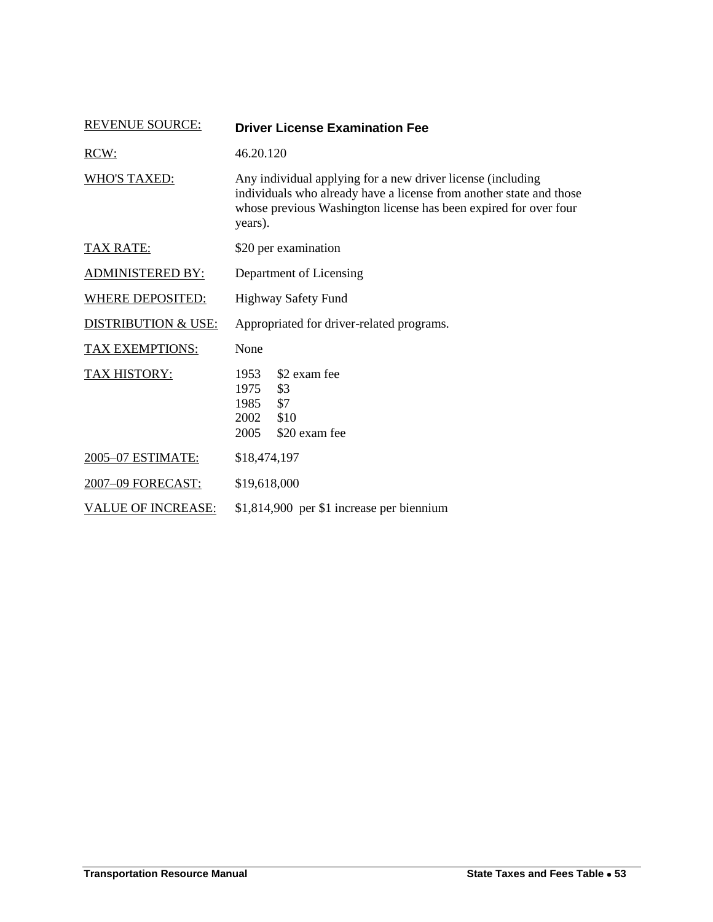<span id="page-22-0"></span>

| <b>REVENUE SOURCE:</b>         | <b>Driver License Examination Fee</b>                                                                                                                                                                             |
|--------------------------------|-------------------------------------------------------------------------------------------------------------------------------------------------------------------------------------------------------------------|
| RCW:                           | 46.20.120                                                                                                                                                                                                         |
| <b>WHO'S TAXED:</b>            | Any individual applying for a new driver license (including<br>individuals who already have a license from another state and those<br>whose previous Washington license has been expired for over four<br>years). |
| <b>TAX RATE:</b>               | \$20 per examination                                                                                                                                                                                              |
| <b>ADMINISTERED BY:</b>        | Department of Licensing                                                                                                                                                                                           |
| <b>WHERE DEPOSITED:</b>        | Highway Safety Fund                                                                                                                                                                                               |
| <b>DISTRIBUTION &amp; USE:</b> | Appropriated for driver-related programs.                                                                                                                                                                         |
| TAX EXEMPTIONS:                | None                                                                                                                                                                                                              |
| <b>TAX HISTORY:</b>            | \$2 exam fee<br>1953<br>1975<br>\$3<br>\$7<br>1985<br>2002<br>\$10<br>2005<br>\$20 exam fee                                                                                                                       |
| 2005-07 ESTIMATE:              | \$18,474,197                                                                                                                                                                                                      |
| 2007-09 FORECAST:              | \$19,618,000                                                                                                                                                                                                      |
| <b>VALUE OF INCREASE:</b>      | \$1,814,900 per \$1 increase per biennium                                                                                                                                                                         |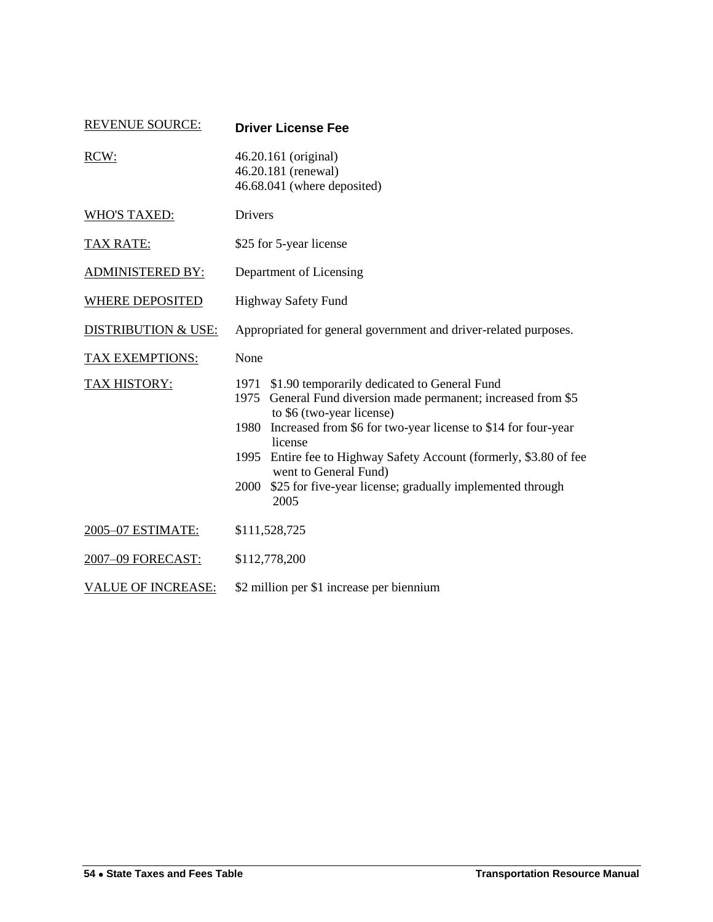<span id="page-23-0"></span>

| <b>REVENUE SOURCE:</b>         | <b>Driver License Fee</b>                                                                                                                                                                                                                                                                                                                                                                                        |  |
|--------------------------------|------------------------------------------------------------------------------------------------------------------------------------------------------------------------------------------------------------------------------------------------------------------------------------------------------------------------------------------------------------------------------------------------------------------|--|
| RCW:                           | 46.20.161 (original)<br>46.20.181 (renewal)<br>46.68.041 (where deposited)                                                                                                                                                                                                                                                                                                                                       |  |
| <b>WHO'S TAXED:</b>            | Drivers                                                                                                                                                                                                                                                                                                                                                                                                          |  |
| <b>TAX RATE:</b>               | \$25 for 5-year license                                                                                                                                                                                                                                                                                                                                                                                          |  |
| <b>ADMINISTERED BY:</b>        | Department of Licensing                                                                                                                                                                                                                                                                                                                                                                                          |  |
| <b>WHERE DEPOSITED</b>         | <b>Highway Safety Fund</b>                                                                                                                                                                                                                                                                                                                                                                                       |  |
| <b>DISTRIBUTION &amp; USE:</b> | Appropriated for general government and driver-related purposes.                                                                                                                                                                                                                                                                                                                                                 |  |
| <b>TAX EXEMPTIONS:</b>         | None                                                                                                                                                                                                                                                                                                                                                                                                             |  |
| <b>TAX HISTORY:</b>            | 1971 \$1.90 temporarily dedicated to General Fund<br>1975 General Fund diversion made permanent; increased from \$5<br>to \$6 (two-year license)<br>Increased from \$6 for two-year license to \$14 for four-year<br>1980<br>license<br>1995 Entire fee to Highway Safety Account (formerly, \$3.80 of fee<br>went to General Fund)<br>\$25 for five-year license; gradually implemented through<br>2000<br>2005 |  |
| 2005-07 ESTIMATE:              | \$111,528,725                                                                                                                                                                                                                                                                                                                                                                                                    |  |
| 2007-09 FORECAST:              | \$112,778,200                                                                                                                                                                                                                                                                                                                                                                                                    |  |
| <b>VALUE OF INCREASE:</b>      | \$2 million per \$1 increase per biennium                                                                                                                                                                                                                                                                                                                                                                        |  |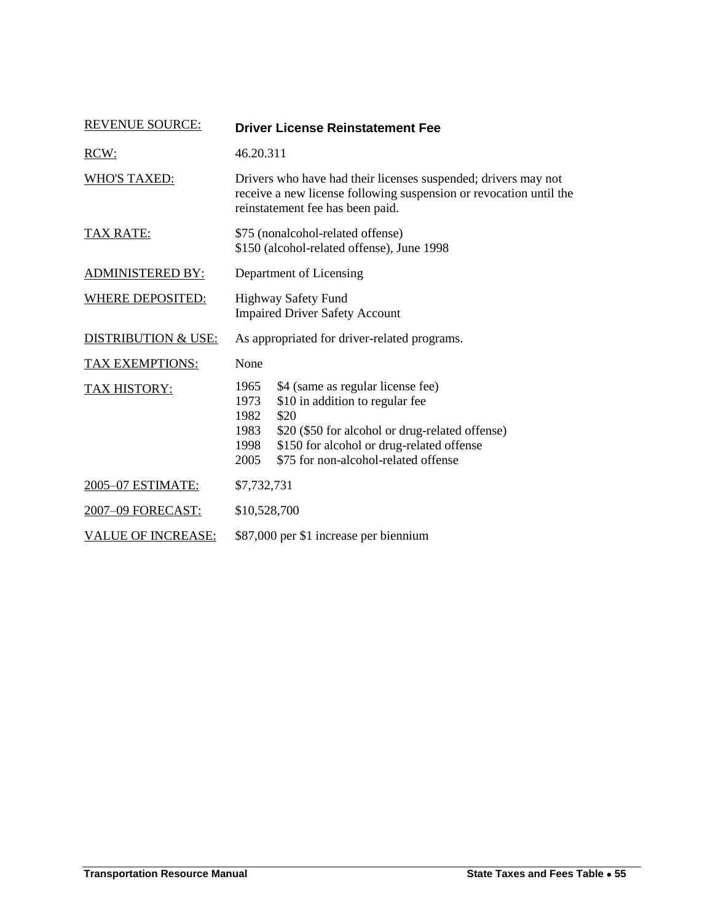<span id="page-24-0"></span>

| <b>REVENUE SOURCE:</b>         | <b>Driver License Reinstatement Fee</b>                                                                                                                                                                                                                              |  |
|--------------------------------|----------------------------------------------------------------------------------------------------------------------------------------------------------------------------------------------------------------------------------------------------------------------|--|
| RCW:                           | 46.20.311                                                                                                                                                                                                                                                            |  |
| <b>WHO'S TAXED:</b>            | Drivers who have had their licenses suspended; drivers may not<br>receive a new license following suspension or revocation until the<br>reinstatement fee has been paid.                                                                                             |  |
| TAX RATE:                      | \$75 (nonalcohol-related offense)<br>\$150 (alcohol-related offense), June 1998                                                                                                                                                                                      |  |
| <b>ADMINISTERED BY:</b>        | Department of Licensing                                                                                                                                                                                                                                              |  |
| <b>WHERE DEPOSITED:</b>        | <b>Highway Safety Fund</b><br><b>Impaired Driver Safety Account</b>                                                                                                                                                                                                  |  |
| <b>DISTRIBUTION &amp; USE:</b> | As appropriated for driver-related programs.                                                                                                                                                                                                                         |  |
| <b>TAX EXEMPTIONS:</b>         | None                                                                                                                                                                                                                                                                 |  |
| <b>TAX HISTORY:</b>            | \$4 (same as regular license fee)<br>1965<br>\$10 in addition to regular fee<br>1973<br>\$20<br>1982<br>\$20 (\$50 for alcohol or drug-related offense)<br>1983<br>\$150 for alcohol or drug-related offense<br>1998<br>\$75 for non-alcohol-related offense<br>2005 |  |
| 2005-07 ESTIMATE:              | \$7,732,731                                                                                                                                                                                                                                                          |  |
| 2007-09 FORECAST:              | \$10,528,700                                                                                                                                                                                                                                                         |  |
| <b>VALUE OF INCREASE:</b>      | \$87,000 per \$1 increase per biennium                                                                                                                                                                                                                               |  |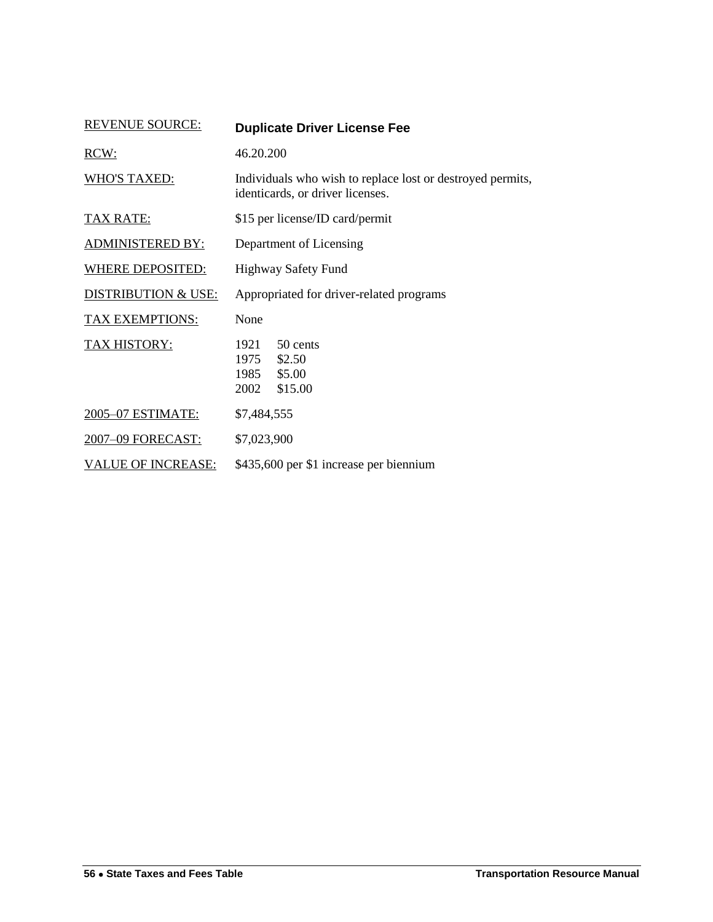<span id="page-25-0"></span>

| <b>REVENUE SOURCE:</b>         | <b>Duplicate Driver License Fee</b>                                                            |  |  |
|--------------------------------|------------------------------------------------------------------------------------------------|--|--|
| RCW:                           | 46.20.200                                                                                      |  |  |
| <b>WHO'S TAXED:</b>            | Individuals who wish to replace lost or destroyed permits,<br>identicards, or driver licenses. |  |  |
| TAX RATE:                      | \$15 per license/ID card/permit                                                                |  |  |
| <b>ADMINISTERED BY:</b>        | Department of Licensing                                                                        |  |  |
| WHERE DEPOSITED:               | Highway Safety Fund                                                                            |  |  |
| <b>DISTRIBUTION &amp; USE:</b> | Appropriated for driver-related programs                                                       |  |  |
| TAX EXEMPTIONS:                | None                                                                                           |  |  |
| <b>TAX HISTORY:</b>            | 1921<br>50 cents<br>1975<br>\$2.50<br>\$5.00<br>1985<br>\$15.00<br>2002                        |  |  |
| 2005-07 ESTIMATE:              | \$7,484,555                                                                                    |  |  |
| 2007-09 FORECAST:              | \$7,023,900                                                                                    |  |  |
| <b>VALUE OF INCREASE:</b>      | \$435,600 per \$1 increase per biennium                                                        |  |  |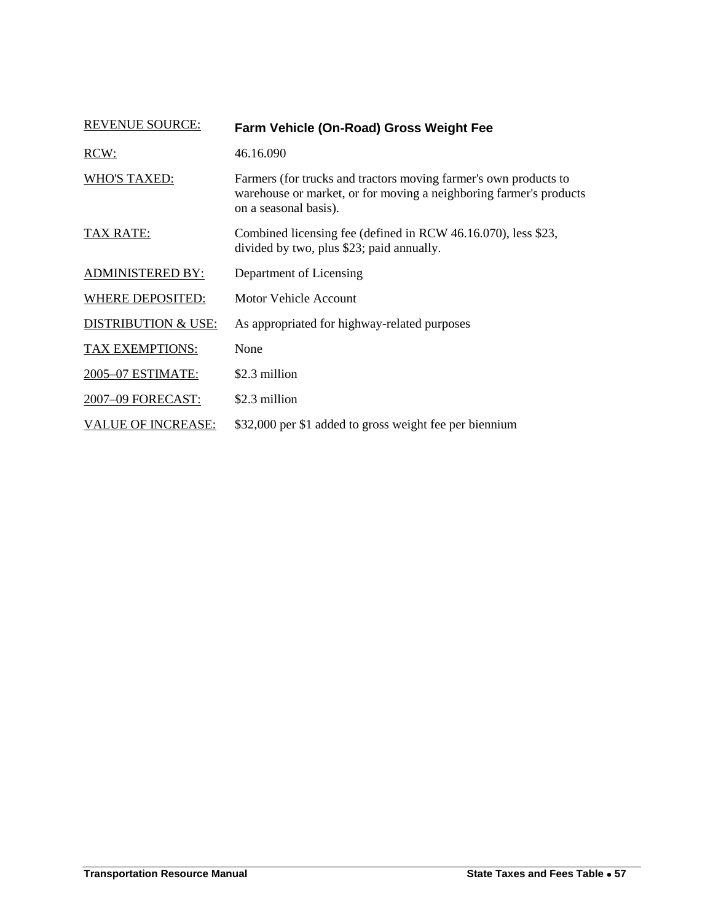<span id="page-26-0"></span>

| <b>REVENUE SOURCE:</b>         | Farm Vehicle (On-Road) Gross Weight Fee                                                                                                                         |
|--------------------------------|-----------------------------------------------------------------------------------------------------------------------------------------------------------------|
| RCW:                           | 46.16.090                                                                                                                                                       |
| <b>WHO'S TAXED:</b>            | Farmers (for trucks and tractors moving farmer's own products to<br>warehouse or market, or for moving a neighboring farmer's products<br>on a seasonal basis). |
| TAX RATE:                      | Combined licensing fee (defined in RCW 46.16.070), less \$23,<br>divided by two, plus \$23; paid annually.                                                      |
| <b>ADMINISTERED BY:</b>        | Department of Licensing                                                                                                                                         |
| <b>WHERE DEPOSITED:</b>        | Motor Vehicle Account                                                                                                                                           |
| <b>DISTRIBUTION &amp; USE:</b> | As appropriated for highway-related purposes                                                                                                                    |
| TAX EXEMPTIONS:                | None                                                                                                                                                            |
| 2005-07 ESTIMATE:              | \$2.3 million                                                                                                                                                   |
| 2007-09 FORECAST:              | \$2.3 million                                                                                                                                                   |
| <b>VALUE OF INCREASE:</b>      | \$32,000 per \$1 added to gross weight fee per biennium                                                                                                         |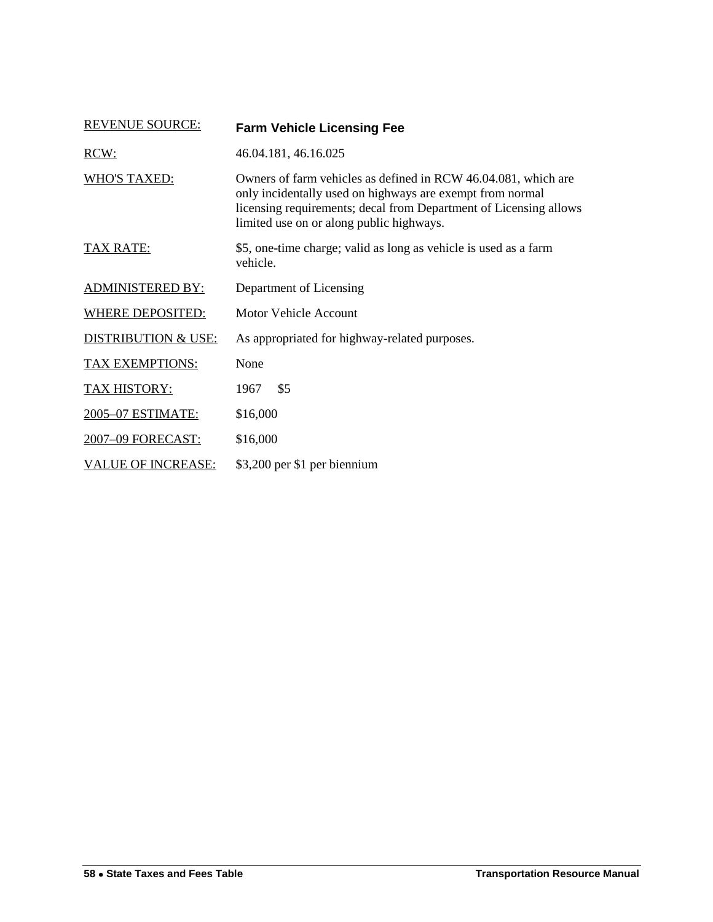<span id="page-27-0"></span>

| <b>REVENUE SOURCE:</b>         | <b>Farm Vehicle Licensing Fee</b>                                                                                                                                                                                                            |
|--------------------------------|----------------------------------------------------------------------------------------------------------------------------------------------------------------------------------------------------------------------------------------------|
| RCW:                           | 46.04.181, 46.16.025                                                                                                                                                                                                                         |
| <b>WHO'S TAXED:</b>            | Owners of farm vehicles as defined in RCW 46.04.081, which are<br>only incidentally used on highways are exempt from normal<br>licensing requirements; decal from Department of Licensing allows<br>limited use on or along public highways. |
| TAX RATE:                      | \$5, one-time charge; valid as long as vehicle is used as a farm<br>vehicle.                                                                                                                                                                 |
| <b>ADMINISTERED BY:</b>        | Department of Licensing                                                                                                                                                                                                                      |
| <b>WHERE DEPOSITED:</b>        | <b>Motor Vehicle Account</b>                                                                                                                                                                                                                 |
| <b>DISTRIBUTION &amp; USE:</b> | As appropriated for highway-related purposes.                                                                                                                                                                                                |
| TAX EXEMPTIONS:                | None                                                                                                                                                                                                                                         |
| TAX HISTORY:                   | \$5<br>1967                                                                                                                                                                                                                                  |
| 2005-07 ESTIMATE:              | \$16,000                                                                                                                                                                                                                                     |
| 2007-09 FORECAST:              | \$16,000                                                                                                                                                                                                                                     |
| <b>VALUE OF INCREASE:</b>      | \$3,200 per \$1 per biennium                                                                                                                                                                                                                 |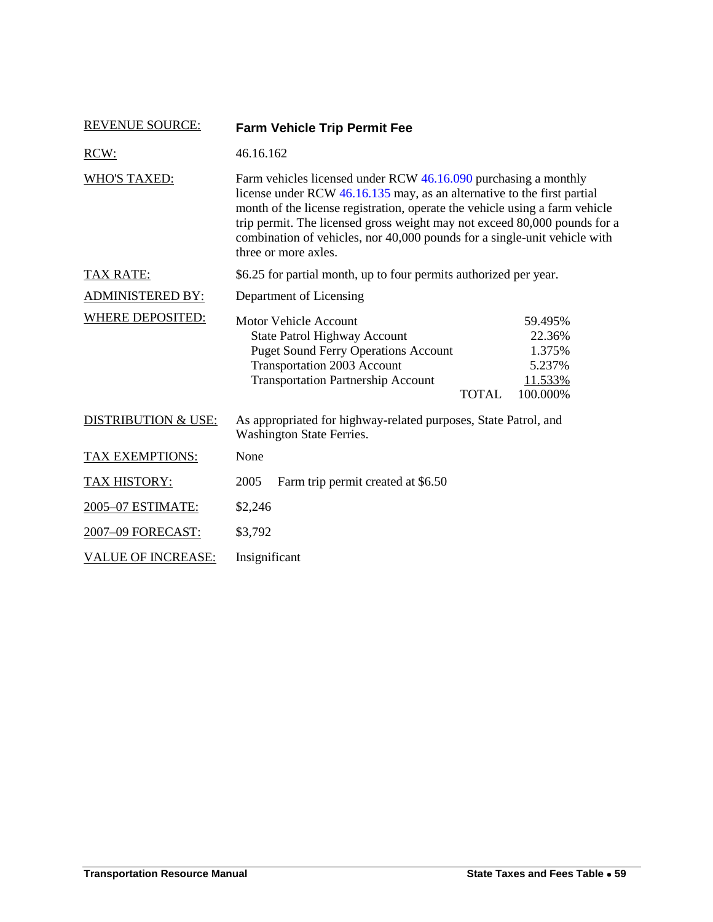<span id="page-28-0"></span>

| <b>REVENUE SOURCE:</b>         | <b>Farm Vehicle Trip Permit Fee</b>                                                                                                                                                                                                                                                                                                                                                                         |                                                              |  |
|--------------------------------|-------------------------------------------------------------------------------------------------------------------------------------------------------------------------------------------------------------------------------------------------------------------------------------------------------------------------------------------------------------------------------------------------------------|--------------------------------------------------------------|--|
| RCW:                           | 46.16.162                                                                                                                                                                                                                                                                                                                                                                                                   |                                                              |  |
| <b>WHO'S TAXED:</b>            | Farm vehicles licensed under RCW 46.16.090 purchasing a monthly<br>license under RCW 46.16.135 may, as an alternative to the first partial<br>month of the license registration, operate the vehicle using a farm vehicle<br>trip permit. The licensed gross weight may not exceed 80,000 pounds for a<br>combination of vehicles, nor 40,000 pounds for a single-unit vehicle with<br>three or more axles. |                                                              |  |
| <b>TAX RATE:</b>               | \$6.25 for partial month, up to four permits authorized per year.                                                                                                                                                                                                                                                                                                                                           |                                                              |  |
| <b>ADMINISTERED BY:</b>        | Department of Licensing                                                                                                                                                                                                                                                                                                                                                                                     |                                                              |  |
| <b>WHERE DEPOSITED:</b>        | <b>Motor Vehicle Account</b><br><b>State Patrol Highway Account</b><br><b>Puget Sound Ferry Operations Account</b><br>Transportation 2003 Account<br><b>Transportation Partnership Account</b><br><b>TOTAL</b>                                                                                                                                                                                              | 59.495%<br>22.36%<br>1.375%<br>5.237%<br>11.533%<br>100.000% |  |
| <b>DISTRIBUTION &amp; USE:</b> | As appropriated for highway-related purposes, State Patrol, and<br>Washington State Ferries.                                                                                                                                                                                                                                                                                                                |                                                              |  |
| <b>TAX EXEMPTIONS:</b>         | None                                                                                                                                                                                                                                                                                                                                                                                                        |                                                              |  |
| TAX HISTORY:                   | Farm trip permit created at \$6.50<br>2005                                                                                                                                                                                                                                                                                                                                                                  |                                                              |  |
| 2005-07 ESTIMATE:              | \$2,246                                                                                                                                                                                                                                                                                                                                                                                                     |                                                              |  |
| 2007-09 FORECAST:              | \$3,792                                                                                                                                                                                                                                                                                                                                                                                                     |                                                              |  |
| <b>VALUE OF INCREASE:</b>      | Insignificant                                                                                                                                                                                                                                                                                                                                                                                               |                                                              |  |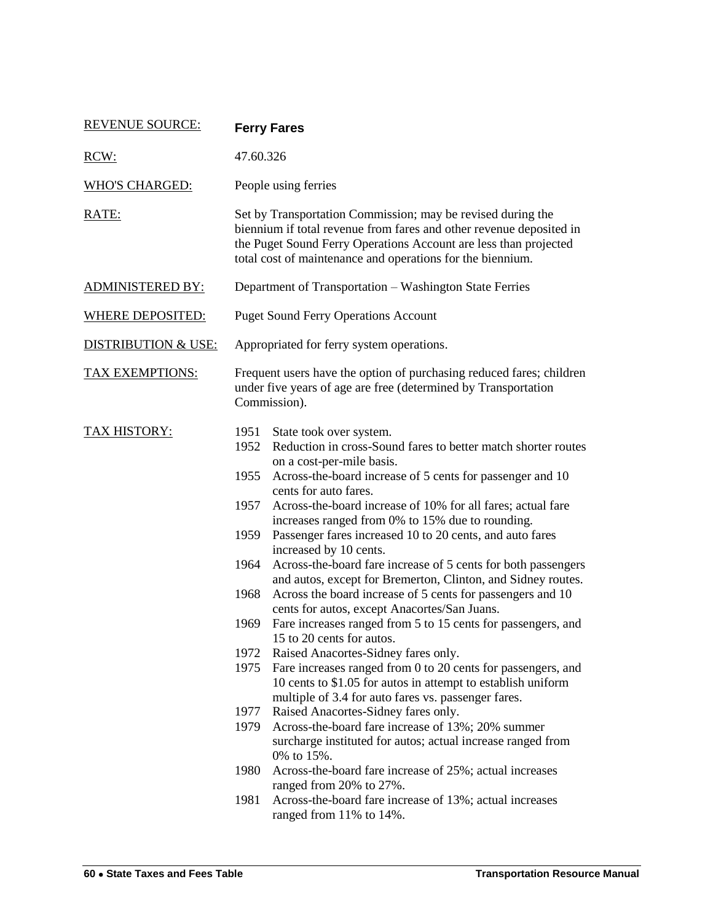<span id="page-29-0"></span>

| <b>REVENUE SOURCE:</b>         | <b>Ferry Fares</b>                                                                                                                                                                                                                                                                                                                                                                                                                                                                                                                                                                                                                                                                                                                                                                                                                                                                                                                                                                                                                                                                                                                                                                                                                                                      |  |  |
|--------------------------------|-------------------------------------------------------------------------------------------------------------------------------------------------------------------------------------------------------------------------------------------------------------------------------------------------------------------------------------------------------------------------------------------------------------------------------------------------------------------------------------------------------------------------------------------------------------------------------------------------------------------------------------------------------------------------------------------------------------------------------------------------------------------------------------------------------------------------------------------------------------------------------------------------------------------------------------------------------------------------------------------------------------------------------------------------------------------------------------------------------------------------------------------------------------------------------------------------------------------------------------------------------------------------|--|--|
| RCW:                           | 47.60.326                                                                                                                                                                                                                                                                                                                                                                                                                                                                                                                                                                                                                                                                                                                                                                                                                                                                                                                                                                                                                                                                                                                                                                                                                                                               |  |  |
| <b>WHO'S CHARGED:</b>          | People using ferries                                                                                                                                                                                                                                                                                                                                                                                                                                                                                                                                                                                                                                                                                                                                                                                                                                                                                                                                                                                                                                                                                                                                                                                                                                                    |  |  |
| RATE:                          | Set by Transportation Commission; may be revised during the<br>biennium if total revenue from fares and other revenue deposited in<br>the Puget Sound Ferry Operations Account are less than projected<br>total cost of maintenance and operations for the biennium.                                                                                                                                                                                                                                                                                                                                                                                                                                                                                                                                                                                                                                                                                                                                                                                                                                                                                                                                                                                                    |  |  |
| <b>ADMINISTERED BY:</b>        | Department of Transportation - Washington State Ferries                                                                                                                                                                                                                                                                                                                                                                                                                                                                                                                                                                                                                                                                                                                                                                                                                                                                                                                                                                                                                                                                                                                                                                                                                 |  |  |
| <b>WHERE DEPOSITED:</b>        | <b>Puget Sound Ferry Operations Account</b>                                                                                                                                                                                                                                                                                                                                                                                                                                                                                                                                                                                                                                                                                                                                                                                                                                                                                                                                                                                                                                                                                                                                                                                                                             |  |  |
| <b>DISTRIBUTION &amp; USE:</b> | Appropriated for ferry system operations.                                                                                                                                                                                                                                                                                                                                                                                                                                                                                                                                                                                                                                                                                                                                                                                                                                                                                                                                                                                                                                                                                                                                                                                                                               |  |  |
| <b>TAX EXEMPTIONS:</b>         | Frequent users have the option of purchasing reduced fares; children<br>under five years of age are free (determined by Transportation<br>Commission).                                                                                                                                                                                                                                                                                                                                                                                                                                                                                                                                                                                                                                                                                                                                                                                                                                                                                                                                                                                                                                                                                                                  |  |  |
| <b>TAX HISTORY:</b>            | 1951<br>State took over system.<br>Reduction in cross-Sound fares to better match shorter routes<br>1952<br>on a cost-per-mile basis.<br>1955<br>Across-the-board increase of 5 cents for passenger and 10<br>cents for auto fares.<br>Across-the-board increase of 10% for all fares; actual fare<br>1957<br>increases ranged from 0% to 15% due to rounding.<br>Passenger fares increased 10 to 20 cents, and auto fares<br>1959<br>increased by 10 cents.<br>1964<br>Across-the-board fare increase of 5 cents for both passengers<br>and autos, except for Bremerton, Clinton, and Sidney routes.<br>Across the board increase of 5 cents for passengers and 10<br>1968<br>cents for autos, except Anacortes/San Juans.<br>Fare increases ranged from 5 to 15 cents for passengers, and<br>1969<br>15 to 20 cents for autos.<br>1972<br>Raised Anacortes-Sidney fares only.<br>1975<br>Fare increases ranged from 0 to 20 cents for passengers, and<br>10 cents to \$1.05 for autos in attempt to establish uniform<br>multiple of 3.4 for auto fares vs. passenger fares.<br>Raised Anacortes-Sidney fares only.<br>1977<br>1979<br>Across-the-board fare increase of 13%; 20% summer<br>surcharge instituted for autos; actual increase ranged from<br>0% to 15%. |  |  |
|                                | Across-the-board fare increase of 25%; actual increases<br>1980<br>ranged from 20% to 27%.<br>1981<br>Across-the-board fare increase of 13%; actual increases<br>ranged from 11% to 14%.                                                                                                                                                                                                                                                                                                                                                                                                                                                                                                                                                                                                                                                                                                                                                                                                                                                                                                                                                                                                                                                                                |  |  |
|                                |                                                                                                                                                                                                                                                                                                                                                                                                                                                                                                                                                                                                                                                                                                                                                                                                                                                                                                                                                                                                                                                                                                                                                                                                                                                                         |  |  |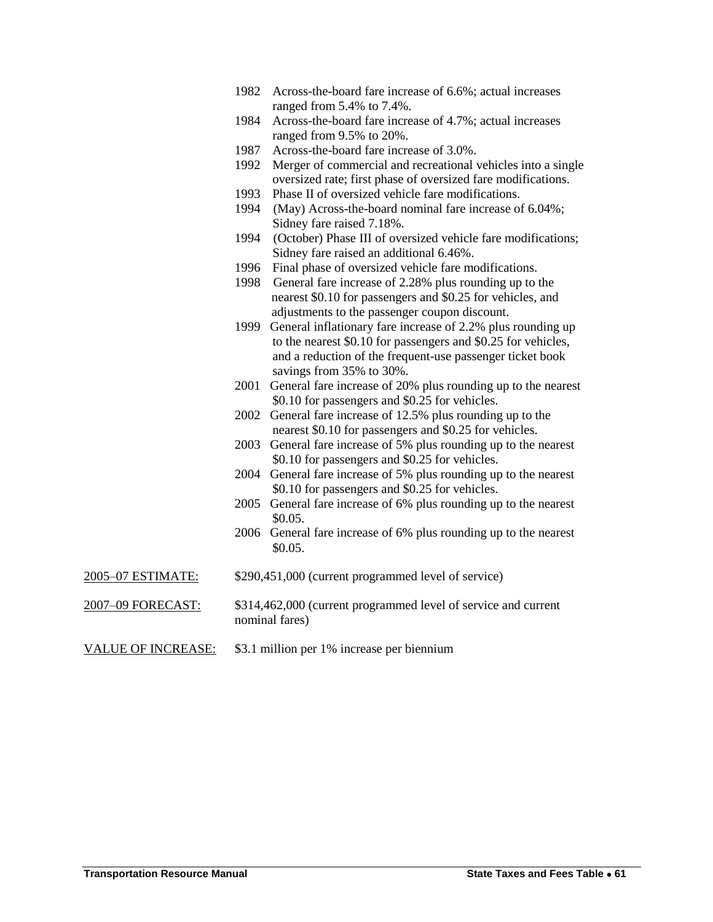- 1982 Across-the-board fare increase of 6.6%; actual increases ranged from 5.4% to 7.4%.
- 1984 Across-the-board fare increase of 4.7%; actual increases ranged from 9.5% to 20%.
- 1987 Across-the-board fare increase of 3.0%.
- 1992 Merger of commercial and recreational vehicles into a single oversized rate; first phase of oversized fare modifications.
- 1993 Phase II of oversized vehicle fare modifications.
- 1994 (May) Across-the-board nominal fare increase of 6.04%; Sidney fare raised 7.18%.
- 1994 (October) Phase III of oversized vehicle fare modifications; Sidney fare raised an additional 6.46%.
- 1996 Final phase of oversized vehicle fare modifications.
- 1998 General fare increase of 2.28% plus rounding up to the nearest \$0.10 for passengers and \$0.25 for vehicles, and adjustments to the passenger coupon discount.
- 1999 General inflationary fare increase of 2.2% plus rounding up to the nearest \$0.10 for passengers and \$0.25 for vehicles, and a reduction of the frequent-use passenger ticket book savings from 35% to 30%.
- 2001 General fare increase of 20% plus rounding up to the nearest \$0.10 for passengers and \$0.25 for vehicles.
- 2002 General fare increase of 12.5% plus rounding up to the nearest \$0.10 for passengers and \$0.25 for vehicles.
- 2003 General fare increase of 5% plus rounding up to the nearest \$0.10 for passengers and \$0.25 for vehicles.
- 2004 General fare increase of 5% plus rounding up to the nearest \$0.10 for passengers and \$0.25 for vehicles.
- 2005 General fare increase of 6% plus rounding up to the nearest \$0.05.
- 2006 General fare increase of 6% plus rounding up to the nearest \$0.05.
- 2005–07 ESTIMATE: \$290,451,000 (current programmed level of service)
- 2007–09 FORECAST: \$314,462,000 (current programmed level of service and current nominal fares)
- VALUE OF INCREASE: \$3.1 million per 1% increase per biennium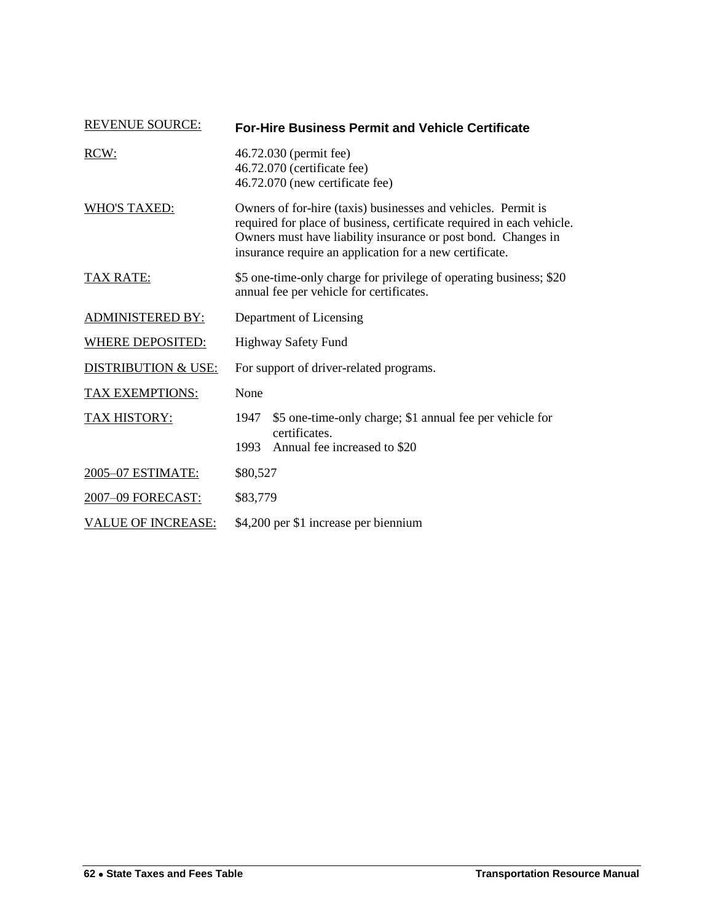<span id="page-31-0"></span>

| <b>REVENUE SOURCE:</b>         | <b>For-Hire Business Permit and Vehicle Certificate</b>                                                                                                                                                                                                            |  |
|--------------------------------|--------------------------------------------------------------------------------------------------------------------------------------------------------------------------------------------------------------------------------------------------------------------|--|
| RCW:                           | 46.72.030 (permit fee)<br>46.72.070 (certificate fee)<br>46.72.070 (new certificate fee)                                                                                                                                                                           |  |
| <b>WHO'S TAXED:</b>            | Owners of for-hire (taxis) businesses and vehicles. Permit is<br>required for place of business, certificate required in each vehicle.<br>Owners must have liability insurance or post bond. Changes in<br>insurance require an application for a new certificate. |  |
| TAX RATE:                      | \$5 one-time-only charge for privilege of operating business; \$20<br>annual fee per vehicle for certificates.                                                                                                                                                     |  |
| <b>ADMINISTERED BY:</b>        | Department of Licensing                                                                                                                                                                                                                                            |  |
| <b>WHERE DEPOSITED:</b>        | Highway Safety Fund                                                                                                                                                                                                                                                |  |
| <b>DISTRIBUTION &amp; USE:</b> | For support of driver-related programs.                                                                                                                                                                                                                            |  |
| <b>TAX EXEMPTIONS:</b>         | None                                                                                                                                                                                                                                                               |  |
| <b>TAX HISTORY:</b>            | \$5 one-time-only charge; \$1 annual fee per vehicle for<br>1947<br>certificates.                                                                                                                                                                                  |  |
|                                | Annual fee increased to \$20<br>1993                                                                                                                                                                                                                               |  |
| 2005-07 ESTIMATE:              | \$80,527                                                                                                                                                                                                                                                           |  |
| 2007-09 FORECAST:              | \$83,779                                                                                                                                                                                                                                                           |  |
| <b>VALUE OF INCREASE:</b>      | \$4,200 per \$1 increase per biennium                                                                                                                                                                                                                              |  |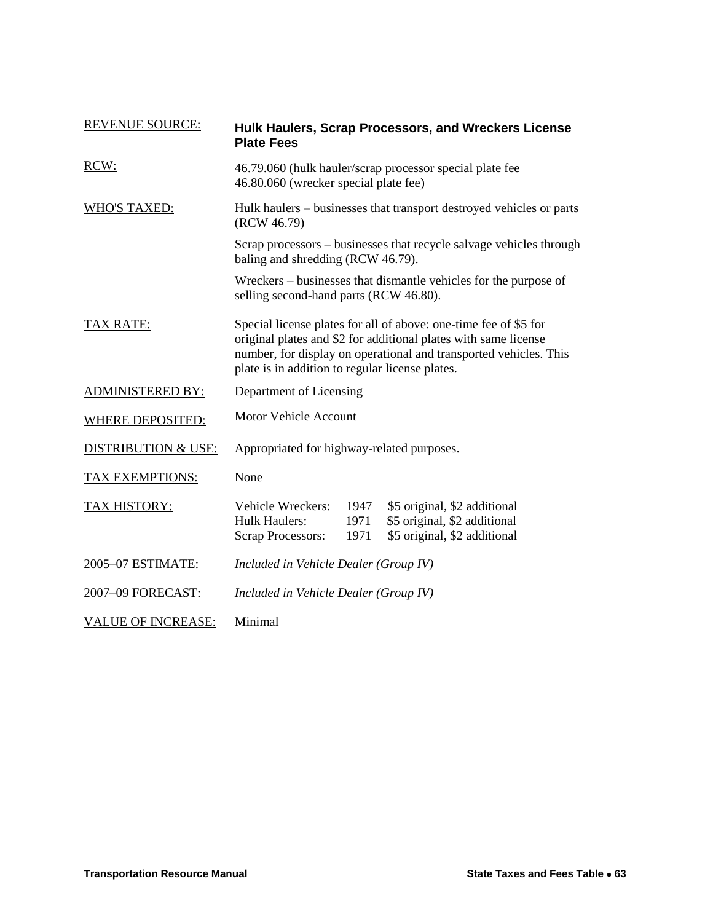<span id="page-32-0"></span>

| <b>REVENUE SOURCE:</b>         | <b>Plate Fees</b>                                                                                                                                                                                                                                           |                      | Hulk Haulers, Scrap Processors, and Wreckers License                                         |
|--------------------------------|-------------------------------------------------------------------------------------------------------------------------------------------------------------------------------------------------------------------------------------------------------------|----------------------|----------------------------------------------------------------------------------------------|
| RCW:                           | 46.79.060 (hulk hauler/scrap processor special plate fee<br>46.80.060 (wrecker special plate fee)                                                                                                                                                           |                      |                                                                                              |
| WHO'S TAXED:                   | Hulk haulers – businesses that transport destroyed vehicles or parts<br>(RCW 46.79)                                                                                                                                                                         |                      |                                                                                              |
|                                | baling and shredding (RCW 46.79).                                                                                                                                                                                                                           |                      | Scrap processors – businesses that recycle salvage vehicles through                          |
|                                | selling second-hand parts (RCW 46.80).                                                                                                                                                                                                                      |                      | Wreckers – businesses that dismantle vehicles for the purpose of                             |
| <b>TAX RATE:</b>               | Special license plates for all of above: one-time fee of \$5 for<br>original plates and \$2 for additional plates with same license<br>number, for display on operational and transported vehicles. This<br>plate is in addition to regular license plates. |                      |                                                                                              |
| <b>ADMINISTERED BY:</b>        | Department of Licensing                                                                                                                                                                                                                                     |                      |                                                                                              |
| <b>WHERE DEPOSITED:</b>        | <b>Motor Vehicle Account</b>                                                                                                                                                                                                                                |                      |                                                                                              |
| <b>DISTRIBUTION &amp; USE:</b> | Appropriated for highway-related purposes.                                                                                                                                                                                                                  |                      |                                                                                              |
| <b>TAX EXEMPTIONS:</b>         | None                                                                                                                                                                                                                                                        |                      |                                                                                              |
| TAX HISTORY:                   | Vehicle Wreckers:<br><b>Hulk Haulers:</b><br><b>Scrap Processors:</b>                                                                                                                                                                                       | 1947<br>1971<br>1971 | \$5 original, \$2 additional<br>\$5 original, \$2 additional<br>\$5 original, \$2 additional |
| 2005-07 ESTIMATE:              | Included in Vehicle Dealer (Group IV)                                                                                                                                                                                                                       |                      |                                                                                              |
| 2007-09 FORECAST:              | Included in Vehicle Dealer (Group IV)                                                                                                                                                                                                                       |                      |                                                                                              |
| <b>VALUE OF INCREASE:</b>      | Minimal                                                                                                                                                                                                                                                     |                      |                                                                                              |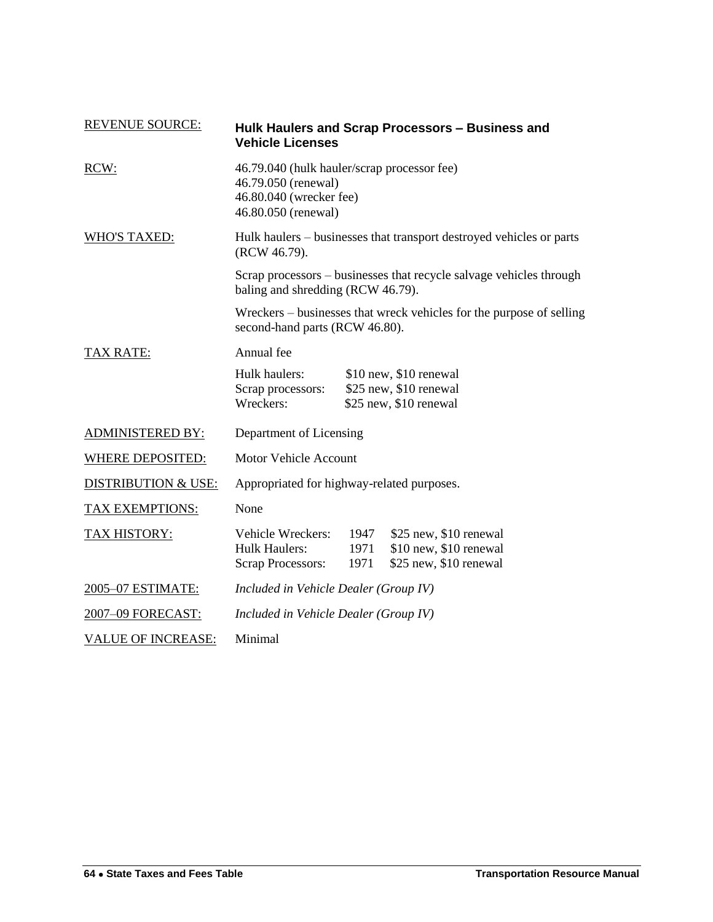| <b>REVENUE SOURCE:</b>         | <b>Vehicle Licenses</b>                                                                                              |                      | Hulk Haulers and Scrap Processors – Business and                           |
|--------------------------------|----------------------------------------------------------------------------------------------------------------------|----------------------|----------------------------------------------------------------------------|
| RCW:                           | 46.79.040 (hulk hauler/scrap processor fee)<br>46.79.050 (renewal)<br>46.80.040 (wrecker fee)<br>46.80.050 (renewal) |                      |                                                                            |
| <b>WHO'S TAXED:</b>            | Hulk haulers – businesses that transport destroyed vehicles or parts<br>(RCW 46.79).                                 |                      |                                                                            |
|                                | Scrap processors – businesses that recycle salvage vehicles through<br>baling and shredding (RCW 46.79).             |                      |                                                                            |
|                                | second-hand parts (RCW 46.80).                                                                                       |                      | Wreckers – businesses that wreck vehicles for the purpose of selling       |
| <b>TAX RATE:</b>               | Annual fee                                                                                                           |                      |                                                                            |
|                                | Hulk haulers:<br>Scrap processors:<br>Wreckers:                                                                      |                      | \$10 new, \$10 renewal<br>\$25 new, \$10 renewal<br>\$25 new, \$10 renewal |
| <b>ADMINISTERED BY:</b>        | Department of Licensing                                                                                              |                      |                                                                            |
| <b>WHERE DEPOSITED:</b>        | <b>Motor Vehicle Account</b>                                                                                         |                      |                                                                            |
| <b>DISTRIBUTION &amp; USE:</b> | Appropriated for highway-related purposes.                                                                           |                      |                                                                            |
| TAX EXEMPTIONS:                | None                                                                                                                 |                      |                                                                            |
| TAX HISTORY:                   | Vehicle Wreckers:<br><b>Hulk Haulers:</b><br><b>Scrap Processors:</b>                                                | 1947<br>1971<br>1971 | \$25 new, \$10 renewal<br>\$10 new, \$10 renewal<br>\$25 new, \$10 renewal |
| 2005-07 ESTIMATE:              | Included in Vehicle Dealer (Group IV)                                                                                |                      |                                                                            |
| 2007-09 FORECAST:              | Included in Vehicle Dealer (Group IV)                                                                                |                      |                                                                            |
| <b>VALUE OF INCREASE:</b>      | Minimal                                                                                                              |                      |                                                                            |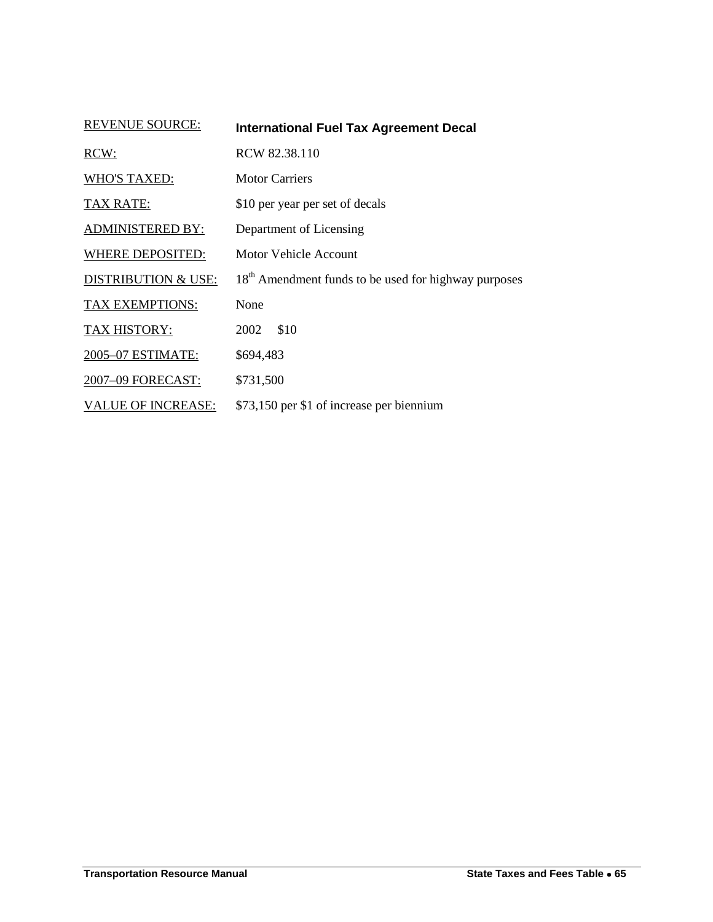| <b>REVENUE SOURCE:</b>         | <b>International Fuel Tax Agreement Decal</b>                    |  |  |
|--------------------------------|------------------------------------------------------------------|--|--|
| RCW:                           | RCW 82.38.110                                                    |  |  |
| <b>WHO'S TAXED:</b>            | <b>Motor Carriers</b>                                            |  |  |
| <b>TAX RATE:</b>               | \$10 per year per set of decals                                  |  |  |
| <b>ADMINISTERED BY:</b>        | Department of Licensing                                          |  |  |
| WHERE DEPOSITED:               | Motor Vehicle Account                                            |  |  |
| <b>DISTRIBUTION &amp; USE:</b> | 18 <sup>th</sup> Amendment funds to be used for highway purposes |  |  |
| TAX EXEMPTIONS:                | None                                                             |  |  |
| TAX HISTORY:                   | \$10<br>2002                                                     |  |  |
| 2005-07 ESTIMATE:              | \$694,483                                                        |  |  |
| 2007-09 FORECAST:              | \$731,500                                                        |  |  |
| <b>VALUE OF INCREASE:</b>      | \$73,150 per \$1 of increase per biennium                        |  |  |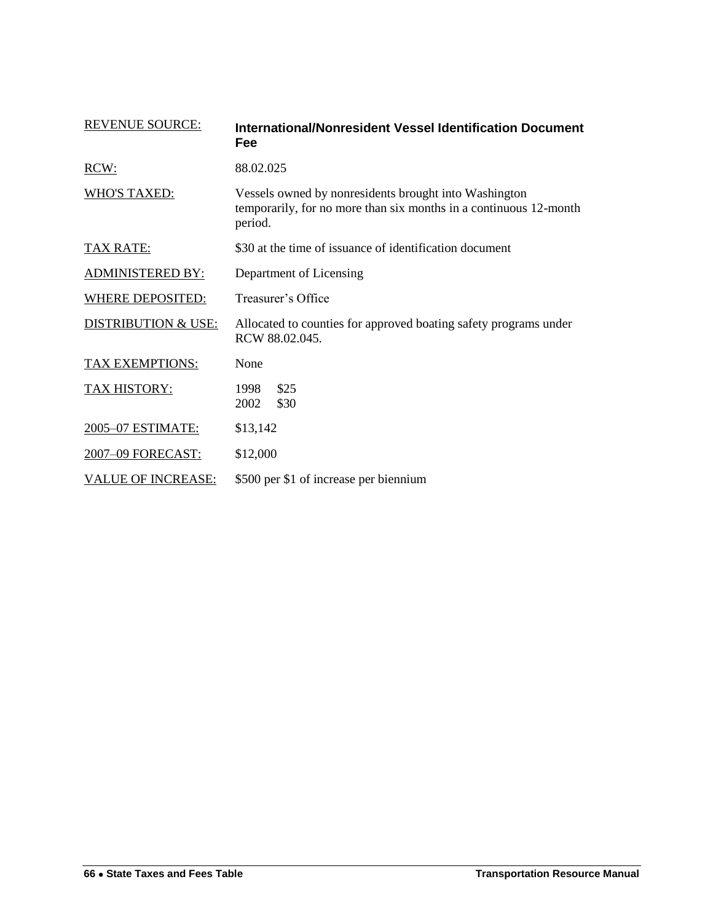<span id="page-35-0"></span>

| <b>REVENUE SOURCE:</b>         | International/Nonresident Vessel Identification Document<br>Fee                                                                       |  |
|--------------------------------|---------------------------------------------------------------------------------------------------------------------------------------|--|
| RCW:                           | 88.02.025                                                                                                                             |  |
| WHO'S TAXED:                   | Vessels owned by nonresidents brought into Washington<br>temporarily, for no more than six months in a continuous 12-month<br>period. |  |
| TAX RATE:                      | \$30 at the time of issuance of identification document                                                                               |  |
| <b>ADMINISTERED BY:</b>        | Department of Licensing                                                                                                               |  |
| <b>WHERE DEPOSITED:</b>        | Treasurer's Office                                                                                                                    |  |
| <b>DISTRIBUTION &amp; USE:</b> | Allocated to counties for approved boating safety programs under<br>RCW 88.02.045.                                                    |  |
| TAX EXEMPTIONS:                | None                                                                                                                                  |  |
| <b>TAX HISTORY:</b>            | \$25<br>1998<br>\$30<br>2002                                                                                                          |  |
| 2005-07 ESTIMATE:              | \$13,142                                                                                                                              |  |
| 2007-09 FORECAST:              | \$12,000                                                                                                                              |  |
| <b>VALUE OF INCREASE:</b>      | \$500 per \$1 of increase per biennium                                                                                                |  |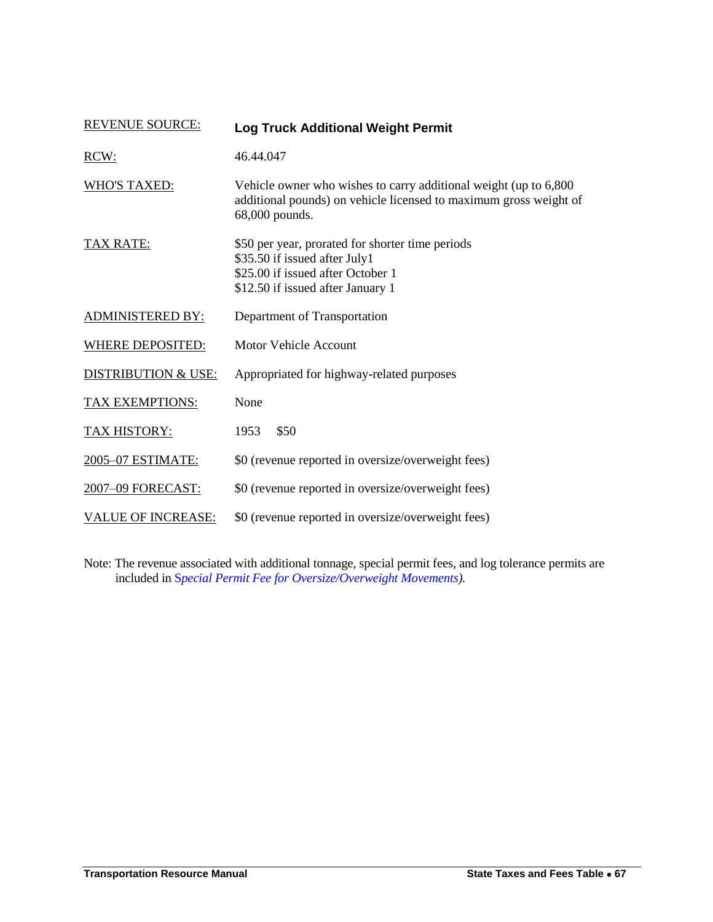| <b>REVENUE SOURCE:</b>         | <b>Log Truck Additional Weight Permit</b>                                                                                                                   |
|--------------------------------|-------------------------------------------------------------------------------------------------------------------------------------------------------------|
| RCW:                           | 46.44.047                                                                                                                                                   |
| <b>WHO'S TAXED:</b>            | Vehicle owner who wishes to carry additional weight (up to 6,800)<br>additional pounds) on vehicle licensed to maximum gross weight of<br>68,000 pounds.    |
| <b>TAX RATE:</b>               | \$50 per year, prorated for shorter time periods<br>\$35.50 if issued after July1<br>\$25.00 if issued after October 1<br>\$12.50 if issued after January 1 |
| <b>ADMINISTERED BY:</b>        | Department of Transportation                                                                                                                                |
| WHERE DEPOSITED:               | Motor Vehicle Account                                                                                                                                       |
| <b>DISTRIBUTION &amp; USE:</b> | Appropriated for highway-related purposes                                                                                                                   |
| TAX EXEMPTIONS:                | None                                                                                                                                                        |
| <b>TAX HISTORY:</b>            | \$50<br>1953                                                                                                                                                |
| 2005-07 ESTIMATE:              | \$0 (revenue reported in oversize/overweight fees)                                                                                                          |
| 2007-09 FORECAST:              | \$0 (revenue reported in oversize/overweight fees)                                                                                                          |
| <b>VALUE OF INCREASE:</b>      | \$0 (revenue reported in oversize/overweight fees)                                                                                                          |

Note: The revenue associated with additional tonnage, special permit fees, and log tolerance permits are included in S*[pecial Permit Fee for Oversize/Overweight Movements\)](#page-72-0).*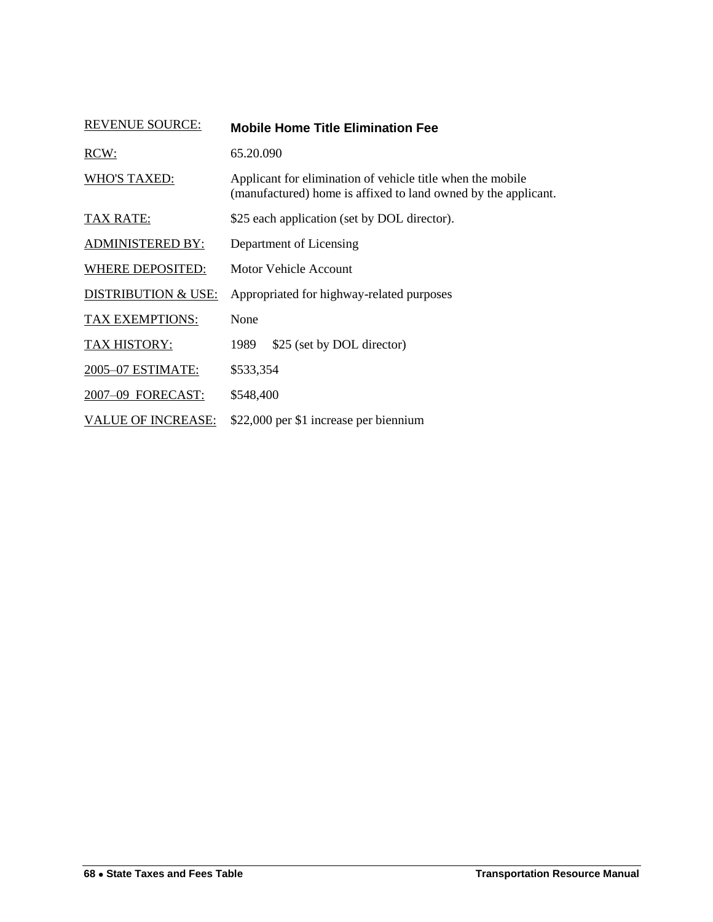| <b>REVENUE SOURCE:</b>         | <b>Mobile Home Title Elimination Fee</b>                                                                                     |
|--------------------------------|------------------------------------------------------------------------------------------------------------------------------|
| RCW:                           | 65.20.090                                                                                                                    |
| <b>WHO'S TAXED:</b>            | Applicant for elimination of vehicle title when the mobile<br>(manufactured) home is affixed to land owned by the applicant. |
| <b>TAX RATE:</b>               | \$25 each application (set by DOL director).                                                                                 |
| <b>ADMINISTERED BY:</b>        | Department of Licensing                                                                                                      |
| WHERE DEPOSITED:               | Motor Vehicle Account                                                                                                        |
| <b>DISTRIBUTION &amp; USE:</b> | Appropriated for highway-related purposes                                                                                    |
| TAX EXEMPTIONS:                | None                                                                                                                         |
| <b>TAX HISTORY:</b>            | 1989<br>\$25 (set by DOL director)                                                                                           |
| 2005-07 ESTIMATE:              | \$533,354                                                                                                                    |
| 2007-09 FORECAST:              | \$548,400                                                                                                                    |
| <b>VALUE OF INCREASE:</b>      | \$22,000 per \$1 increase per biennium                                                                                       |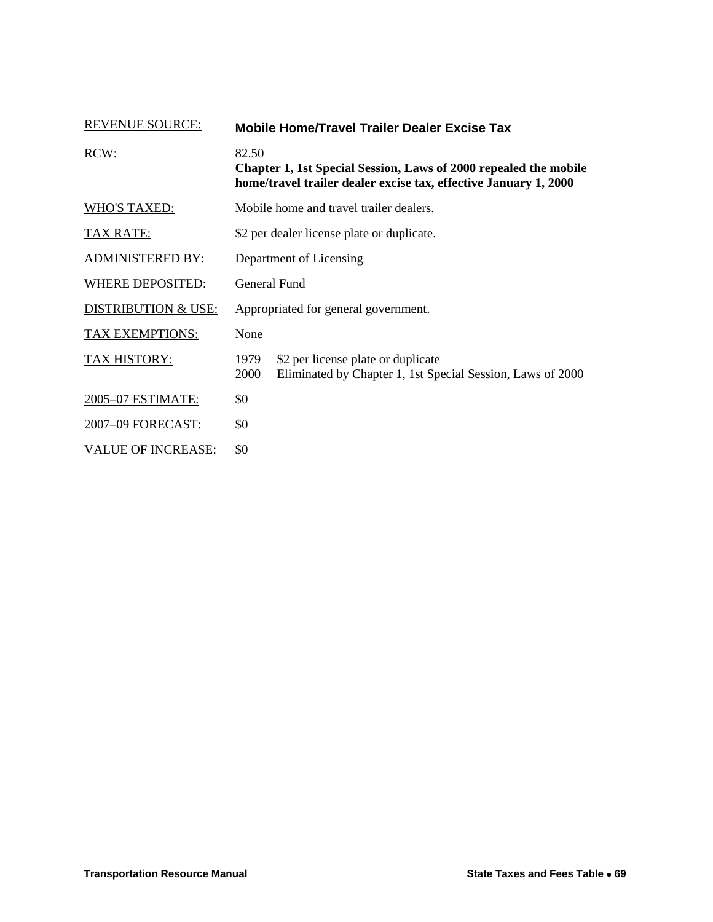| <b>REVENUE SOURCE:</b>         | <b>Mobile Home/Travel Trailer Dealer Excise Tax</b>                                                                                           |                                                                                                  |  |
|--------------------------------|-----------------------------------------------------------------------------------------------------------------------------------------------|--------------------------------------------------------------------------------------------------|--|
| RCW:                           | 82.50<br>Chapter 1, 1st Special Session, Laws of 2000 repealed the mobile<br>home/travel trailer dealer excise tax, effective January 1, 2000 |                                                                                                  |  |
| <b>WHO'S TAXED:</b>            | Mobile home and travel trailer dealers.                                                                                                       |                                                                                                  |  |
| TAX RATE:                      | \$2 per dealer license plate or duplicate.                                                                                                    |                                                                                                  |  |
| <b>ADMINISTERED BY:</b>        | Department of Licensing                                                                                                                       |                                                                                                  |  |
| WHERE DEPOSITED:               | General Fund                                                                                                                                  |                                                                                                  |  |
| <b>DISTRIBUTION &amp; USE:</b> |                                                                                                                                               | Appropriated for general government.                                                             |  |
| <b>TAX EXEMPTIONS:</b>         | None                                                                                                                                          |                                                                                                  |  |
| TAX HISTORY:                   | 1979<br>2000                                                                                                                                  | \$2 per license plate or duplicate<br>Eliminated by Chapter 1, 1st Special Session, Laws of 2000 |  |
| 2005-07 ESTIMATE:              | \$0                                                                                                                                           |                                                                                                  |  |
| 2007-09 FORECAST:              | \$0                                                                                                                                           |                                                                                                  |  |
| <b>VALUE OF INCREASE:</b>      | \$0                                                                                                                                           |                                                                                                  |  |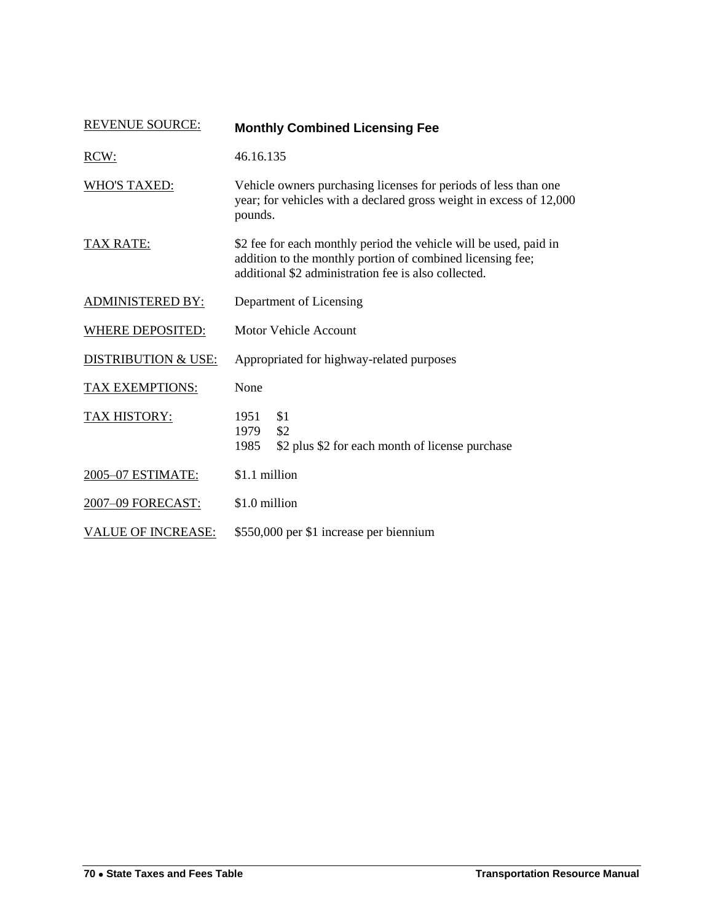| <b>REVENUE SOURCE:</b>         | <b>Monthly Combined Licensing Fee</b>                                                                                                                                                   |  |  |
|--------------------------------|-----------------------------------------------------------------------------------------------------------------------------------------------------------------------------------------|--|--|
| RCW:                           | 46.16.135                                                                                                                                                                               |  |  |
| <b>WHO'S TAXED:</b>            | Vehicle owners purchasing licenses for periods of less than one<br>year; for vehicles with a declared gross weight in excess of 12,000<br>pounds.                                       |  |  |
| <b>TAX RATE:</b>               | \$2 fee for each monthly period the vehicle will be used, paid in<br>addition to the monthly portion of combined licensing fee;<br>additional \$2 administration fee is also collected. |  |  |
| <b>ADMINISTERED BY:</b>        | Department of Licensing                                                                                                                                                                 |  |  |
| <b>WHERE DEPOSITED:</b>        | <b>Motor Vehicle Account</b>                                                                                                                                                            |  |  |
| <b>DISTRIBUTION &amp; USE:</b> | Appropriated for highway-related purposes                                                                                                                                               |  |  |
| <b>TAX EXEMPTIONS:</b>         | None                                                                                                                                                                                    |  |  |
| TAX HISTORY:                   | \$1<br>1951<br>\$2<br>1979<br>\$2 plus \$2 for each month of license purchase<br>1985                                                                                                   |  |  |
| 2005-07 ESTIMATE:              | \$1.1 million                                                                                                                                                                           |  |  |
| 2007-09 FORECAST:              | \$1.0 million                                                                                                                                                                           |  |  |
| <b>VALUE OF INCREASE:</b>      | \$550,000 per \$1 increase per biennium                                                                                                                                                 |  |  |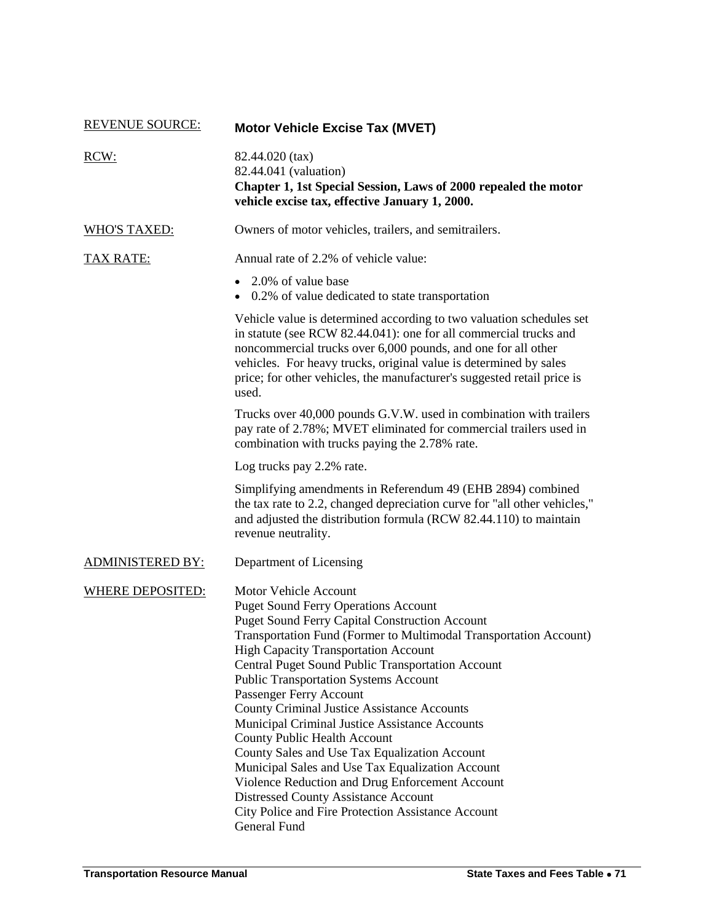| <b>REVENUE SOURCE:</b>  | <b>Motor Vehicle Excise Tax (MVET)</b>                                                                                                                                                                                                                                                                                                                                                                                                                                                                                                                                                                                                                                                                                                                                                                        |
|-------------------------|---------------------------------------------------------------------------------------------------------------------------------------------------------------------------------------------------------------------------------------------------------------------------------------------------------------------------------------------------------------------------------------------------------------------------------------------------------------------------------------------------------------------------------------------------------------------------------------------------------------------------------------------------------------------------------------------------------------------------------------------------------------------------------------------------------------|
| RCW:                    | 82.44.020 (tax)<br>82.44.041 (valuation)<br>Chapter 1, 1st Special Session, Laws of 2000 repealed the motor<br>vehicle excise tax, effective January 1, 2000.                                                                                                                                                                                                                                                                                                                                                                                                                                                                                                                                                                                                                                                 |
| <b>WHO'S TAXED:</b>     | Owners of motor vehicles, trailers, and semitrailers.                                                                                                                                                                                                                                                                                                                                                                                                                                                                                                                                                                                                                                                                                                                                                         |
| TAX RATE:               | Annual rate of 2.2% of vehicle value:                                                                                                                                                                                                                                                                                                                                                                                                                                                                                                                                                                                                                                                                                                                                                                         |
|                         | • 2.0% of value base<br>• 0.2% of value dedicated to state transportation                                                                                                                                                                                                                                                                                                                                                                                                                                                                                                                                                                                                                                                                                                                                     |
|                         | Vehicle value is determined according to two valuation schedules set<br>in statute (see RCW 82.44.041): one for all commercial trucks and<br>noncommercial trucks over 6,000 pounds, and one for all other<br>vehicles. For heavy trucks, original value is determined by sales<br>price; for other vehicles, the manufacturer's suggested retail price is<br>used.                                                                                                                                                                                                                                                                                                                                                                                                                                           |
|                         | Trucks over 40,000 pounds G.V.W. used in combination with trailers<br>pay rate of 2.78%; MVET eliminated for commercial trailers used in<br>combination with trucks paying the 2.78% rate.                                                                                                                                                                                                                                                                                                                                                                                                                                                                                                                                                                                                                    |
|                         | Log trucks pay 2.2% rate.                                                                                                                                                                                                                                                                                                                                                                                                                                                                                                                                                                                                                                                                                                                                                                                     |
|                         | Simplifying amendments in Referendum 49 (EHB 2894) combined<br>the tax rate to 2.2, changed depreciation curve for "all other vehicles,"<br>and adjusted the distribution formula (RCW 82.44.110) to maintain<br>revenue neutrality.                                                                                                                                                                                                                                                                                                                                                                                                                                                                                                                                                                          |
| <b>ADMINISTERED BY:</b> | Department of Licensing                                                                                                                                                                                                                                                                                                                                                                                                                                                                                                                                                                                                                                                                                                                                                                                       |
| <b>WHERE DEPOSITED:</b> | <b>Motor Vehicle Account</b><br><b>Puget Sound Ferry Operations Account</b><br><b>Puget Sound Ferry Capital Construction Account</b><br>Transportation Fund (Former to Multimodal Transportation Account)<br><b>High Capacity Transportation Account</b><br>Central Puget Sound Public Transportation Account<br><b>Public Transportation Systems Account</b><br>Passenger Ferry Account<br><b>County Criminal Justice Assistance Accounts</b><br>Municipal Criminal Justice Assistance Accounts<br>County Public Health Account<br>County Sales and Use Tax Equalization Account<br>Municipal Sales and Use Tax Equalization Account<br>Violence Reduction and Drug Enforcement Account<br><b>Distressed County Assistance Account</b><br>City Police and Fire Protection Assistance Account<br>General Fund |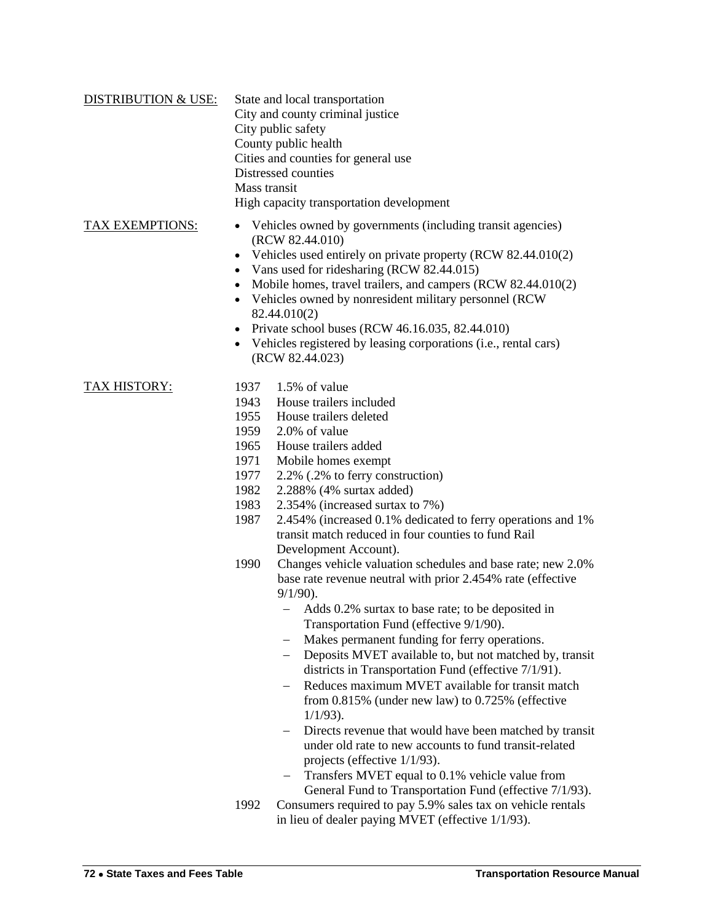| <b>DISTRIBUTION &amp; USE:</b> | State and local transportation           |
|--------------------------------|------------------------------------------|
|                                | City and county criminal justice         |
|                                | City public safety                       |
|                                | County public health                     |
|                                | Cities and counties for general use      |
|                                | Distressed counties                      |
|                                | Mass transit                             |
|                                | High capacity transportation development |
|                                |                                          |

### TAX EXEMPTIONS: Vehicles owned by governments (including transit agencies)

- (RCW 82.44.010)
- Vehicles used entirely on private property (RCW 82.44.010(2)
- Vans used for ridesharing (RCW 82.44.015)
- Mobile homes, travel trailers, and campers (RCW 82.44.010(2)
- Vehicles owned by nonresident military personnel (RCW 82.44.010(2)
- Private school buses (RCW  $46.16.035$ ,  $82.44.010$ )
- Vehicles registered by leasing corporations (i.e., rental cars) (RCW 82.44.023)

- TAX HISTORY: 1937 1.5% of value
	- 1943 House trailers included
	- 1955 House trailers deleted
	- 1959 2.0% of value
	- 1965 House trailers added
	- 1971 Mobile homes exempt
	- 1977 2.2% (.2% to ferry construction)
	- 1982 2.288% (4% surtax added)
	- 1983 2.354% (increased surtax to 7%)
	- 1987 2.454% (increased 0.1% dedicated to ferry operations and 1% transit match reduced in four counties to fund Rail Development Account).
	- 1990 Changes vehicle valuation schedules and base rate; new 2.0% base rate revenue neutral with prior 2.454% rate (effective 9/1/90).
		- Adds 0.2% surtax to base rate; to be deposited in Transportation Fund (effective 9/1/90).
		- Makes permanent funding for ferry operations.
		- Deposits MVET available to, but not matched by, transit districts in Transportation Fund (effective 7/1/91).
		- Reduces maximum MVET available for transit match from 0.815% (under new law) to 0.725% (effective 1/1/93).
		- Directs revenue that would have been matched by transit under old rate to new accounts to fund transit-related projects (effective 1/1/93).
		- Transfers MVET equal to 0.1% vehicle value from General Fund to Transportation Fund (effective 7/1/93).
	- 1992 Consumers required to pay 5.9% sales tax on vehicle rentals in lieu of dealer paying MVET (effective 1/1/93).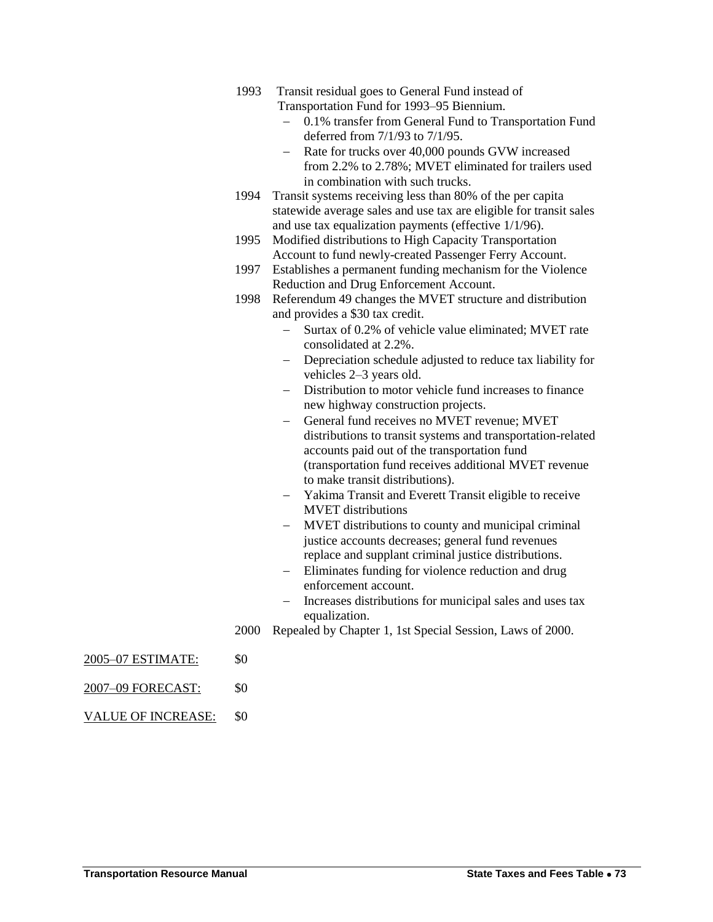- 1993 Transit residual goes to General Fund instead of Transportation Fund for 1993–95 Biennium.
	- 0.1% transfer from General Fund to Transportation Fund deferred from 7/1/93 to 7/1/95.
	- Rate for trucks over 40,000 pounds GVW increased from 2.2% to 2.78%; MVET eliminated for trailers used in combination with such trucks.
- 1994 Transit systems receiving less than 80% of the per capita statewide average sales and use tax are eligible for transit sales and use tax equalization payments (effective 1/1/96).
- 1995 Modified distributions to High Capacity Transportation Account to fund newly-created Passenger Ferry Account.
- 1997 Establishes a permanent funding mechanism for the Violence Reduction and Drug Enforcement Account.
- 1998 Referendum 49 changes the MVET structure and distribution and provides a \$30 tax credit.
	- Surtax of 0.2% of vehicle value eliminated; MVET rate consolidated at 2.2%.
	- Depreciation schedule adjusted to reduce tax liability for vehicles 2–3 years old.
	- Distribution to motor vehicle fund increases to finance new highway construction projects.
	- General fund receives no MVET revenue; MVET distributions to transit systems and transportation-related accounts paid out of the transportation fund (transportation fund receives additional MVET revenue to make transit distributions).
	- Yakima Transit and Everett Transit eligible to receive MVET distributions
	- MVET distributions to county and municipal criminal justice accounts decreases; general fund revenues replace and supplant criminal justice distributions.
	- Eliminates funding for violence reduction and drug enforcement account.
	- Increases distributions for municipal sales and uses tax equalization.
- 2000 Repealed by Chapter 1, 1st Special Session, Laws of 2000.
- 2005–07 ESTIMATE: \$0
- 2007–09 FORECAST: \$0
- VALUE OF INCREASE: \$0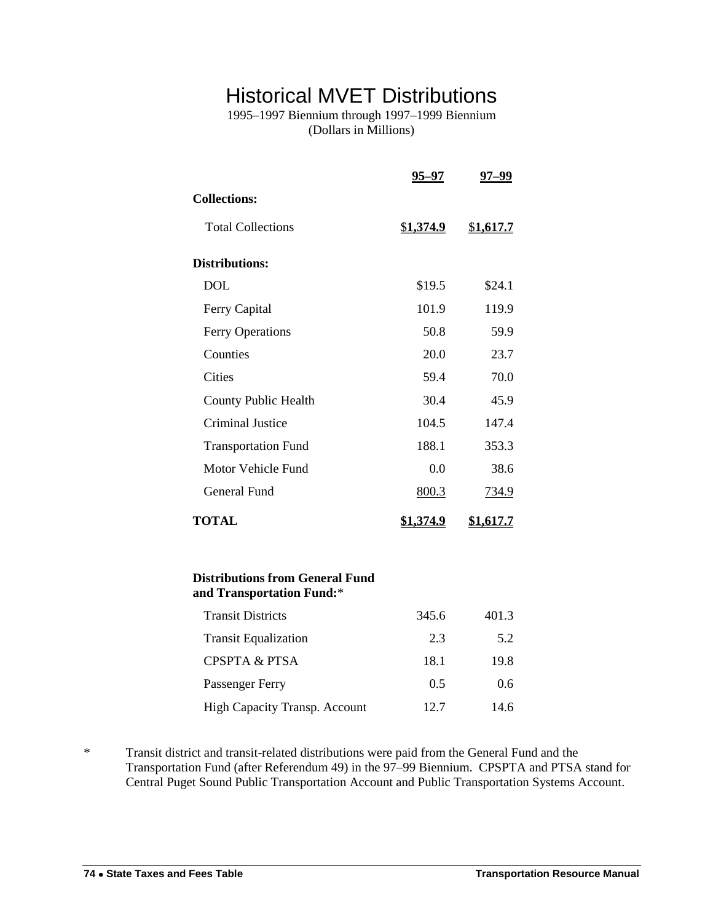## Historical MVET Distributions

1995–1997 Biennium through 1997–1999 Biennium (Dollars in Millions)

|                                                                     | 95–97            | 97–99            |
|---------------------------------------------------------------------|------------------|------------------|
| <b>Collections:</b>                                                 |                  |                  |
| <b>Total Collections</b>                                            | <u>\$1,374.9</u> | \$1,617.7        |
| <b>Distributions:</b>                                               |                  |                  |
| <b>DOL</b>                                                          | \$19.5           | \$24.1           |
| Ferry Capital                                                       | 101.9            | 119.9            |
| <b>Ferry Operations</b>                                             | 50.8             | 59.9             |
| Counties                                                            | 20.0             | 23.7             |
| Cities                                                              | 59.4             | 70.0             |
| <b>County Public Health</b>                                         | 30.4             | 45.9             |
| <b>Criminal Justice</b>                                             | 104.5            | 147.4            |
| <b>Transportation Fund</b>                                          | 188.1            | 353.3            |
| Motor Vehicle Fund                                                  | 0.0              | 38.6             |
| General Fund                                                        | 800.3            | 734.9            |
| <b>TOTAL</b>                                                        | <u>\$1,374.9</u> | <u>\$1,617.7</u> |
| <b>Distributions from General Fund</b><br>and Transportation Fund:* |                  |                  |
| <b>Transit Districts</b>                                            | 345.6            | 401.3            |

| <b>Transit Districts</b>             | 345.6 | 401.3         |
|--------------------------------------|-------|---------------|
| <b>Transit Equalization</b>          | 2.3   | 5.2           |
| <b>CPSPTA &amp; PTSA</b>             | 18.1  | 19.8          |
| Passenger Ferry                      | 0.5   | $0.6^{\circ}$ |
| <b>High Capacity Transp. Account</b> | 12.7  | 14.6          |

\* Transit district and transit-related distributions were paid from the General Fund and the Transportation Fund (after Referendum 49) in the 97–99 Biennium. CPSPTA and PTSA stand for Central Puget Sound Public Transportation Account and Public Transportation Systems Account.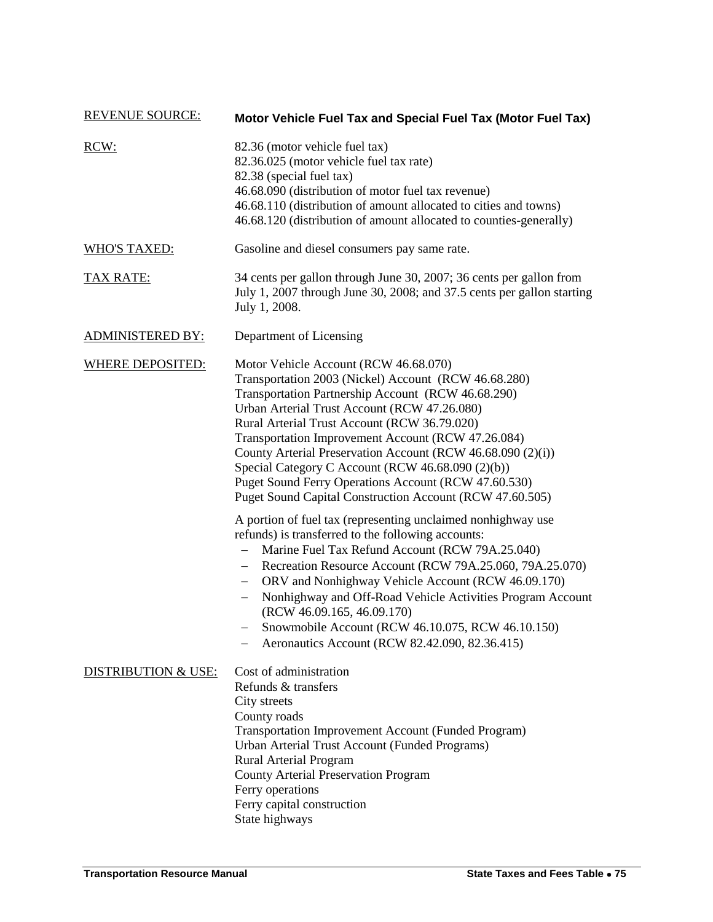| <b>REVENUE SOURCE:</b>         | Motor Vehicle Fuel Tax and Special Fuel Tax (Motor Fuel Tax)                                                                                                                                                                                                                                                                                                                                                                                                                                                                                                                                                                                                                                                                                                                                                                                                                                                                                                                                                                                           |
|--------------------------------|--------------------------------------------------------------------------------------------------------------------------------------------------------------------------------------------------------------------------------------------------------------------------------------------------------------------------------------------------------------------------------------------------------------------------------------------------------------------------------------------------------------------------------------------------------------------------------------------------------------------------------------------------------------------------------------------------------------------------------------------------------------------------------------------------------------------------------------------------------------------------------------------------------------------------------------------------------------------------------------------------------------------------------------------------------|
| RCW:                           | 82.36 (motor vehicle fuel tax)<br>82.36.025 (motor vehicle fuel tax rate)<br>82.38 (special fuel tax)<br>46.68.090 (distribution of motor fuel tax revenue)<br>46.68.110 (distribution of amount allocated to cities and towns)<br>46.68.120 (distribution of amount allocated to counties-generally)                                                                                                                                                                                                                                                                                                                                                                                                                                                                                                                                                                                                                                                                                                                                                  |
| <b>WHO'S TAXED:</b>            | Gasoline and diesel consumers pay same rate.                                                                                                                                                                                                                                                                                                                                                                                                                                                                                                                                                                                                                                                                                                                                                                                                                                                                                                                                                                                                           |
| <b>TAX RATE:</b>               | 34 cents per gallon through June 30, 2007; 36 cents per gallon from<br>July 1, 2007 through June 30, 2008; and 37.5 cents per gallon starting<br>July 1, 2008.                                                                                                                                                                                                                                                                                                                                                                                                                                                                                                                                                                                                                                                                                                                                                                                                                                                                                         |
| <b>ADMINISTERED BY:</b>        | Department of Licensing                                                                                                                                                                                                                                                                                                                                                                                                                                                                                                                                                                                                                                                                                                                                                                                                                                                                                                                                                                                                                                |
| <b>WHERE DEPOSITED:</b>        | Motor Vehicle Account (RCW 46.68.070)<br>Transportation 2003 (Nickel) Account (RCW 46.68.280)<br>Transportation Partnership Account (RCW 46.68.290)<br>Urban Arterial Trust Account (RCW 47.26.080)<br>Rural Arterial Trust Account (RCW 36.79.020)<br>Transportation Improvement Account (RCW 47.26.084)<br>County Arterial Preservation Account (RCW 46.68.090 (2)(i))<br>Special Category C Account (RCW 46.68.090 (2)(b))<br>Puget Sound Ferry Operations Account (RCW 47.60.530)<br>Puget Sound Capital Construction Account (RCW 47.60.505)<br>A portion of fuel tax (representing unclaimed nonhighway use<br>refunds) is transferred to the following accounts:<br>Marine Fuel Tax Refund Account (RCW 79A.25.040)<br>Recreation Resource Account (RCW 79A.25.060, 79A.25.070)<br>ORV and Nonhighway Vehicle Account (RCW 46.09.170)<br>$-$<br>Nonhighway and Off-Road Vehicle Activities Program Account<br>(RCW 46.09.165, 46.09.170)<br>Snowmobile Account (RCW 46.10.075, RCW 46.10.150)<br>Aeronautics Account (RCW 82.42.090, 82.36.415) |
| <b>DISTRIBUTION &amp; USE:</b> | Cost of administration<br>Refunds & transfers<br>City streets<br>County roads<br><b>Transportation Improvement Account (Funded Program)</b><br>Urban Arterial Trust Account (Funded Programs)<br>Rural Arterial Program<br><b>County Arterial Preservation Program</b><br>Ferry operations<br>Ferry capital construction<br>State highways                                                                                                                                                                                                                                                                                                                                                                                                                                                                                                                                                                                                                                                                                                             |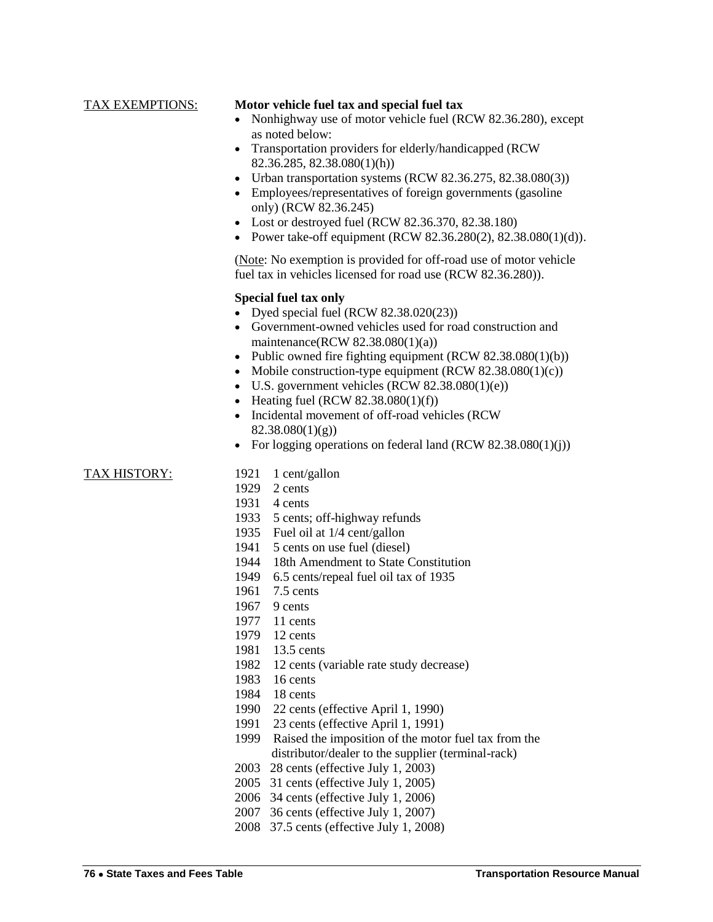#### TAX EXEMPTIONS: **Motor vehicle fuel tax and special fuel tax**

- Nonhighway use of motor vehicle fuel (RCW 82.36.280), except as noted below:
- Transportation providers for elderly/handicapped (RCW) 82.36.285, 82.38.080(1)(h))
- Urban transportation systems (RCW 82.36.275, 82.38.080(3))
- Employees/representatives of foreign governments (gasoline only) (RCW 82.36.245)
- Lost or destroyed fuel (RCW 82.36.370, 82.38.180)
- Power take-off equipment (RCW  $82.36.280(2)$ ,  $82.38.080(1)(d)$ ).

(Note: No exemption is provided for off-road use of motor vehicle fuel tax in vehicles licensed for road use (RCW 82.36.280)).

#### **Special fuel tax only**

- Dyed special fuel (RCW 82.38.020(23))
- Government-owned vehicles used for road construction and maintenance(RCW 82.38.080(1)(a))
- Public owned fire fighting equipment  $(RCW 82.38.080(1)(b))$
- Mobile construction-type equipment  $(RCW 82.38.080(1)(c))$
- $\bullet$  U.S. government vehicles (RCW 82.38.080(1)(e))
- Heating fuel (RCW  $82.38.080(1)(f)$ )
- Incidental movement of off-road vehicles (RCW  $82.38.080(1)(g)$
- For logging operations on federal land  $(RCW 82.38.080(1)(i))$

- TAX HISTORY: 1921 1 cent/gallon
	- 1929 2 cents
	- 1931 4 cents
	- 1933 5 cents; off-highway refunds
	- 1935 Fuel oil at 1/4 cent/gallon
	- 1941 5 cents on use fuel (diesel)
	- 1944 18th Amendment to State Constitution
	- 1949 6.5 cents/repeal fuel oil tax of 1935
	- 1961 7.5 cents
	- 1967 9 cents
	- 1977 11 cents
	- 1979 12 cents
	- 1981 13.5 cents
	- 1982 12 cents (variable rate study decrease)
	- 1983 16 cents
	- 1984 18 cents
	- 1990 22 cents (effective April 1, 1990)
	- 1991 23 cents (effective April 1, 1991)
	- 1999 Raised the imposition of the motor fuel tax from the distributor/dealer to the supplier (terminal-rack)
	- 2003 28 cents (effective July 1, 2003)
	- 2005 31 cents (effective July 1, 2005)
	- 2006 34 cents (effective July 1, 2006)
	- 2007 36 cents (effective July 1, 2007)
	- 2008 37.5 cents (effective July 1, 2008)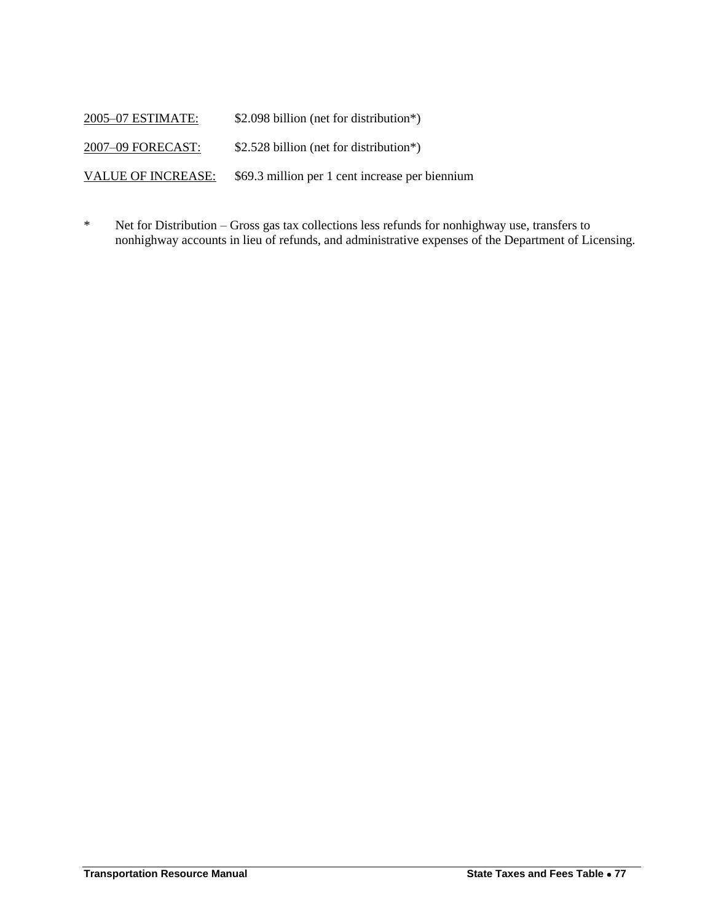2005–07 ESTIMATE: \$2.098 billion (net for distribution\*) 2007–09 FORECAST: \$2.528 billion (net for distribution\*) VALUE OF INCREASE: \$69.3 million per 1 cent increase per biennium

\* Net for Distribution – Gross gas tax collections less refunds for nonhighway use, transfers to nonhighway accounts in lieu of refunds, and administrative expenses of the Department of Licensing.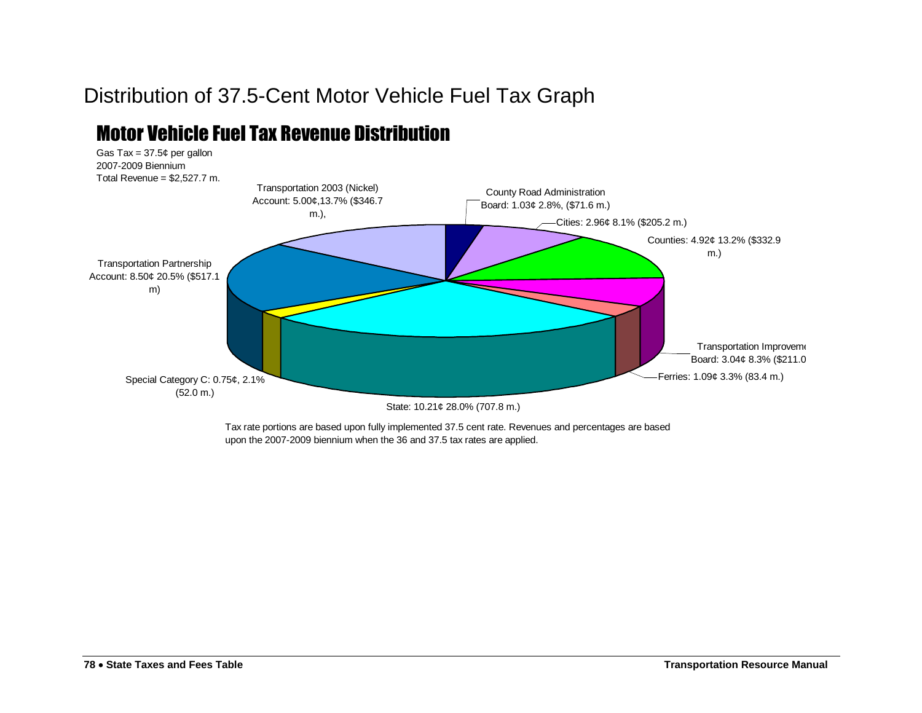# Distribution of 37.5-Cent Motor Vehicle Fuel Tax Graph

## Motor Vehicle Fuel Tax Revenue Distribution



Tax rate portions are based upon fully implemented 37.5 cent rate. Revenues and percentages are based upon the 2007-2009 biennium when the 36 and 37.5 tax rates are applied.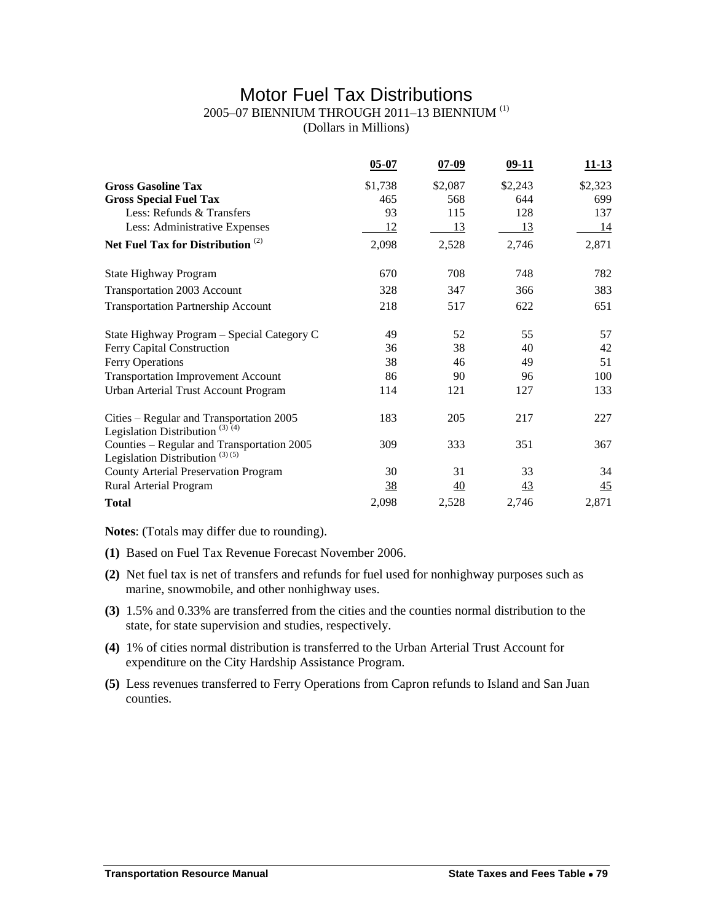## Motor Fuel Tax Distributions

### 2005–07 BIENNIUM THROUGH 2011–13 BIENNIUM (1)

(Dollars in Millions)

|                                                                                        | $05 - 07$      | $07 - 09$       | $09-11$   | <u>11-13</u>    |
|----------------------------------------------------------------------------------------|----------------|-----------------|-----------|-----------------|
| <b>Gross Gasoline Tax</b>                                                              | \$1,738        | \$2,087         | \$2,243   | \$2,323         |
| <b>Gross Special Fuel Tax</b>                                                          | 465            | 568             | 644       | 699             |
| Less: Refunds & Transfers                                                              | 93             | 115             | 128       | 137             |
| Less: Administrative Expenses                                                          | <u>12</u>      | 13              | 13        | 14              |
| Net Fuel Tax for Distribution <sup>(2)</sup>                                           | 2,098          | 2,528           | 2,746     | 2,871           |
| State Highway Program                                                                  | 670            | 708             | 748       | 782             |
| Transportation 2003 Account                                                            | 328            | 347             | 366       | 383             |
| <b>Transportation Partnership Account</b>                                              | 218            | 517             | 622       | 651             |
| State Highway Program - Special Category C                                             | 49             | 52              | 55        | 57              |
| Ferry Capital Construction                                                             | 36             | 38              | 40        | 42              |
| Ferry Operations                                                                       | 38             | 46              | 49        | 51              |
| <b>Transportation Improvement Account</b>                                              | 86             | 90              | 96        | 100             |
| Urban Arterial Trust Account Program                                                   | 114            | 121             | 127       | 133             |
| Cities – Regular and Transportation 2005<br>Legislation Distribution <sup>(3)(4)</sup> | 183            | 205             | 217       | 227             |
| Counties - Regular and Transportation 2005<br>Legislation Distribution $(3)(5)$        | 309            | 333             | 351       | 367             |
| <b>County Arterial Preservation Program</b>                                            | 30             | 31              | 33        | 34              |
| Rural Arterial Program                                                                 | $\frac{38}{5}$ | $\overline{40}$ | <u>43</u> | $\overline{45}$ |
| <b>Total</b>                                                                           | 2,098          | 2,528           | 2,746     | 2,871           |

**Notes**: (Totals may differ due to rounding).

- **(1)** Based on Fuel Tax Revenue Forecast November 2006.
- **(2)** Net fuel tax is net of transfers and refunds for fuel used for nonhighway purposes such as marine, snowmobile, and other nonhighway uses.
- **(3)** 1.5% and 0.33% are transferred from the cities and the counties normal distribution to the state, for state supervision and studies, respectively.
- **(4)** 1% of cities normal distribution is transferred to the Urban Arterial Trust Account for expenditure on the City Hardship Assistance Program.
- **(5)** Less revenues transferred to Ferry Operations from Capron refunds to Island and San Juan counties.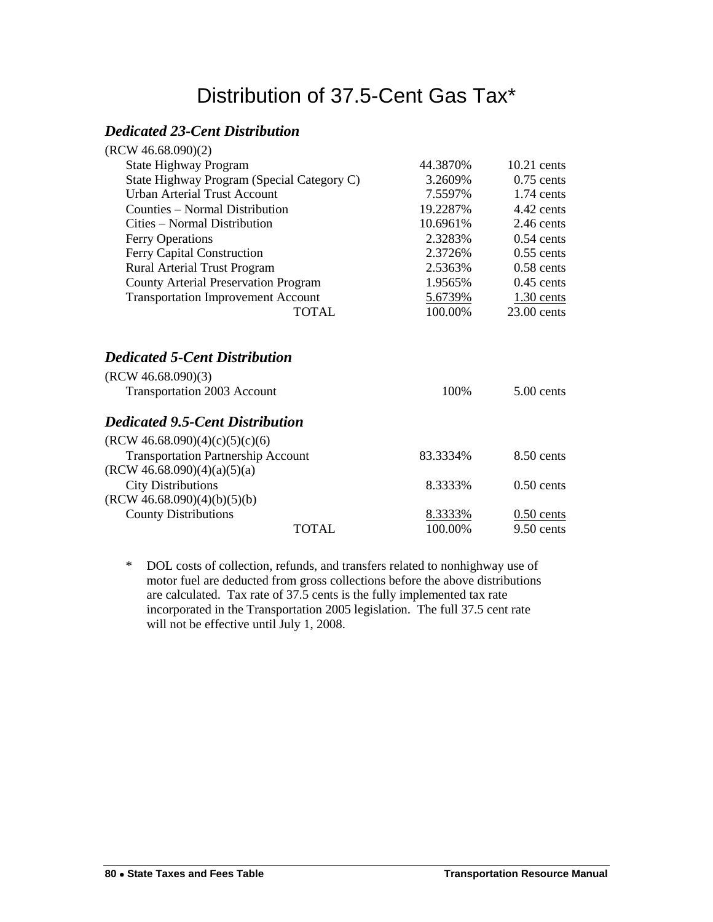# Distribution of 37.5-Cent Gas Tax\*

### *Dedicated 23-Cent Distribution*

| 44.3870\% | $10.21$ cents |
|-----------|---------------|
| 3.2609%   | $0.75$ cents  |
| 7.5597%   | $1.74$ cents  |
| 19.2287%  | $4.42$ cents  |
| 10.6961%  | $2.46$ cents  |
| 2.3283%   | $0.54$ cents  |
| 2.3726%   | $0.55$ cents  |
| 2.5363%   | $0.58$ cents  |
| 1.9565%   | $0.45$ cents  |
| 5.6739%   | $1.30$ cents  |
| 100.00%   | $23.00$ cents |
| 100%      | $5.00$ cents  |
|           |               |
|           |               |
| 83.3334%  |               |
|           | $8.50$ cents  |
|           |               |
| 8.3333%   | $0.50$ cents  |
|           |               |
| 8.3333%   | $0.50$ cents  |
|           |               |

\* DOL costs of collection, refunds, and transfers related to nonhighway use of motor fuel are deducted from gross collections before the above distributions are calculated. Tax rate of 37.5 cents is the fully implemented tax rate incorporated in the Transportation 2005 legislation. The full 37.5 cent rate will not be effective until July 1, 2008.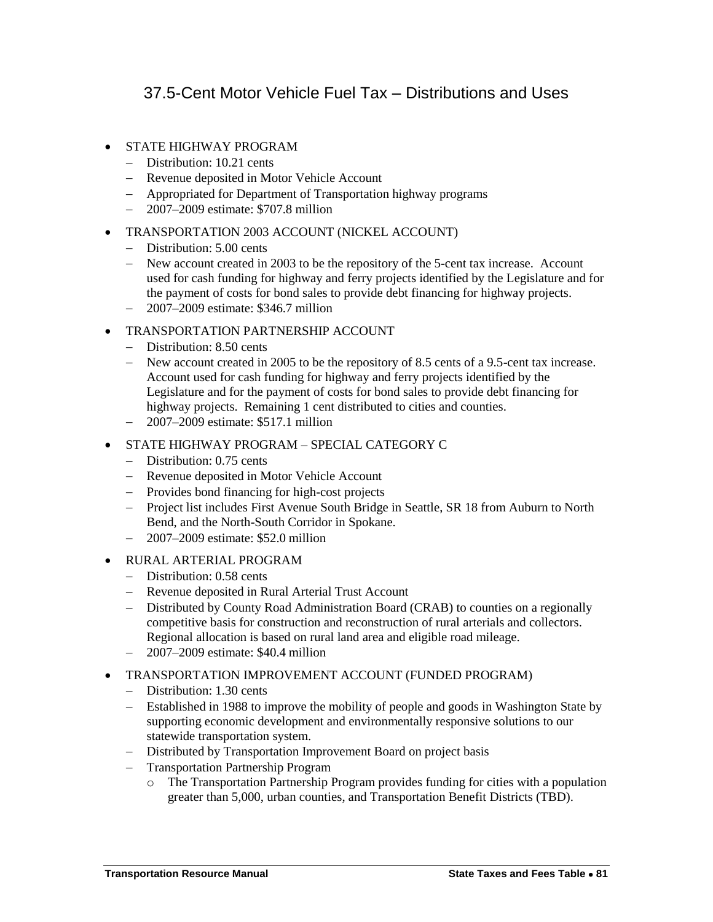## 37.5-Cent Motor Vehicle Fuel Tax – Distributions and Uses

- STATE HIGHWAY PROGRAM
	- Distribution: 10.21 cents
	- Revenue deposited in Motor Vehicle Account
	- Appropriated for Department of Transportation highway programs
	- 2007–2009 estimate: \$707.8 million
- TRANSPORTATION 2003 ACCOUNT (NICKEL ACCOUNT)
	- Distribution: 5.00 cents
	- New account created in 2003 to be the repository of the 5-cent tax increase. Account used for cash funding for highway and ferry projects identified by the Legislature and for the payment of costs for bond sales to provide debt financing for highway projects.
	- 2007–2009 estimate: \$346.7 million
- TRANSPORTATION PARTNERSHIP ACCOUNT
	- Distribution: 8.50 cents
	- New account created in 2005 to be the repository of 8.5 cents of a 9.5-cent tax increase. Account used for cash funding for highway and ferry projects identified by the Legislature and for the payment of costs for bond sales to provide debt financing for highway projects. Remaining 1 cent distributed to cities and counties.
	- 2007–2009 estimate: \$517.1 million
- STATE HIGHWAY PROGRAM SPECIAL CATEGORY C
	- Distribution: 0.75 cents
	- Revenue deposited in Motor Vehicle Account
	- Provides bond financing for high-cost projects
	- Project list includes First Avenue South Bridge in Seattle, SR 18 from Auburn to North Bend, and the North-South Corridor in Spokane.
	- 2007–2009 estimate: \$52.0 million
- RURAL ARTERIAL PROGRAM
	- Distribution: 0.58 cents
	- Revenue deposited in Rural Arterial Trust Account
	- Distributed by County Road Administration Board (CRAB) to counties on a regionally competitive basis for construction and reconstruction of rural arterials and collectors. Regional allocation is based on rural land area and eligible road mileage.
	- 2007–2009 estimate: \$40.4 million
- TRANSPORTATION IMPROVEMENT ACCOUNT (FUNDED PROGRAM)
	- Distribution: 1.30 cents
	- Established in 1988 to improve the mobility of people and goods in Washington State by supporting economic development and environmentally responsive solutions to our statewide transportation system.
	- Distributed by Transportation Improvement Board on project basis
	- Transportation Partnership Program
		- o The Transportation Partnership Program provides funding for cities with a population greater than 5,000, urban counties, and Transportation Benefit Districts (TBD).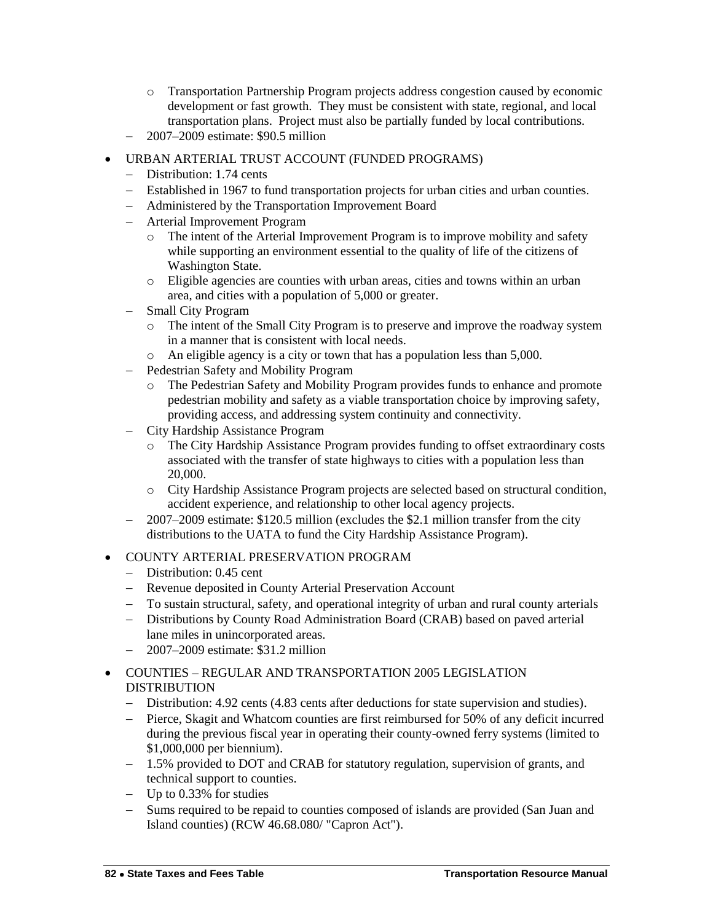- o Transportation Partnership Program projects address congestion caused by economic development or fast growth. They must be consistent with state, regional, and local transportation plans. Project must also be partially funded by local contributions.
- $-$  2007–2009 estimate: \$90.5 million
- URBAN ARTERIAL TRUST ACCOUNT (FUNDED PROGRAMS)
	- Distribution: 1.74 cents
	- Established in 1967 to fund transportation projects for urban cities and urban counties.
	- Administered by the Transportation Improvement Board
	- Arterial Improvement Program
		- o The intent of the Arterial Improvement Program is to improve mobility and safety while supporting an environment essential to the quality of life of the citizens of Washington State.
		- o Eligible agencies are counties with urban areas, cities and towns within an urban area, and cities with a population of 5,000 or greater.
	- Small City Program
		- o The intent of the Small City Program is to preserve and improve the roadway system in a manner that is consistent with local needs.
		- o An eligible agency is a city or town that has a population less than 5,000.
	- Pedestrian Safety and Mobility Program
		- o The Pedestrian Safety and Mobility Program provides funds to enhance and promote pedestrian mobility and safety as a viable transportation choice by improving safety, providing access, and addressing system continuity and connectivity.
	- City Hardship Assistance Program
		- o The City Hardship Assistance Program provides funding to offset extraordinary costs associated with the transfer of state highways to cities with a population less than 20,000.
		- o City Hardship Assistance Program projects are selected based on structural condition, accident experience, and relationship to other local agency projects.
	- 2007–2009 estimate: \$120.5 million (excludes the \$2.1 million transfer from the city distributions to the UATA to fund the City Hardship Assistance Program).
- COUNTY ARTERIAL PRESERVATION PROGRAM
	- Distribution: 0.45 cent
	- Revenue deposited in County Arterial Preservation Account
	- To sustain structural, safety, and operational integrity of urban and rural county arterials
	- Distributions by County Road Administration Board (CRAB) based on paved arterial lane miles in unincorporated areas.
	- $-2007-2009$  estimate: \$31.2 million
- COUNTIES REGULAR AND TRANSPORTATION 2005 LEGISLATION **DISTRIBUTION** 
	- Distribution: 4.92 cents (4.83 cents after deductions for state supervision and studies).
	- Pierce, Skagit and Whatcom counties are first reimbursed for 50% of any deficit incurred during the previous fiscal year in operating their county-owned ferry systems (limited to \$1,000,000 per biennium).
	- 1.5% provided to DOT and CRAB for statutory regulation, supervision of grants, and technical support to counties.
	- $-$  Up to 0.33% for studies
	- Sums required to be repaid to counties composed of islands are provided (San Juan and Island counties) (RCW 46.68.080/ "Capron Act").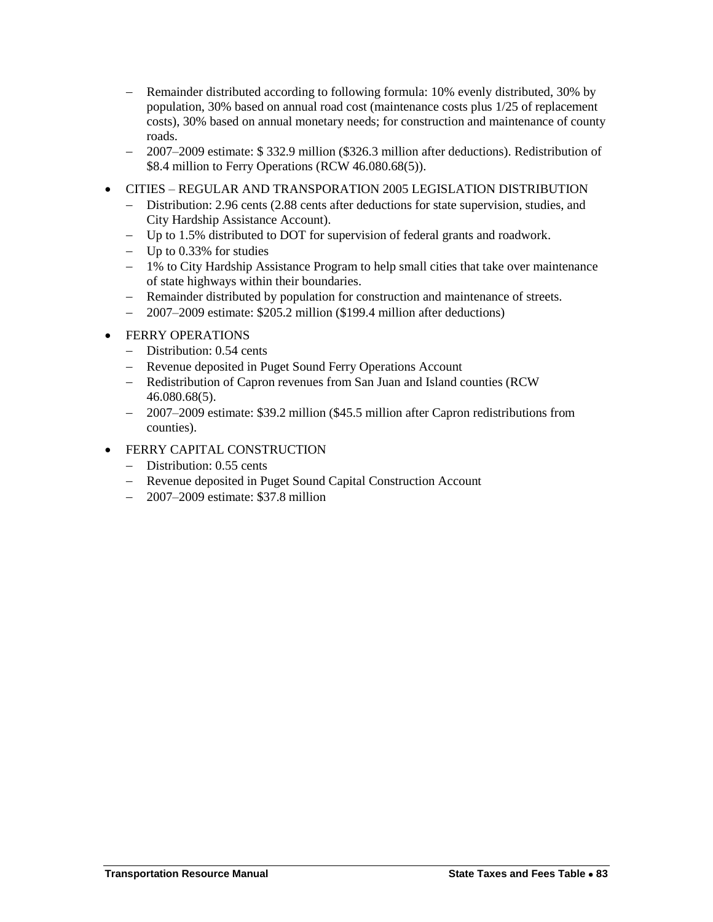- Remainder distributed according to following formula: 10% evenly distributed, 30% by population, 30% based on annual road cost (maintenance costs plus 1/25 of replacement costs), 30% based on annual monetary needs; for construction and maintenance of county roads.
- 2007–2009 estimate: \$ 332.9 million (\$326.3 million after deductions). Redistribution of \$8.4 million to Ferry Operations (RCW 46.080.68(5)).
- CITIES REGULAR AND TRANSPORATION 2005 LEGISLATION DISTRIBUTION
	- Distribution: 2.96 cents (2.88 cents after deductions for state supervision, studies, and City Hardship Assistance Account).
	- Up to 1.5% distributed to DOT for supervision of federal grants and roadwork.
	- $-$  Up to 0.33% for studies
	- 1% to City Hardship Assistance Program to help small cities that take over maintenance of state highways within their boundaries.
	- Remainder distributed by population for construction and maintenance of streets.
	- 2007–2009 estimate: \$205.2 million (\$199.4 million after deductions)
- FERRY OPERATIONS
	- Distribution: 0.54 cents
	- Revenue deposited in Puget Sound Ferry Operations Account
	- Redistribution of Capron revenues from San Juan and Island counties (RCW) 46.080.68(5).
	- 2007–2009 estimate: \$39.2 million (\$45.5 million after Capron redistributions from counties).
- FERRY CAPITAL CONSTRUCTION
	- Distribution: 0.55 cents
	- Revenue deposited in Puget Sound Capital Construction Account
	- 2007–2009 estimate: \$37.8 million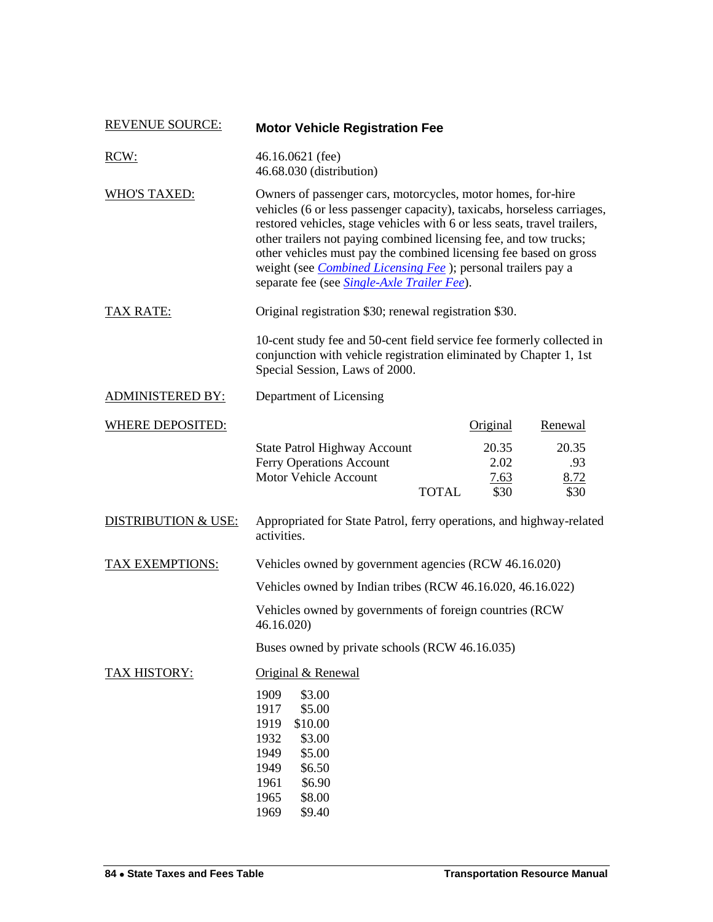| <b>REVENUE SOURCE:</b>         | <b>Motor Vehicle Registration Fee</b>                                                                                                                                                                                                                                                                                                                                                                                                                                                        |                               |                              |  |
|--------------------------------|----------------------------------------------------------------------------------------------------------------------------------------------------------------------------------------------------------------------------------------------------------------------------------------------------------------------------------------------------------------------------------------------------------------------------------------------------------------------------------------------|-------------------------------|------------------------------|--|
| RCW:                           | 46.16.0621 (fee)<br>46.68.030 (distribution)                                                                                                                                                                                                                                                                                                                                                                                                                                                 |                               |                              |  |
| <b>WHO'S TAXED:</b>            | Owners of passenger cars, motorcycles, motor homes, for-hire<br>vehicles (6 or less passenger capacity), taxicabs, horseless carriages,<br>restored vehicles, stage vehicles with 6 or less seats, travel trailers,<br>other trailers not paying combined licensing fee, and tow trucks;<br>other vehicles must pay the combined licensing fee based on gross<br>weight (see <i>Combined Licensing Fee</i> ); personal trailers pay a<br>separate fee (see <i>Single-Axle Trailer Fee</i> ). |                               |                              |  |
| TAX RATE:                      | Original registration \$30; renewal registration \$30.                                                                                                                                                                                                                                                                                                                                                                                                                                       |                               |                              |  |
|                                | 10-cent study fee and 50-cent field service fee formerly collected in<br>conjunction with vehicle registration eliminated by Chapter 1, 1st<br>Special Session, Laws of 2000.                                                                                                                                                                                                                                                                                                                |                               |                              |  |
| <b>ADMINISTERED BY:</b>        | Department of Licensing                                                                                                                                                                                                                                                                                                                                                                                                                                                                      |                               |                              |  |
| <b>WHERE DEPOSITED:</b>        |                                                                                                                                                                                                                                                                                                                                                                                                                                                                                              | Original                      | Renewal                      |  |
|                                | <b>State Patrol Highway Account</b><br>Ferry Operations Account<br>Motor Vehicle Account<br><b>TOTAL</b>                                                                                                                                                                                                                                                                                                                                                                                     | 20.35<br>2.02<br>7.63<br>\$30 | 20.35<br>.93<br>8.72<br>\$30 |  |
| <b>DISTRIBUTION &amp; USE:</b> | Appropriated for State Patrol, ferry operations, and highway-related<br>activities.                                                                                                                                                                                                                                                                                                                                                                                                          |                               |                              |  |
| TAX EXEMPTIONS:                | Vehicles owned by government agencies (RCW 46.16.020)                                                                                                                                                                                                                                                                                                                                                                                                                                        |                               |                              |  |
|                                | Vehicles owned by Indian tribes (RCW 46.16.020, 46.16.022)                                                                                                                                                                                                                                                                                                                                                                                                                                   |                               |                              |  |
|                                | Vehicles owned by governments of foreign countries (RCW)<br>46.16.020                                                                                                                                                                                                                                                                                                                                                                                                                        |                               |                              |  |
|                                | Buses owned by private schools (RCW 46.16.035)                                                                                                                                                                                                                                                                                                                                                                                                                                               |                               |                              |  |
| TAX HISTORY:                   | Original & Renewal<br>1909<br>\$3.00<br>1917<br>\$5.00<br>1919<br>\$10.00<br>1932<br>\$3.00<br>1949<br>\$5.00<br>1949<br>\$6.50<br>1961<br>\$6.90<br>1965<br>\$8.00<br>1969<br>\$9.40                                                                                                                                                                                                                                                                                                        |                               |                              |  |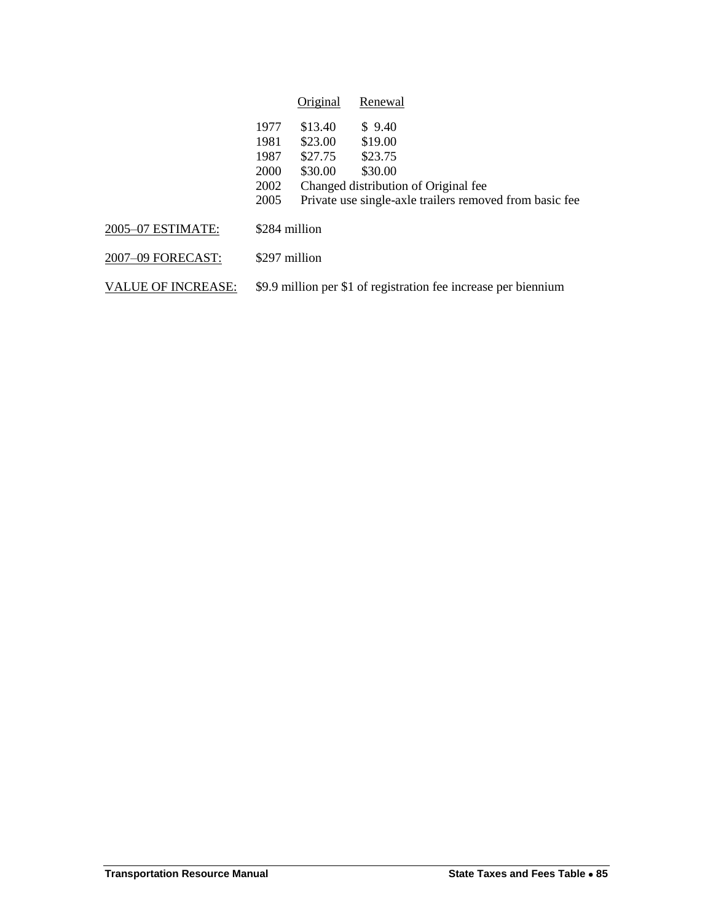|                           |                                                                 | Original | Renewal                                                 |
|---------------------------|-----------------------------------------------------------------|----------|---------------------------------------------------------|
|                           | 1977                                                            | \$13.40  | \$9.40                                                  |
|                           | 1981                                                            | \$23.00  | \$19.00                                                 |
|                           | 1987                                                            | \$27.75  | \$23.75                                                 |
|                           | 2000                                                            | \$30.00  | \$30.00                                                 |
|                           | 2002                                                            |          | Changed distribution of Original fee                    |
|                           | 2005                                                            |          | Private use single-axle trailers removed from basic fee |
| 2005-07 ESTIMATE:         | \$284 million                                                   |          |                                                         |
| 2007-09 FORECAST:         | \$297 million                                                   |          |                                                         |
| <b>VALUE OF INCREASE:</b> | \$9.9 million per \$1 of registration fee increase per biennium |          |                                                         |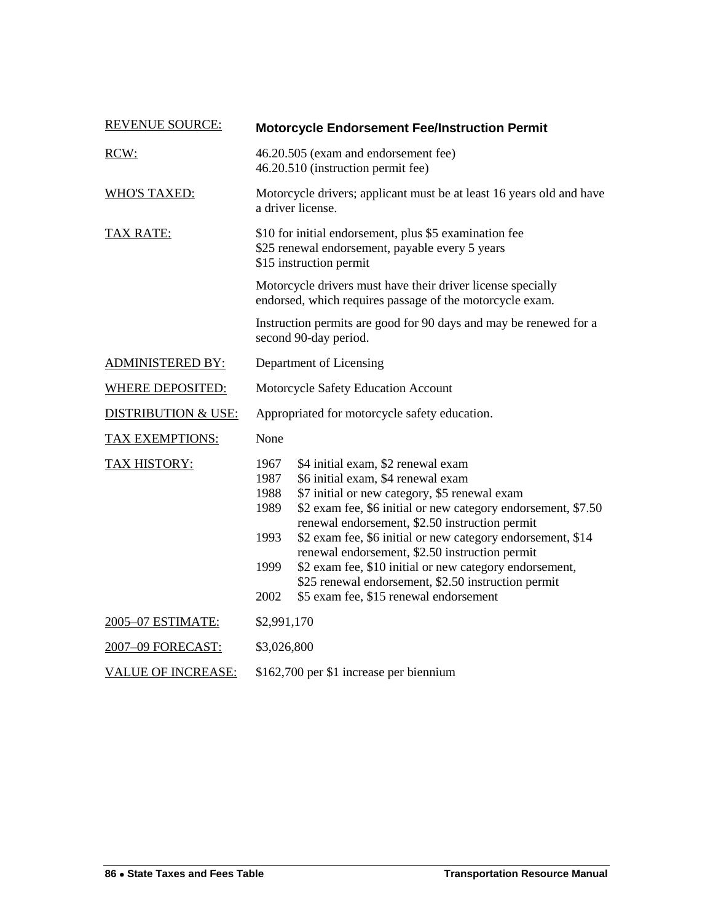| <b>REVENUE SOURCE:</b>         | <b>Motorcycle Endorsement Fee/Instruction Permit</b>                                                                                                                                                                                                                                                                                                                                                                                                                                                                                                                              |  |  |
|--------------------------------|-----------------------------------------------------------------------------------------------------------------------------------------------------------------------------------------------------------------------------------------------------------------------------------------------------------------------------------------------------------------------------------------------------------------------------------------------------------------------------------------------------------------------------------------------------------------------------------|--|--|
| RCW:                           | 46.20.505 (exam and endorsement fee)<br>46.20.510 (instruction permit fee)                                                                                                                                                                                                                                                                                                                                                                                                                                                                                                        |  |  |
| <b>WHO'S TAXED:</b>            | Motorcycle drivers; applicant must be at least 16 years old and have<br>a driver license.                                                                                                                                                                                                                                                                                                                                                                                                                                                                                         |  |  |
| <b>TAX RATE:</b>               | \$10 for initial endorsement, plus \$5 examination fee<br>\$25 renewal endorsement, payable every 5 years<br>\$15 instruction permit                                                                                                                                                                                                                                                                                                                                                                                                                                              |  |  |
|                                | Motorcycle drivers must have their driver license specially<br>endorsed, which requires passage of the motorcycle exam.                                                                                                                                                                                                                                                                                                                                                                                                                                                           |  |  |
|                                | Instruction permits are good for 90 days and may be renewed for a<br>second 90-day period.                                                                                                                                                                                                                                                                                                                                                                                                                                                                                        |  |  |
| <b>ADMINISTERED BY:</b>        | Department of Licensing                                                                                                                                                                                                                                                                                                                                                                                                                                                                                                                                                           |  |  |
| <b>WHERE DEPOSITED:</b>        | Motorcycle Safety Education Account                                                                                                                                                                                                                                                                                                                                                                                                                                                                                                                                               |  |  |
| <b>DISTRIBUTION &amp; USE:</b> | Appropriated for motorcycle safety education.                                                                                                                                                                                                                                                                                                                                                                                                                                                                                                                                     |  |  |
| <b>TAX EXEMPTIONS:</b>         | None                                                                                                                                                                                                                                                                                                                                                                                                                                                                                                                                                                              |  |  |
| <b>TAX HISTORY:</b>            | 1967<br>\$4 initial exam, \$2 renewal exam<br>\$6 initial exam, \$4 renewal exam<br>1987<br>\$7 initial or new category, \$5 renewal exam<br>1988<br>\$2 exam fee, \$6 initial or new category endorsement, \$7.50<br>1989<br>renewal endorsement, \$2.50 instruction permit<br>1993<br>\$2 exam fee, \$6 initial or new category endorsement, \$14<br>renewal endorsement, \$2.50 instruction permit<br>\$2 exam fee, \$10 initial or new category endorsement,<br>1999<br>\$25 renewal endorsement, \$2.50 instruction permit<br>2002<br>\$5 exam fee, \$15 renewal endorsement |  |  |
| 2005-07 ESTIMATE:              | \$2,991,170                                                                                                                                                                                                                                                                                                                                                                                                                                                                                                                                                                       |  |  |
| 2007-09 FORECAST:              | \$3,026,800                                                                                                                                                                                                                                                                                                                                                                                                                                                                                                                                                                       |  |  |
| <b>VALUE OF INCREASE:</b>      | \$162,700 per \$1 increase per biennium                                                                                                                                                                                                                                                                                                                                                                                                                                                                                                                                           |  |  |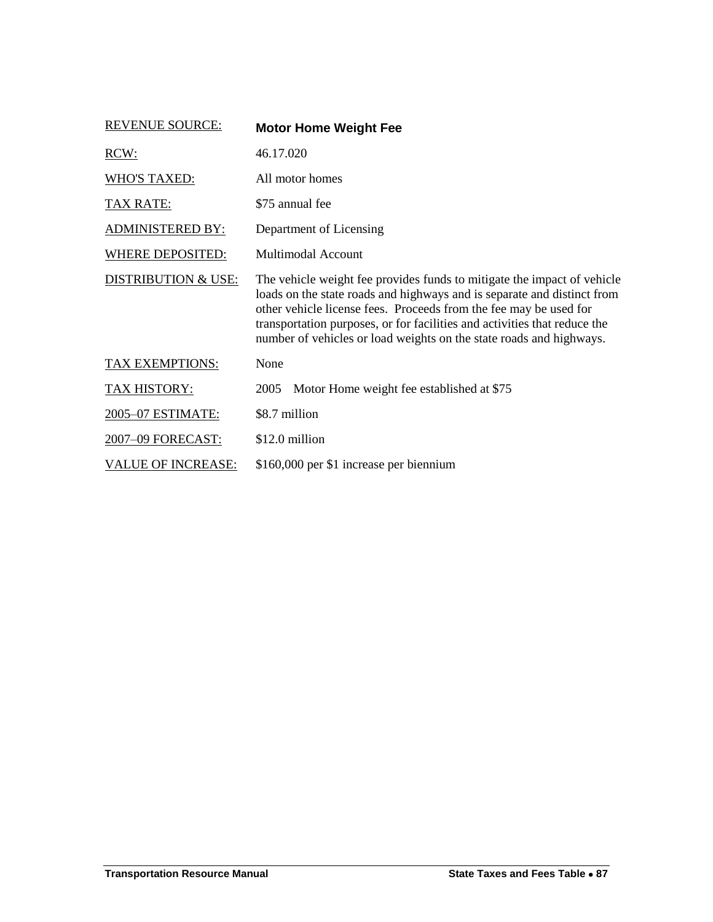| <b>REVENUE SOURCE:</b>         | <b>Motor Home Weight Fee</b>                                                                                                                                                                                                                                                                                                                                                |
|--------------------------------|-----------------------------------------------------------------------------------------------------------------------------------------------------------------------------------------------------------------------------------------------------------------------------------------------------------------------------------------------------------------------------|
| RCW:                           | 46.17.020                                                                                                                                                                                                                                                                                                                                                                   |
| <b>WHO'S TAXED:</b>            | All motor homes                                                                                                                                                                                                                                                                                                                                                             |
| <u>TAX RATE:</u>               | \$75 annual fee                                                                                                                                                                                                                                                                                                                                                             |
| <b>ADMINISTERED BY:</b>        | Department of Licensing                                                                                                                                                                                                                                                                                                                                                     |
| <b>WHERE DEPOSITED:</b>        | <b>Multimodal Account</b>                                                                                                                                                                                                                                                                                                                                                   |
| <b>DISTRIBUTION &amp; USE:</b> | The vehicle weight fee provides funds to mitigate the impact of vehicle<br>loads on the state roads and highways and is separate and distinct from<br>other vehicle license fees. Proceeds from the fee may be used for<br>transportation purposes, or for facilities and activities that reduce the<br>number of vehicles or load weights on the state roads and highways. |
| <b>TAX EXEMPTIONS:</b>         | None                                                                                                                                                                                                                                                                                                                                                                        |
| <b>TAX HISTORY:</b>            | Motor Home weight fee established at \$75<br>2005                                                                                                                                                                                                                                                                                                                           |
| 2005-07 ESTIMATE:              | \$8.7 million                                                                                                                                                                                                                                                                                                                                                               |
| 2007-09 FORECAST:              | \$12.0 million                                                                                                                                                                                                                                                                                                                                                              |
| <b>VALUE OF INCREASE:</b>      | \$160,000 per \$1 increase per biennium                                                                                                                                                                                                                                                                                                                                     |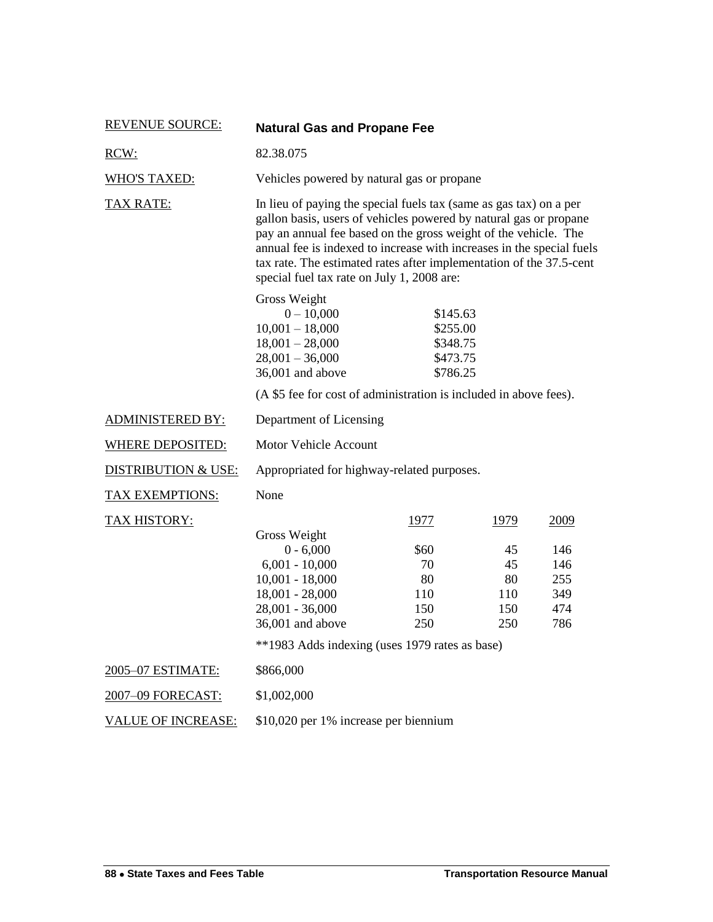| <b>REVENUE SOURCE:</b>         | <b>Natural Gas and Propane Fee</b>                                                                                                                                                                                                                                                                                                                                                                       |                                                          |                                             |                                                |
|--------------------------------|----------------------------------------------------------------------------------------------------------------------------------------------------------------------------------------------------------------------------------------------------------------------------------------------------------------------------------------------------------------------------------------------------------|----------------------------------------------------------|---------------------------------------------|------------------------------------------------|
| RCW:                           | 82.38.075                                                                                                                                                                                                                                                                                                                                                                                                |                                                          |                                             |                                                |
| <b>WHO'S TAXED:</b>            | Vehicles powered by natural gas or propane                                                                                                                                                                                                                                                                                                                                                               |                                                          |                                             |                                                |
| <b>TAX RATE:</b>               | In lieu of paying the special fuels tax (same as gas tax) on a per<br>gallon basis, users of vehicles powered by natural gas or propane<br>pay an annual fee based on the gross weight of the vehicle. The<br>annual fee is indexed to increase with increases in the special fuels<br>tax rate. The estimated rates after implementation of the 37.5-cent<br>special fuel tax rate on July 1, 2008 are: |                                                          |                                             |                                                |
|                                | Gross Weight<br>$0 - 10,000$<br>$10,001 - 18,000$<br>$18,001 - 28,000$<br>$28,001 - 36,000$<br>36,001 and above                                                                                                                                                                                                                                                                                          | \$145.63<br>\$255.00<br>\$348.75<br>\$473.75<br>\$786.25 |                                             |                                                |
|                                | (A \$5 fee for cost of administration is included in above fees).                                                                                                                                                                                                                                                                                                                                        |                                                          |                                             |                                                |
| <b>ADMINISTERED BY:</b>        | Department of Licensing                                                                                                                                                                                                                                                                                                                                                                                  |                                                          |                                             |                                                |
| <b>WHERE DEPOSITED:</b>        | <b>Motor Vehicle Account</b>                                                                                                                                                                                                                                                                                                                                                                             |                                                          |                                             |                                                |
| <b>DISTRIBUTION &amp; USE:</b> | Appropriated for highway-related purposes.                                                                                                                                                                                                                                                                                                                                                               |                                                          |                                             |                                                |
| <b>TAX EXEMPTIONS:</b>         | None                                                                                                                                                                                                                                                                                                                                                                                                     |                                                          |                                             |                                                |
| <b>TAX HISTORY:</b>            | Gross Weight<br>$0 - 6,000$<br>$6,001 - 10,000$<br>$10,001 - 18,000$<br>$18,001 - 28,000$<br>28,001 - 36,000<br>36,001 and above<br>**1983 Adds indexing (uses 1979 rates as base)                                                                                                                                                                                                                       | 1977<br>\$60<br>70<br>80<br>110<br>150<br>250            | 1979<br>45<br>45<br>80<br>110<br>150<br>250 | 2009<br>146<br>146<br>255<br>349<br>474<br>786 |
| 2005-07 ESTIMATE:              | \$866,000                                                                                                                                                                                                                                                                                                                                                                                                |                                                          |                                             |                                                |
| 2007-09 FORECAST:              | \$1,002,000                                                                                                                                                                                                                                                                                                                                                                                              |                                                          |                                             |                                                |
| <b>VALUE OF INCREASE:</b>      | \$10,020 per 1% increase per biennium                                                                                                                                                                                                                                                                                                                                                                    |                                                          |                                             |                                                |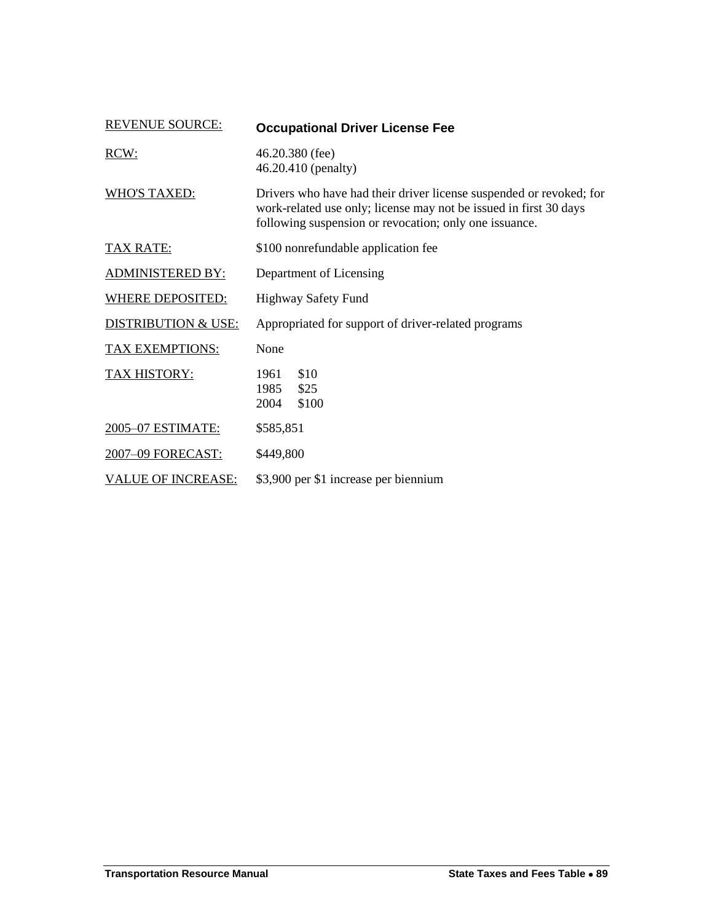| <b>REVENUE SOURCE:</b>         | <b>Occupational Driver License Fee</b>                                                                                                                                                             |  |  |
|--------------------------------|----------------------------------------------------------------------------------------------------------------------------------------------------------------------------------------------------|--|--|
| RCW:                           | $46.20.380$ (fee)<br>46.20.410 (penalty)                                                                                                                                                           |  |  |
| <b>WHO'S TAXED:</b>            | Drivers who have had their driver license suspended or revoked; for<br>work-related use only; license may not be issued in first 30 days<br>following suspension or revocation; only one issuance. |  |  |
| <b>TAX RATE:</b>               | \$100 nonrefundable application fee                                                                                                                                                                |  |  |
| <b>ADMINISTERED BY:</b>        | Department of Licensing                                                                                                                                                                            |  |  |
| <b>WHERE DEPOSITED:</b>        | <b>Highway Safety Fund</b>                                                                                                                                                                         |  |  |
| <b>DISTRIBUTION &amp; USE:</b> | Appropriated for support of driver-related programs                                                                                                                                                |  |  |
| <b>TAX EXEMPTIONS:</b>         | None                                                                                                                                                                                               |  |  |
| TAX HISTORY:                   | \$10<br>1961<br>\$25<br>1985<br>\$100<br>2004                                                                                                                                                      |  |  |
| 2005-07 ESTIMATE:              | \$585,851                                                                                                                                                                                          |  |  |
| 2007-09 FORECAST:              | \$449,800                                                                                                                                                                                          |  |  |
| <b>VALUE OF INCREASE:</b>      | \$3,900 per \$1 increase per biennium                                                                                                                                                              |  |  |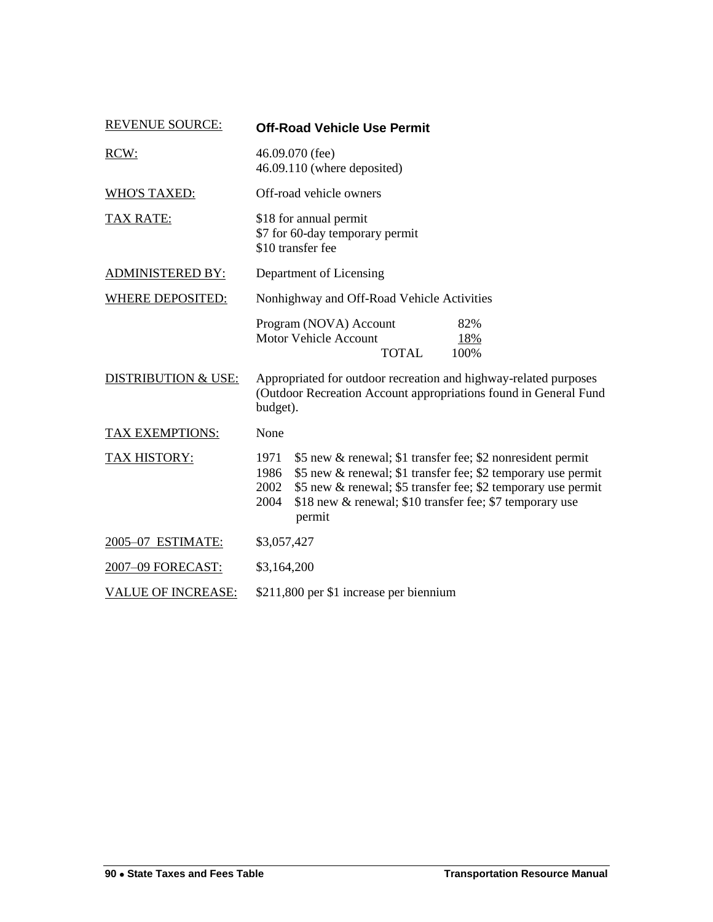| <b>REVENUE SOURCE:</b>         | <b>Off-Road Vehicle Use Permit</b>                                                                                                                                                                                                                                                                  |  |  |
|--------------------------------|-----------------------------------------------------------------------------------------------------------------------------------------------------------------------------------------------------------------------------------------------------------------------------------------------------|--|--|
| RCW:                           | 46.09.070 (fee)<br>46.09.110 (where deposited)                                                                                                                                                                                                                                                      |  |  |
| <b>WHO'S TAXED:</b>            | Off-road vehicle owners                                                                                                                                                                                                                                                                             |  |  |
| <b>TAX RATE:</b>               | \$18 for annual permit<br>\$7 for 60-day temporary permit<br>\$10 transfer fee                                                                                                                                                                                                                      |  |  |
| <b>ADMINISTERED BY:</b>        | Department of Licensing                                                                                                                                                                                                                                                                             |  |  |
| <b>WHERE DEPOSITED:</b>        | Nonhighway and Off-Road Vehicle Activities                                                                                                                                                                                                                                                          |  |  |
|                                | Program (NOVA) Account<br>82%<br><b>Motor Vehicle Account</b><br>18%<br><b>TOTAL</b><br>100%                                                                                                                                                                                                        |  |  |
| <b>DISTRIBUTION &amp; USE:</b> | Appropriated for outdoor recreation and highway-related purposes<br>(Outdoor Recreation Account appropriations found in General Fund<br>budget).                                                                                                                                                    |  |  |
| TAX EXEMPTIONS:                | None                                                                                                                                                                                                                                                                                                |  |  |
| <b>TAX HISTORY:</b>            | \$5 new & renewal; \$1 transfer fee; \$2 nonresident permit<br>1971<br>\$5 new & renewal; \$1 transfer fee; \$2 temporary use permit<br>1986<br>\$5 new & renewal; \$5 transfer fee; \$2 temporary use permit<br>2002<br>\$18 new & renewal; \$10 transfer fee; \$7 temporary use<br>2004<br>permit |  |  |
| 2005-07 ESTIMATE:              | \$3,057,427                                                                                                                                                                                                                                                                                         |  |  |
| 2007-09 FORECAST:              | \$3,164,200                                                                                                                                                                                                                                                                                         |  |  |
| <b>VALUE OF INCREASE:</b>      | \$211,800 per \$1 increase per biennium                                                                                                                                                                                                                                                             |  |  |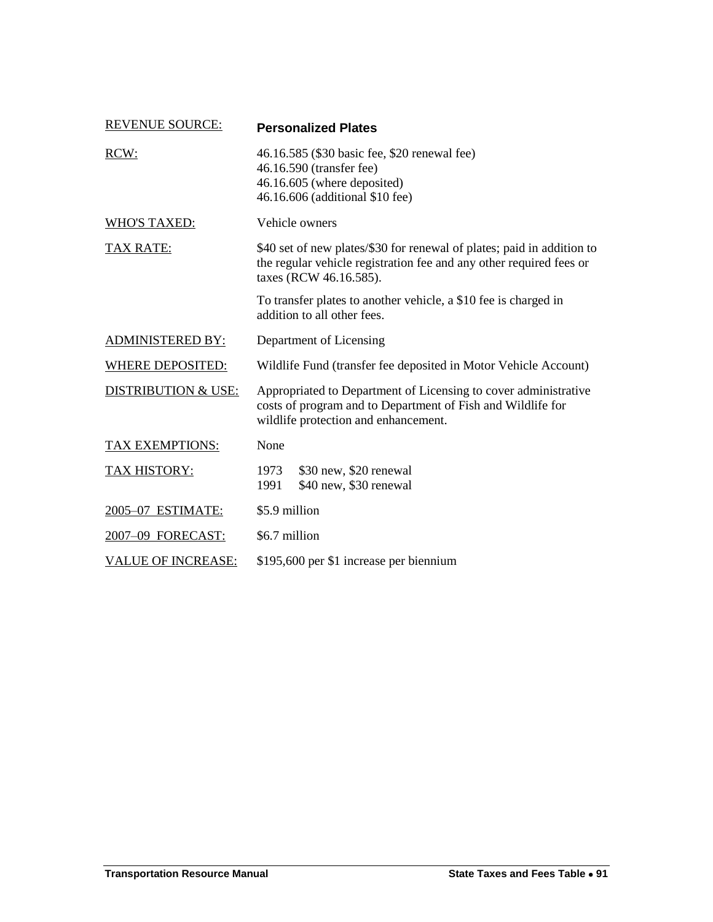| <b>REVENUE SOURCE:</b>         | <b>Personalized Plates</b>                                                                                                                                              |  |  |
|--------------------------------|-------------------------------------------------------------------------------------------------------------------------------------------------------------------------|--|--|
| RCW:                           | 46.16.585 (\$30 basic fee, \$20 renewal fee)<br>46.16.590 (transfer fee)<br>46.16.605 (where deposited)<br>46.16.606 (additional \$10 fee)                              |  |  |
| <b>WHO'S TAXED:</b>            | Vehicle owners                                                                                                                                                          |  |  |
| TAX RATE:                      | \$40 set of new plates/\$30 for renewal of plates; paid in addition to<br>the regular vehicle registration fee and any other required fees or<br>taxes (RCW 46.16.585). |  |  |
|                                | To transfer plates to another vehicle, a \$10 fee is charged in<br>addition to all other fees.                                                                          |  |  |
| <b>ADMINISTERED BY:</b>        | Department of Licensing                                                                                                                                                 |  |  |
| <b>WHERE DEPOSITED:</b>        | Wildlife Fund (transfer fee deposited in Motor Vehicle Account)                                                                                                         |  |  |
| <b>DISTRIBUTION &amp; USE:</b> | Appropriated to Department of Licensing to cover administrative<br>costs of program and to Department of Fish and Wildlife for<br>wildlife protection and enhancement.  |  |  |
| TAX EXEMPTIONS:                | None                                                                                                                                                                    |  |  |
| <b>TAX HISTORY:</b>            | \$30 new, \$20 renewal<br>1973<br>\$40 new, \$30 renewal<br>1991                                                                                                        |  |  |
| 2005-07 ESTIMATE:              | \$5.9 million                                                                                                                                                           |  |  |
| 2007-09 FORECAST:              | \$6.7 million                                                                                                                                                           |  |  |
| <b>VALUE OF INCREASE:</b>      | \$195,600 per \$1 increase per biennium                                                                                                                                 |  |  |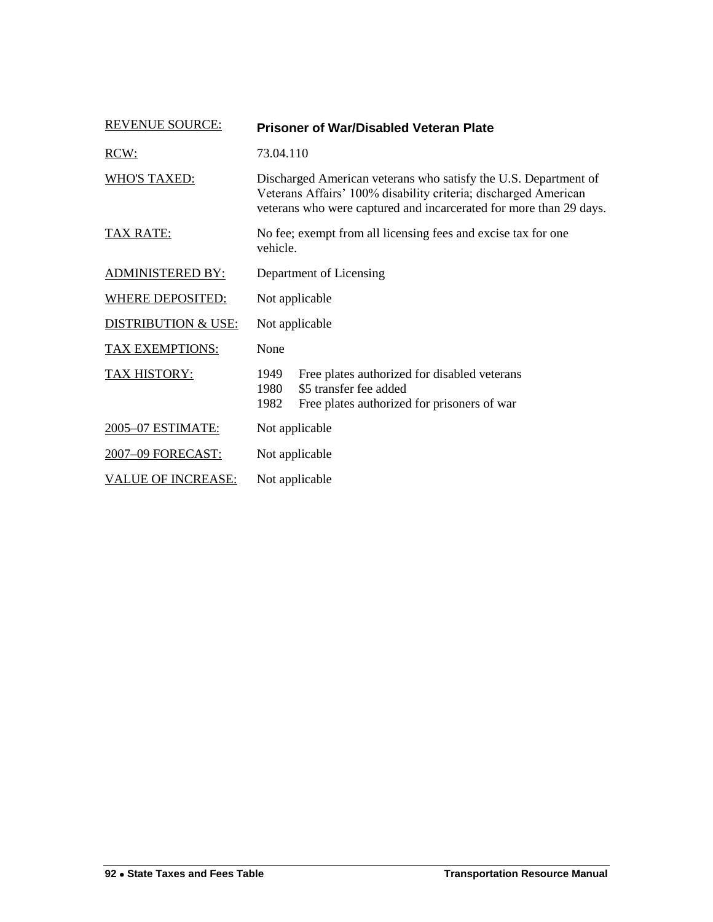| <b>REVENUE SOURCE:</b>         | <b>Prisoner of War/Disabled Veteran Plate</b>                                                                                                                                                            |  |  |
|--------------------------------|----------------------------------------------------------------------------------------------------------------------------------------------------------------------------------------------------------|--|--|
| RCW:                           | 73.04.110                                                                                                                                                                                                |  |  |
| <b>WHO'S TAXED:</b>            | Discharged American veterans who satisfy the U.S. Department of<br>Veterans Affairs' 100% disability criteria; discharged American<br>veterans who were captured and incarcerated for more than 29 days. |  |  |
| <b>TAX RATE:</b>               | No fee; exempt from all licensing fees and excise tax for one<br>vehicle.                                                                                                                                |  |  |
| <b>ADMINISTERED BY:</b>        | Department of Licensing                                                                                                                                                                                  |  |  |
| <b>WHERE DEPOSITED:</b>        | Not applicable                                                                                                                                                                                           |  |  |
| <b>DISTRIBUTION &amp; USE:</b> | Not applicable                                                                                                                                                                                           |  |  |
| TAX EXEMPTIONS:                | None                                                                                                                                                                                                     |  |  |
| TAX HISTORY:                   | 1949<br>Free plates authorized for disabled veterans<br>\$5 transfer fee added<br>1980<br>1982<br>Free plates authorized for prisoners of war                                                            |  |  |
| 2005-07 ESTIMATE:              | Not applicable                                                                                                                                                                                           |  |  |
| 2007-09 FORECAST:              | Not applicable                                                                                                                                                                                           |  |  |
| <b>VALUE OF INCREASE:</b>      | Not applicable                                                                                                                                                                                           |  |  |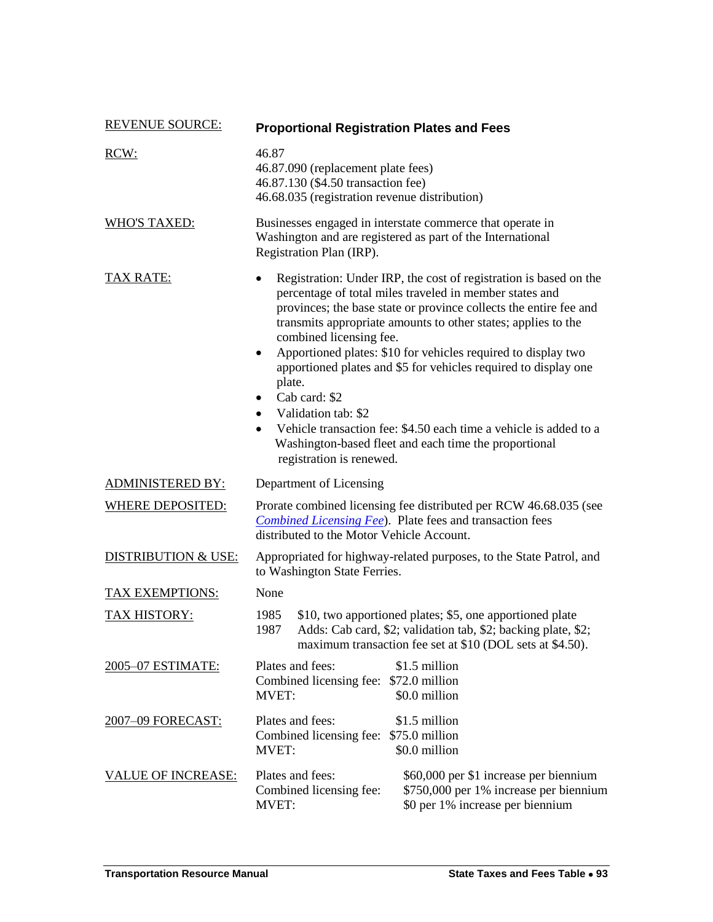| <b>REVENUE SOURCE:</b>         | <b>Proportional Registration Plates and Fees</b>                                                                                                                                                                                                                                                                                                                                                                                                                                                                                                                                                                                                                        |  |  |
|--------------------------------|-------------------------------------------------------------------------------------------------------------------------------------------------------------------------------------------------------------------------------------------------------------------------------------------------------------------------------------------------------------------------------------------------------------------------------------------------------------------------------------------------------------------------------------------------------------------------------------------------------------------------------------------------------------------------|--|--|
| RCW:                           | 46.87<br>46.87.090 (replacement plate fees)<br>46.87.130 (\$4.50 transaction fee)<br>46.68.035 (registration revenue distribution)                                                                                                                                                                                                                                                                                                                                                                                                                                                                                                                                      |  |  |
| <b>WHO'S TAXED:</b>            | Businesses engaged in interstate commerce that operate in<br>Washington and are registered as part of the International<br>Registration Plan (IRP).                                                                                                                                                                                                                                                                                                                                                                                                                                                                                                                     |  |  |
| <u>TAX RATE:</u>               | Registration: Under IRP, the cost of registration is based on the<br>percentage of total miles traveled in member states and<br>provinces; the base state or province collects the entire fee and<br>transmits appropriate amounts to other states; applies to the<br>combined licensing fee.<br>Apportioned plates: \$10 for vehicles required to display two<br>$\bullet$<br>apportioned plates and \$5 for vehicles required to display one<br>plate.<br>Cab card: \$2<br>Validation tab: \$2<br>Vehicle transaction fee: \$4.50 each time a vehicle is added to a<br>$\bullet$<br>Washington-based fleet and each time the proportional<br>registration is renewed. |  |  |
| <b>ADMINISTERED BY:</b>        | Department of Licensing                                                                                                                                                                                                                                                                                                                                                                                                                                                                                                                                                                                                                                                 |  |  |
| <b>WHERE DEPOSITED:</b>        | Prorate combined licensing fee distributed per RCW 46.68.035 (see<br><b>Combined Licensing Fee</b> ). Plate fees and transaction fees<br>distributed to the Motor Vehicle Account.                                                                                                                                                                                                                                                                                                                                                                                                                                                                                      |  |  |
| <b>DISTRIBUTION &amp; USE:</b> | Appropriated for highway-related purposes, to the State Patrol, and<br>to Washington State Ferries.                                                                                                                                                                                                                                                                                                                                                                                                                                                                                                                                                                     |  |  |
| TAX EXEMPTIONS:                | None                                                                                                                                                                                                                                                                                                                                                                                                                                                                                                                                                                                                                                                                    |  |  |
| TAX HISTORY:                   | 1985<br>\$10, two apportioned plates; \$5, one apportioned plate<br>Adds: Cab card, \$2; validation tab, \$2; backing plate, \$2;<br>1987<br>maximum transaction fee set at \$10 (DOL sets at \$4.50).                                                                                                                                                                                                                                                                                                                                                                                                                                                                  |  |  |
| 2005-07 ESTIMATE:              | Plates and fees:<br>\$1.5 million<br>Combined licensing fee: \$72.0 million<br>\$0.0 million<br>MVET:                                                                                                                                                                                                                                                                                                                                                                                                                                                                                                                                                                   |  |  |
| <u>2007–09 FORECAST:</u>       | Plates and fees:<br>\$1.5 million<br>Combined licensing fee: \$75.0 million<br>\$0.0 million<br><b>MVET:</b>                                                                                                                                                                                                                                                                                                                                                                                                                                                                                                                                                            |  |  |
| <b>VALUE OF INCREASE:</b>      | Plates and fees:<br>\$60,000 per \$1 increase per biennium<br>\$750,000 per 1% increase per biennium<br>Combined licensing fee:<br>\$0 per 1% increase per biennium<br><b>MVET:</b>                                                                                                                                                                                                                                                                                                                                                                                                                                                                                     |  |  |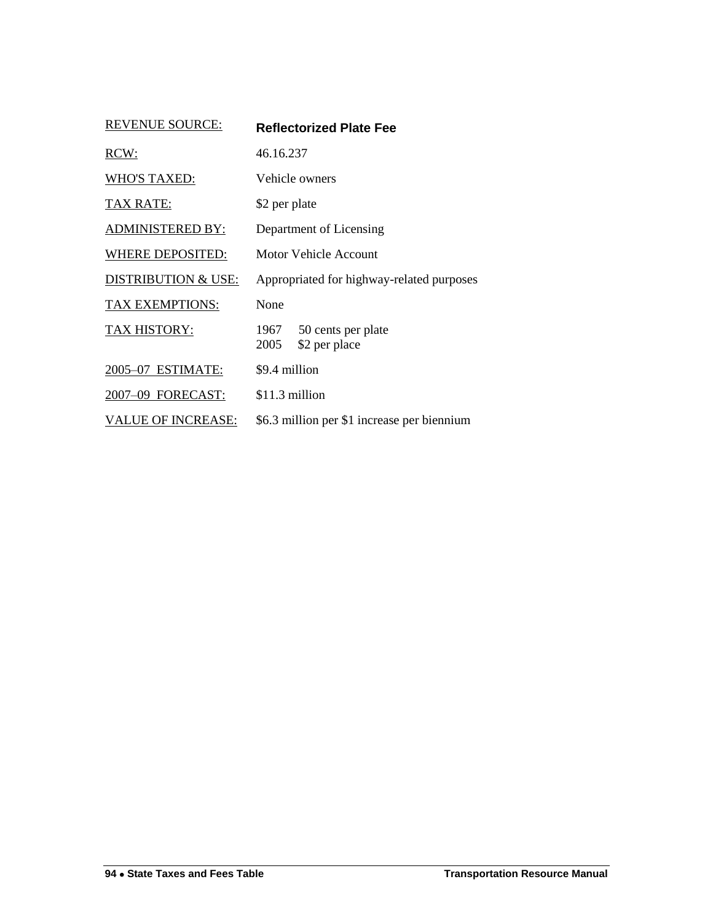| <b>REVENUE SOURCE:</b>         | <b>Reflectorized Plate Fee</b>                      |  |  |
|--------------------------------|-----------------------------------------------------|--|--|
| RCW:                           | 46.16.237                                           |  |  |
| <b>WHO'S TAXED:</b>            | Vehicle owners                                      |  |  |
| <b>TAX RATE:</b>               | \$2 per plate                                       |  |  |
| <b>ADMINISTERED BY:</b>        | Department of Licensing                             |  |  |
| WHERE DEPOSITED:               | Motor Vehicle Account                               |  |  |
| <b>DISTRIBUTION &amp; USE:</b> | Appropriated for highway-related purposes           |  |  |
| <b>TAX EXEMPTIONS:</b>         | None                                                |  |  |
| TAX HISTORY:                   | 1967<br>50 cents per plate<br>2005<br>\$2 per place |  |  |
| 2005-07 ESTIMATE:              | \$9.4 million                                       |  |  |
| 2007-09 FORECAST:              | \$11.3 million                                      |  |  |
| <b>VALUE OF INCREASE:</b>      | \$6.3 million per \$1 increase per biennium         |  |  |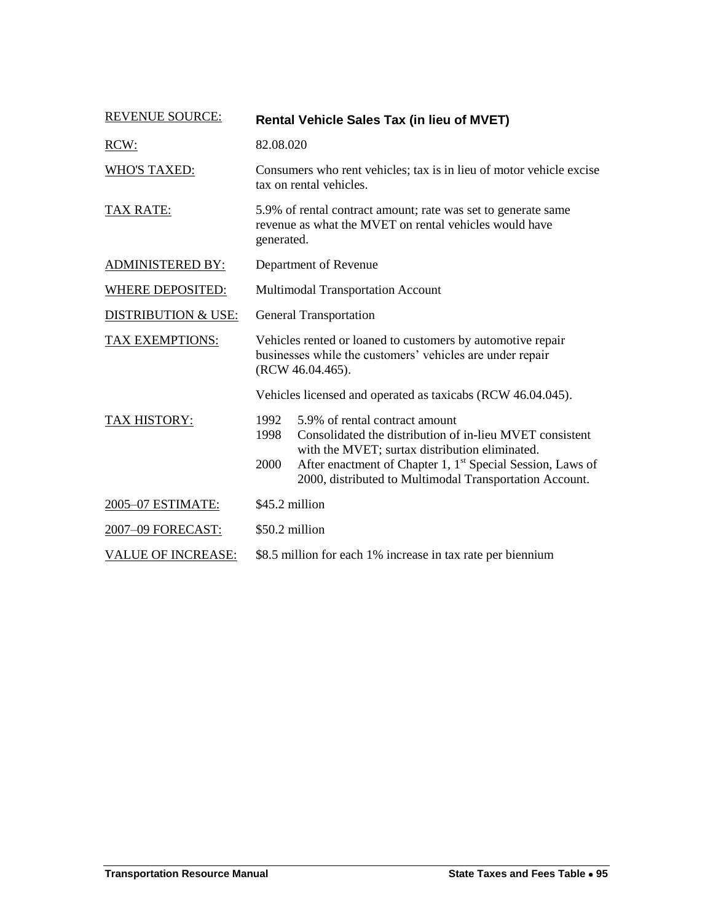| <b>REVENUE SOURCE:</b>         | <b>Rental Vehicle Sales Tax (in lieu of MVET)</b>                                                                                                                                                                                                                                                         |  |  |
|--------------------------------|-----------------------------------------------------------------------------------------------------------------------------------------------------------------------------------------------------------------------------------------------------------------------------------------------------------|--|--|
| RCW:                           | 82.08.020                                                                                                                                                                                                                                                                                                 |  |  |
| <b>WHO'S TAXED:</b>            | Consumers who rent vehicles; tax is in lieu of motor vehicle excise<br>tax on rental vehicles.                                                                                                                                                                                                            |  |  |
| <b>TAX RATE:</b>               | 5.9% of rental contract amount; rate was set to generate same<br>revenue as what the MVET on rental vehicles would have<br>generated.                                                                                                                                                                     |  |  |
| <b>ADMINISTERED BY:</b>        | Department of Revenue                                                                                                                                                                                                                                                                                     |  |  |
| <b>WHERE DEPOSITED:</b>        | Multimodal Transportation Account                                                                                                                                                                                                                                                                         |  |  |
| <b>DISTRIBUTION &amp; USE:</b> | <b>General Transportation</b>                                                                                                                                                                                                                                                                             |  |  |
| <b>TAX EXEMPTIONS:</b>         | Vehicles rented or loaned to customers by automotive repair<br>businesses while the customers' vehicles are under repair<br>(RCW 46.04.465).                                                                                                                                                              |  |  |
|                                | Vehicles licensed and operated as taxicabs (RCW 46.04.045).                                                                                                                                                                                                                                               |  |  |
| <b>TAX HISTORY:</b>            | 1992<br>5.9% of rental contract amount<br>Consolidated the distribution of in-lieu MVET consistent<br>1998<br>with the MVET; surtax distribution eliminated.<br>After enactment of Chapter 1, 1 <sup>st</sup> Special Session, Laws of<br>2000<br>2000, distributed to Multimodal Transportation Account. |  |  |
| 2005-07 ESTIMATE:              | \$45.2 million                                                                                                                                                                                                                                                                                            |  |  |
| 2007-09 FORECAST:              | \$50.2 million                                                                                                                                                                                                                                                                                            |  |  |
| <b>VALUE OF INCREASE:</b>      | \$8.5 million for each 1% increase in tax rate per biennium                                                                                                                                                                                                                                               |  |  |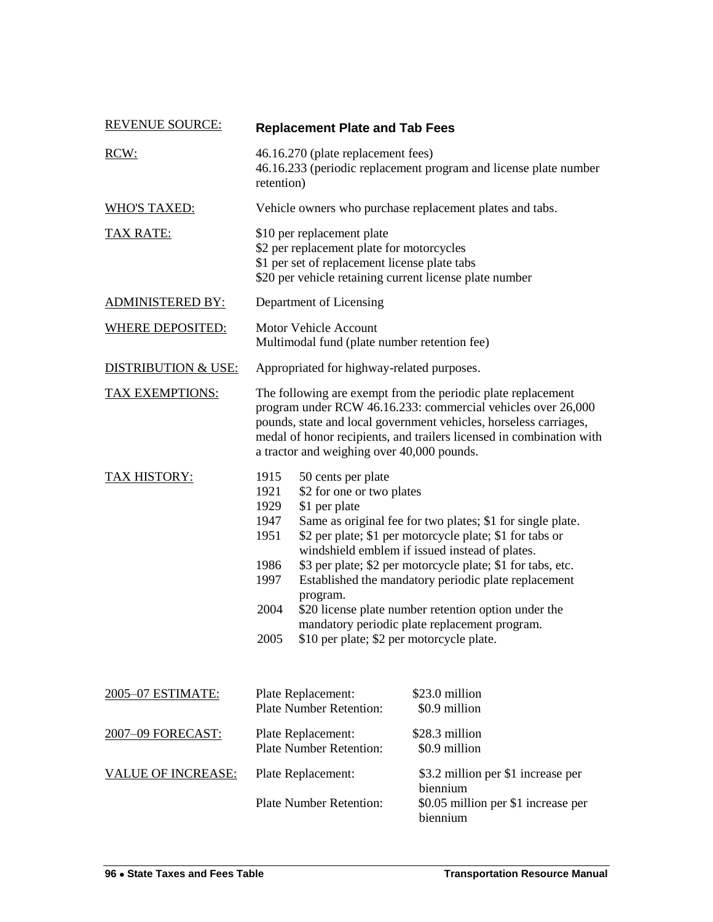| <b>REVENUE SOURCE:</b>         | <b>Replacement Plate and Tab Fees</b>                                                                                                                                                                                                                                                                                   |                                                                                                                                                                                                                                                                                                                                                                                                                                                                                    |  |
|--------------------------------|-------------------------------------------------------------------------------------------------------------------------------------------------------------------------------------------------------------------------------------------------------------------------------------------------------------------------|------------------------------------------------------------------------------------------------------------------------------------------------------------------------------------------------------------------------------------------------------------------------------------------------------------------------------------------------------------------------------------------------------------------------------------------------------------------------------------|--|
| RCW:                           | 46.16.270 (plate replacement fees)<br>46.16.233 (periodic replacement program and license plate number<br>retention)                                                                                                                                                                                                    |                                                                                                                                                                                                                                                                                                                                                                                                                                                                                    |  |
| <b>WHO'S TAXED:</b>            | Vehicle owners who purchase replacement plates and tabs.                                                                                                                                                                                                                                                                |                                                                                                                                                                                                                                                                                                                                                                                                                                                                                    |  |
| <b>TAX RATE:</b>               | \$10 per replacement plate<br>\$2 per replacement plate for motorcycles<br>\$1 per set of replacement license plate tabs<br>\$20 per vehicle retaining current license plate number                                                                                                                                     |                                                                                                                                                                                                                                                                                                                                                                                                                                                                                    |  |
| <b>ADMINISTERED BY:</b>        | Department of Licensing                                                                                                                                                                                                                                                                                                 |                                                                                                                                                                                                                                                                                                                                                                                                                                                                                    |  |
| <b>WHERE DEPOSITED:</b>        | <b>Motor Vehicle Account</b><br>Multimodal fund (plate number retention fee)                                                                                                                                                                                                                                            |                                                                                                                                                                                                                                                                                                                                                                                                                                                                                    |  |
| <b>DISTRIBUTION &amp; USE:</b> | Appropriated for highway-related purposes.                                                                                                                                                                                                                                                                              |                                                                                                                                                                                                                                                                                                                                                                                                                                                                                    |  |
| <b>TAX EXEMPTIONS:</b>         | The following are exempt from the periodic plate replacement<br>program under RCW 46.16.233: commercial vehicles over 26,000<br>pounds, state and local government vehicles, horseless carriages,<br>medal of honor recipients, and trailers licensed in combination with<br>a tractor and weighing over 40,000 pounds. |                                                                                                                                                                                                                                                                                                                                                                                                                                                                                    |  |
| <b>TAX HISTORY:</b>            | 1915<br>50 cents per plate<br>1921<br>1929<br>\$1 per plate<br>1947<br>1951<br>1986<br>1997<br>program.<br>2004<br>2005                                                                                                                                                                                                 | \$2 for one or two plates<br>Same as original fee for two plates; \$1 for single plate.<br>\$2 per plate; \$1 per motorcycle plate; \$1 for tabs or<br>windshield emblem if issued instead of plates.<br>\$3 per plate; \$2 per motorcycle plate; \$1 for tabs, etc.<br>Established the mandatory periodic plate replacement<br>\$20 license plate number retention option under the<br>mandatory periodic plate replacement program.<br>\$10 per plate; \$2 per motorcycle plate. |  |
| 2005–07 ESTIMATE:              | Plate Replacement:<br><b>Plate Number Retention:</b>                                                                                                                                                                                                                                                                    | \$23.0 million<br>\$0.9 million                                                                                                                                                                                                                                                                                                                                                                                                                                                    |  |
| 2007-09 FORECAST:              | Plate Replacement:<br><b>Plate Number Retention:</b>                                                                                                                                                                                                                                                                    | \$28.3 million<br>\$0.9 million                                                                                                                                                                                                                                                                                                                                                                                                                                                    |  |
| <u>VALUE OF INCREASE:</u>      | Plate Replacement:<br><b>Plate Number Retention:</b>                                                                                                                                                                                                                                                                    | \$3.2 million per \$1 increase per<br>biennium<br>\$0.05 million per \$1 increase per<br>biennium                                                                                                                                                                                                                                                                                                                                                                                  |  |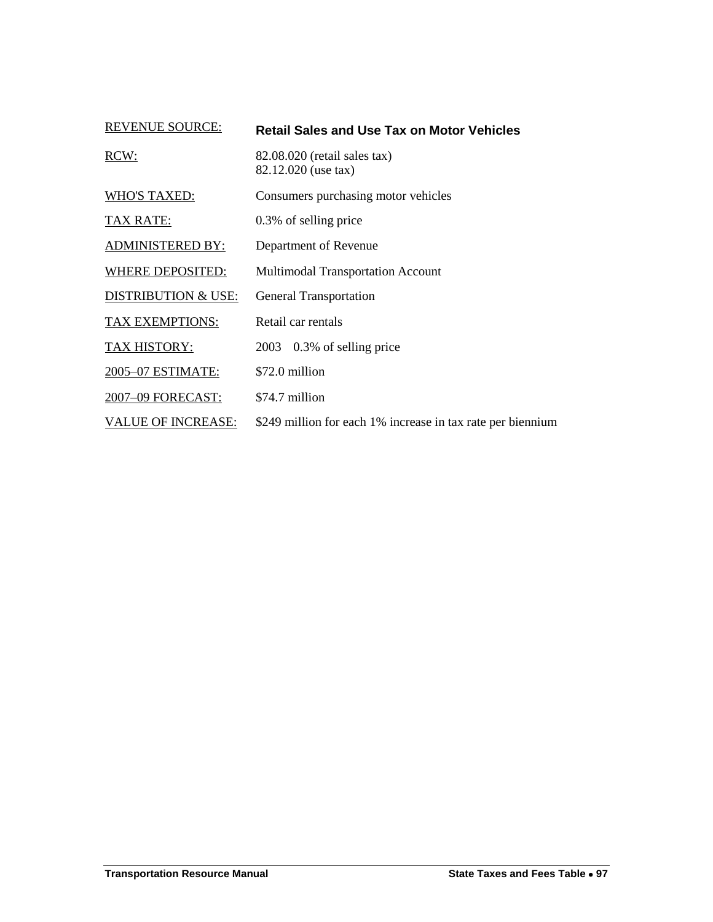| <b>REVENUE SOURCE:</b>         | <b>Retail Sales and Use Tax on Motor Vehicles</b>           |
|--------------------------------|-------------------------------------------------------------|
| RCW:                           | 82.08.020 (retail sales tax)<br>82.12.020 (use tax)         |
| <b>WHO'S TAXED:</b>            | Consumers purchasing motor vehicles                         |
| <b>TAX RATE:</b>               | 0.3% of selling price                                       |
| <b>ADMINISTERED BY:</b>        | Department of Revenue                                       |
| <b>WHERE DEPOSITED:</b>        | <b>Multimodal Transportation Account</b>                    |
| <b>DISTRIBUTION &amp; USE:</b> | <b>General Transportation</b>                               |
| TAX EXEMPTIONS:                | Retail car rentals                                          |
| TAX HISTORY:                   | 2003 0.3% of selling price                                  |
| 2005-07 ESTIMATE:              | \$72.0 million                                              |
| 2007-09 FORECAST:              | \$74.7 million                                              |
| <b>VALUE OF INCREASE:</b>      | \$249 million for each 1% increase in tax rate per biennium |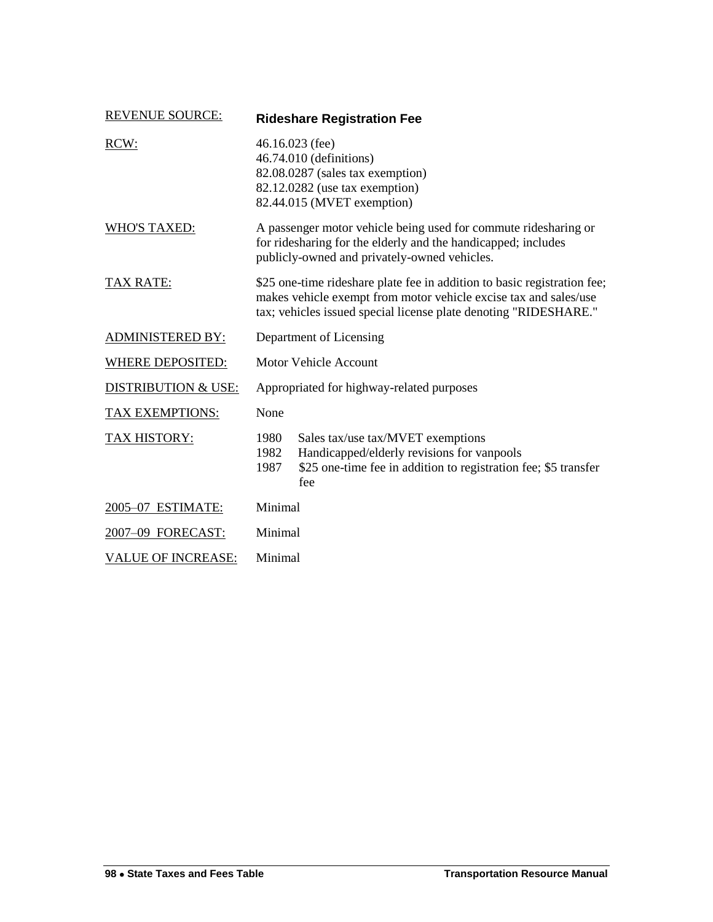| <b>REVENUE SOURCE:</b>         | <b>Rideshare Registration Fee</b>                                                                                                                                                                                |                                                                                                                                                           |
|--------------------------------|------------------------------------------------------------------------------------------------------------------------------------------------------------------------------------------------------------------|-----------------------------------------------------------------------------------------------------------------------------------------------------------|
| RCW:                           |                                                                                                                                                                                                                  | $46.16.023$ (fee)<br>46.74.010 (definitions)<br>82.08.0287 (sales tax exemption)<br>82.12.0282 (use tax exemption)<br>82.44.015 (MVET exemption)          |
| <b>WHO'S TAXED:</b>            | A passenger motor vehicle being used for commute ridesharing or<br>for ridesharing for the elderly and the handicapped; includes<br>publicly-owned and privately-owned vehicles.                                 |                                                                                                                                                           |
| <b>TAX RATE:</b>               | \$25 one-time rideshare plate fee in addition to basic registration fee;<br>makes vehicle exempt from motor vehicle excise tax and sales/use<br>tax; vehicles issued special license plate denoting "RIDESHARE." |                                                                                                                                                           |
| <b>ADMINISTERED BY:</b>        | Department of Licensing                                                                                                                                                                                          |                                                                                                                                                           |
| <b>WHERE DEPOSITED:</b>        | <b>Motor Vehicle Account</b>                                                                                                                                                                                     |                                                                                                                                                           |
| <b>DISTRIBUTION &amp; USE:</b> | Appropriated for highway-related purposes                                                                                                                                                                        |                                                                                                                                                           |
| TAX EXEMPTIONS:                | None                                                                                                                                                                                                             |                                                                                                                                                           |
| <b>TAX HISTORY:</b>            | 1980<br>1982<br>1987                                                                                                                                                                                             | Sales tax/use tax/MVET exemptions<br>Handicapped/elderly revisions for vanpools<br>\$25 one-time fee in addition to registration fee; \$5 transfer<br>fee |
| 2005-07 ESTIMATE:              | Minimal                                                                                                                                                                                                          |                                                                                                                                                           |
| 2007-09 FORECAST:              | Minimal                                                                                                                                                                                                          |                                                                                                                                                           |
| <b>VALUE OF INCREASE:</b>      | Minimal                                                                                                                                                                                                          |                                                                                                                                                           |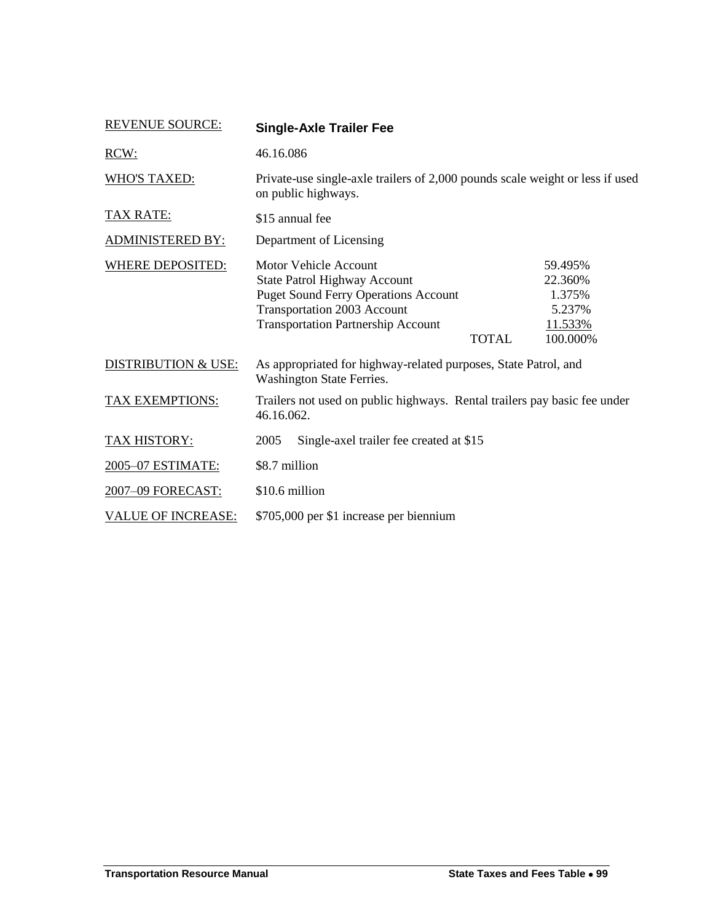<span id="page-68-0"></span>

| <b>REVENUE SOURCE:</b>         | <b>Single-Axle Trailer Fee</b>                                                                                                                                                                                        |                                                               |  |
|--------------------------------|-----------------------------------------------------------------------------------------------------------------------------------------------------------------------------------------------------------------------|---------------------------------------------------------------|--|
| RCW:                           | 46.16.086                                                                                                                                                                                                             |                                                               |  |
| <b>WHO'S TAXED:</b>            | Private-use single-axle trailers of 2,000 pounds scale weight or less if used<br>on public highways.                                                                                                                  |                                                               |  |
| <b>TAX RATE:</b>               | \$15 annual fee                                                                                                                                                                                                       |                                                               |  |
| <b>ADMINISTERED BY:</b>        | Department of Licensing                                                                                                                                                                                               |                                                               |  |
| WHERE DEPOSITED:               | <b>Motor Vehicle Account</b><br><b>State Patrol Highway Account</b><br><b>Puget Sound Ferry Operations Account</b><br><b>Transportation 2003 Account</b><br><b>Transportation Partnership Account</b><br><b>TOTAL</b> | 59.495%<br>22.360%<br>1.375%<br>5.237%<br>11.533%<br>100.000% |  |
| <b>DISTRIBUTION &amp; USE:</b> | As appropriated for highway-related purposes, State Patrol, and<br>Washington State Ferries.                                                                                                                          |                                                               |  |
| <b>TAX EXEMPTIONS:</b>         | Trailers not used on public highways. Rental trailers pay basic fee under<br>46.16.062.                                                                                                                               |                                                               |  |
| <b>TAX HISTORY:</b>            | 2005<br>Single-axel trailer fee created at \$15                                                                                                                                                                       |                                                               |  |
| 2005-07 ESTIMATE:              | \$8.7 million                                                                                                                                                                                                         |                                                               |  |
| 2007-09 FORECAST:              | \$10.6 million                                                                                                                                                                                                        |                                                               |  |
| <u>VALUE OF INCREASE:</u>      | \$705,000 per \$1 increase per biennium                                                                                                                                                                               |                                                               |  |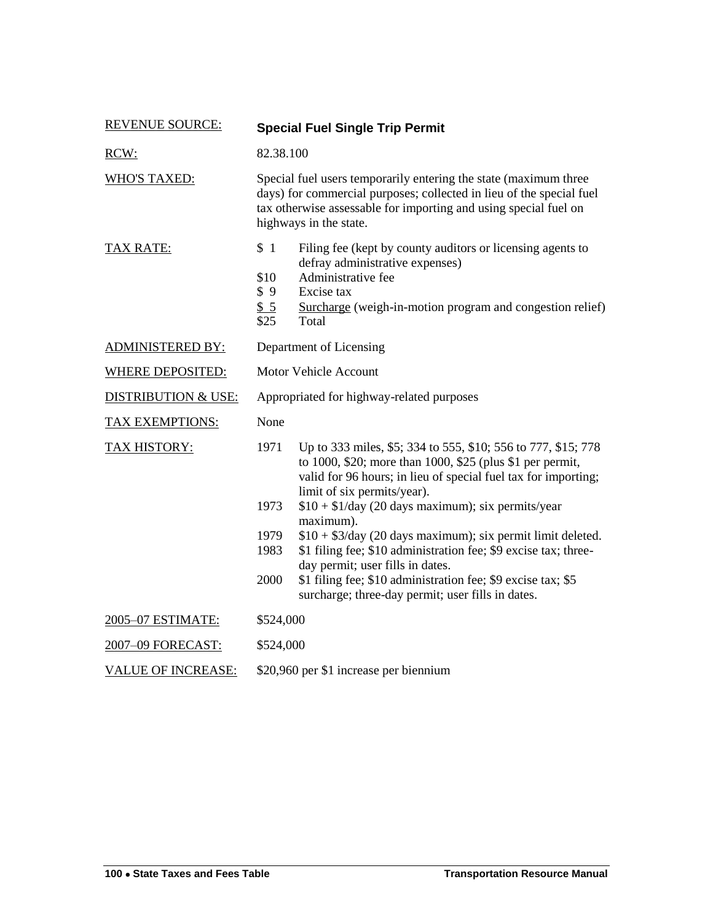| <b>REVENUE SOURCE:</b>         |                                                                                                                                                                                                                                        | <b>Special Fuel Single Trip Permit</b>                                                                                                                                                                                                                                                                                                                                                                                                                                                                                                 |
|--------------------------------|----------------------------------------------------------------------------------------------------------------------------------------------------------------------------------------------------------------------------------------|----------------------------------------------------------------------------------------------------------------------------------------------------------------------------------------------------------------------------------------------------------------------------------------------------------------------------------------------------------------------------------------------------------------------------------------------------------------------------------------------------------------------------------------|
| RCW:                           | 82.38.100                                                                                                                                                                                                                              |                                                                                                                                                                                                                                                                                                                                                                                                                                                                                                                                        |
| <b>WHO'S TAXED:</b>            | Special fuel users temporarily entering the state (maximum three<br>days) for commercial purposes; collected in lieu of the special fuel<br>tax otherwise assessable for importing and using special fuel on<br>highways in the state. |                                                                                                                                                                                                                                                                                                                                                                                                                                                                                                                                        |
| <b>TAX RATE:</b>               | \$1                                                                                                                                                                                                                                    | Filing fee (kept by county auditors or licensing agents to<br>defray administrative expenses)                                                                                                                                                                                                                                                                                                                                                                                                                                          |
|                                | \$10<br>\$9<br>\$5<br>\$25                                                                                                                                                                                                             | Administrative fee<br>Excise tax<br>Surcharge (weigh-in-motion program and congestion relief)<br>Total                                                                                                                                                                                                                                                                                                                                                                                                                                 |
| <b>ADMINISTERED BY:</b>        | Department of Licensing                                                                                                                                                                                                                |                                                                                                                                                                                                                                                                                                                                                                                                                                                                                                                                        |
| <b>WHERE DEPOSITED:</b>        | <b>Motor Vehicle Account</b>                                                                                                                                                                                                           |                                                                                                                                                                                                                                                                                                                                                                                                                                                                                                                                        |
| <b>DISTRIBUTION &amp; USE:</b> | Appropriated for highway-related purposes                                                                                                                                                                                              |                                                                                                                                                                                                                                                                                                                                                                                                                                                                                                                                        |
| TAX EXEMPTIONS:                | None                                                                                                                                                                                                                                   |                                                                                                                                                                                                                                                                                                                                                                                                                                                                                                                                        |
| <b>TAX HISTORY:</b>            | 1971<br>1973<br>1979<br>1983<br>2000                                                                                                                                                                                                   | Up to 333 miles, \$5; 334 to 555, \$10; 556 to 777, \$15; 778<br>to 1000, \$20; more than 1000, \$25 (plus \$1 per permit,<br>valid for 96 hours; in lieu of special fuel tax for importing;<br>limit of six permits/year).<br>$$10 + $1$ /day (20 days maximum); six permits/year<br>maximum).<br>$$10 + $3$ /day (20 days maximum); six permit limit deleted.<br>\$1 filing fee; \$10 administration fee; \$9 excise tax; three-<br>day permit; user fills in dates.<br>\$1 filing fee; \$10 administration fee; \$9 excise tax; \$5 |
|                                |                                                                                                                                                                                                                                        | surcharge; three-day permit; user fills in dates.                                                                                                                                                                                                                                                                                                                                                                                                                                                                                      |
| 2005-07 ESTIMATE:              | \$524,000                                                                                                                                                                                                                              |                                                                                                                                                                                                                                                                                                                                                                                                                                                                                                                                        |
| 2007-09 FORECAST:              | \$524,000                                                                                                                                                                                                                              |                                                                                                                                                                                                                                                                                                                                                                                                                                                                                                                                        |
| <b>VALUE OF INCREASE:</b>      | \$20,960 per \$1 increase per biennium                                                                                                                                                                                                 |                                                                                                                                                                                                                                                                                                                                                                                                                                                                                                                                        |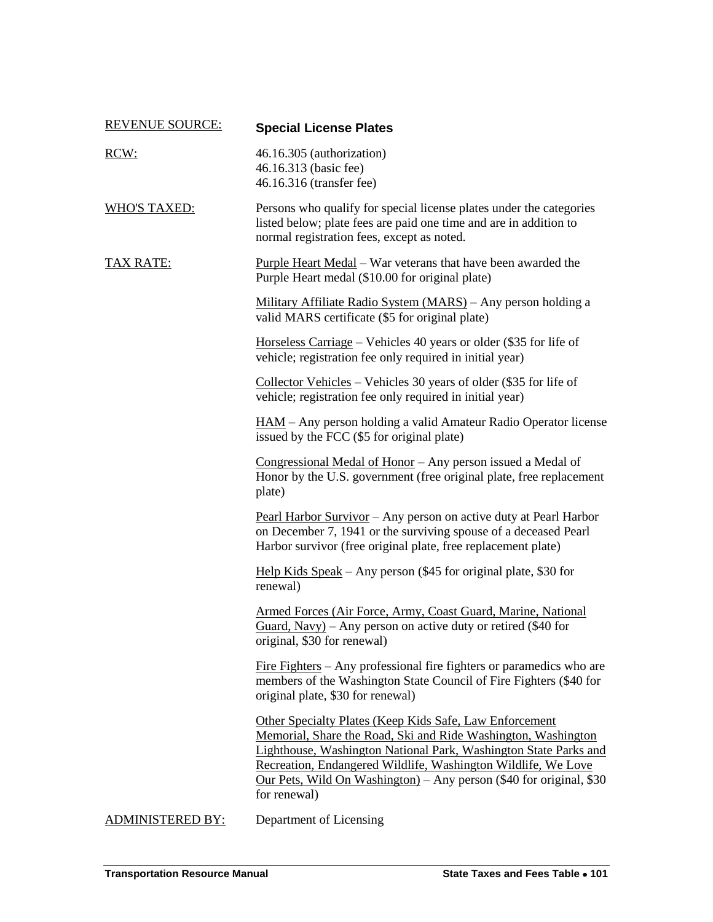| <b>REVENUE SOURCE:</b> | <b>Special License Plates</b>                                                                                                                                                                                                                                                                                                                               |
|------------------------|-------------------------------------------------------------------------------------------------------------------------------------------------------------------------------------------------------------------------------------------------------------------------------------------------------------------------------------------------------------|
| RCW:                   | 46.16.305 (authorization)<br>46.16.313 (basic fee)<br>46.16.316 (transfer fee)                                                                                                                                                                                                                                                                              |
| <b>WHO'S TAXED:</b>    | Persons who qualify for special license plates under the categories<br>listed below; plate fees are paid one time and are in addition to<br>normal registration fees, except as noted.                                                                                                                                                                      |
| TAX RATE:              | <b>Purple Heart Medal</b> – War veterans that have been awarded the<br>Purple Heart medal (\$10.00 for original plate)                                                                                                                                                                                                                                      |
|                        | Military Affiliate Radio System (MARS) – Any person holding a<br>valid MARS certificate (\$5 for original plate)                                                                                                                                                                                                                                            |
|                        | Horseless Carriage – Vehicles 40 years or older (\$35 for life of<br>vehicle; registration fee only required in initial year)                                                                                                                                                                                                                               |
|                        | Collector Vehicles – Vehicles 30 years of older $(\$35$ for life of<br>vehicle; registration fee only required in initial year)                                                                                                                                                                                                                             |
|                        | <u>HAM</u> – Any person holding a valid Amateur Radio Operator license<br>issued by the FCC (\$5 for original plate)                                                                                                                                                                                                                                        |
|                        | Congressional Medal of Honor – Any person issued a Medal of<br>Honor by the U.S. government (free original plate, free replacement<br>plate)                                                                                                                                                                                                                |
|                        | Pearl Harbor Survivor - Any person on active duty at Pearl Harbor<br>on December 7, 1941 or the surviving spouse of a deceased Pearl<br>Harbor survivor (free original plate, free replacement plate)                                                                                                                                                       |
|                        | Help Kids Speak – Any person $(\$45$ for original plate, \$30 for<br>renewal)                                                                                                                                                                                                                                                                               |
|                        | Armed Forces (Air Force, Army, Coast Guard, Marine, National<br>$Guard, Navy$ ) – Any person on active duty or retired (\$40 for<br>original, \$30 for renewal)                                                                                                                                                                                             |
|                        | <u>Fire Fighters</u> – Any professional fire fighters or paramedics who are<br>members of the Washington State Council of Fire Fighters (\$40 for<br>original plate, \$30 for renewal)                                                                                                                                                                      |
|                        | <b>Other Specialty Plates (Keep Kids Safe, Law Enforcement</b><br>Memorial, Share the Road, Ski and Ride Washington, Washington<br>Lighthouse, Washington National Park, Washington State Parks and<br>Recreation, Endangered Wildlife, Washington Wildlife, We Love<br>Our Pets, Wild On Washington) - Any person (\$40 for original, \$30<br>for renewal) |
| ADMINISTERED BY:       | Department of Licensing                                                                                                                                                                                                                                                                                                                                     |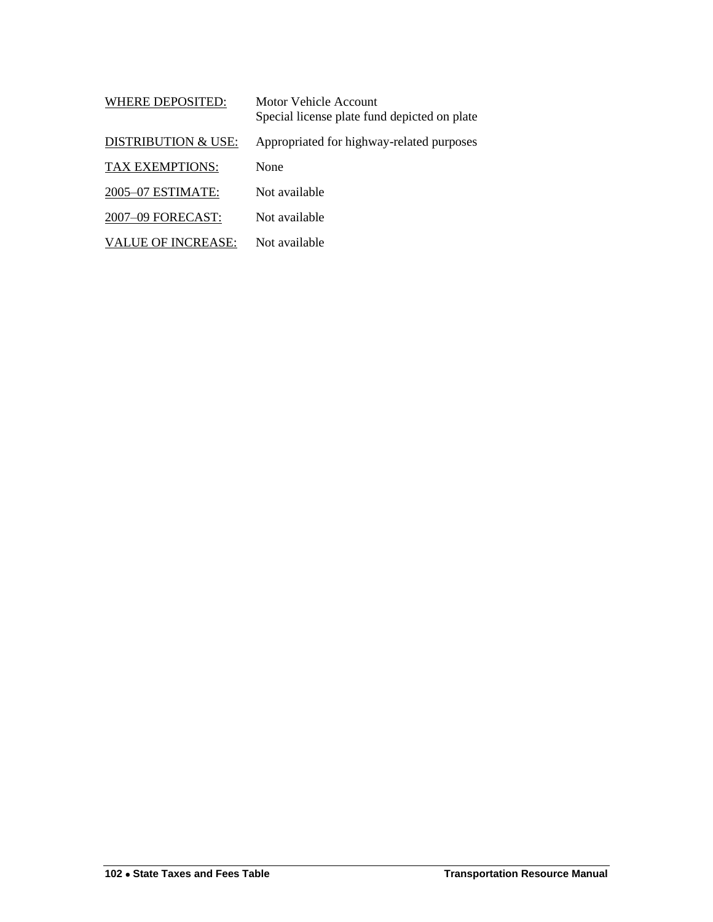| <b>WHERE DEPOSITED:</b>        | Motor Vehicle Account<br>Special license plate fund depicted on plate |
|--------------------------------|-----------------------------------------------------------------------|
| <b>DISTRIBUTION &amp; USE:</b> | Appropriated for highway-related purposes                             |
| <b>TAX EXEMPTIONS:</b>         | None                                                                  |
| 2005-07 ESTIMATE:              | Not available                                                         |
| 2007-09 FORECAST:              | Not available                                                         |
| VALUE OF INCREASE:             | Not available                                                         |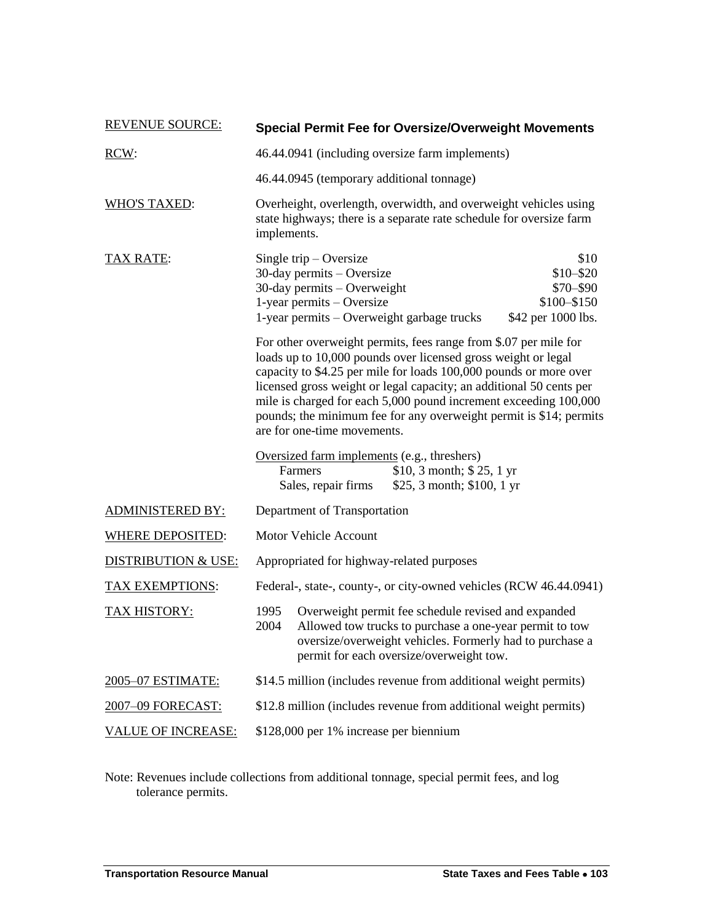| <b>REVENUE SOURCE:</b>         | <b>Special Permit Fee for Oversize/Overweight Movements</b>                                                                                                                                                                                                                                                                                                                                                                                            |  |  |  |
|--------------------------------|--------------------------------------------------------------------------------------------------------------------------------------------------------------------------------------------------------------------------------------------------------------------------------------------------------------------------------------------------------------------------------------------------------------------------------------------------------|--|--|--|
| RCW:                           | 46.44.0941 (including oversize farm implements)                                                                                                                                                                                                                                                                                                                                                                                                        |  |  |  |
|                                | 46.44.0945 (temporary additional tonnage)                                                                                                                                                                                                                                                                                                                                                                                                              |  |  |  |
| <b>WHO'S TAXED:</b>            | Overheight, overlength, overwidth, and overweight vehicles using<br>state highways; there is a separate rate schedule for oversize farm<br>implements.                                                                                                                                                                                                                                                                                                 |  |  |  |
| <b>TAX RATE:</b>               | Single trip $-$ Oversize<br>\$10<br>$$10 - $20$<br>$30$ -day permits – Oversize<br>30-day permits - Overweight<br>\$70-\$90<br>1-year permits - Oversize<br>\$100-\$150<br>1-year permits - Overweight garbage trucks<br>\$42 per 1000 lbs.                                                                                                                                                                                                            |  |  |  |
|                                | For other overweight permits, fees range from \$.07 per mile for<br>loads up to 10,000 pounds over licensed gross weight or legal<br>capacity to \$4.25 per mile for loads 100,000 pounds or more over<br>licensed gross weight or legal capacity; an additional 50 cents per<br>mile is charged for each 5,000 pound increment exceeding 100,000<br>pounds; the minimum fee for any overweight permit is \$14; permits<br>are for one-time movements. |  |  |  |
|                                | Oversized farm implements (e.g., threshers)<br>Farmers<br>\$10, 3 month; $$25, 1 yr$<br>\$25, 3 month; \$100, 1 yr<br>Sales, repair firms                                                                                                                                                                                                                                                                                                              |  |  |  |
| <b>ADMINISTERED BY:</b>        | Department of Transportation                                                                                                                                                                                                                                                                                                                                                                                                                           |  |  |  |
| <b>WHERE DEPOSITED:</b>        | <b>Motor Vehicle Account</b>                                                                                                                                                                                                                                                                                                                                                                                                                           |  |  |  |
| <b>DISTRIBUTION &amp; USE:</b> | Appropriated for highway-related purposes                                                                                                                                                                                                                                                                                                                                                                                                              |  |  |  |
| TAX EXEMPTIONS:                | Federal-, state-, county-, or city-owned vehicles (RCW 46.44.0941)                                                                                                                                                                                                                                                                                                                                                                                     |  |  |  |
| TAX HISTORY:                   | 1995<br>Overweight permit fee schedule revised and expanded<br>2004<br>Allowed tow trucks to purchase a one-year permit to tow<br>oversize/overweight vehicles. Formerly had to purchase a<br>permit for each oversize/overweight tow.                                                                                                                                                                                                                 |  |  |  |
| 2005-07 ESTIMATE:              | \$14.5 million (includes revenue from additional weight permits)                                                                                                                                                                                                                                                                                                                                                                                       |  |  |  |
| 2007-09 FORECAST:              | \$12.8 million (includes revenue from additional weight permits)                                                                                                                                                                                                                                                                                                                                                                                       |  |  |  |
| <u>VALUE OF INCREASE:</u>      | \$128,000 per 1% increase per biennium                                                                                                                                                                                                                                                                                                                                                                                                                 |  |  |  |

Note: Revenues include collections from additional tonnage, special permit fees, and log tolerance permits.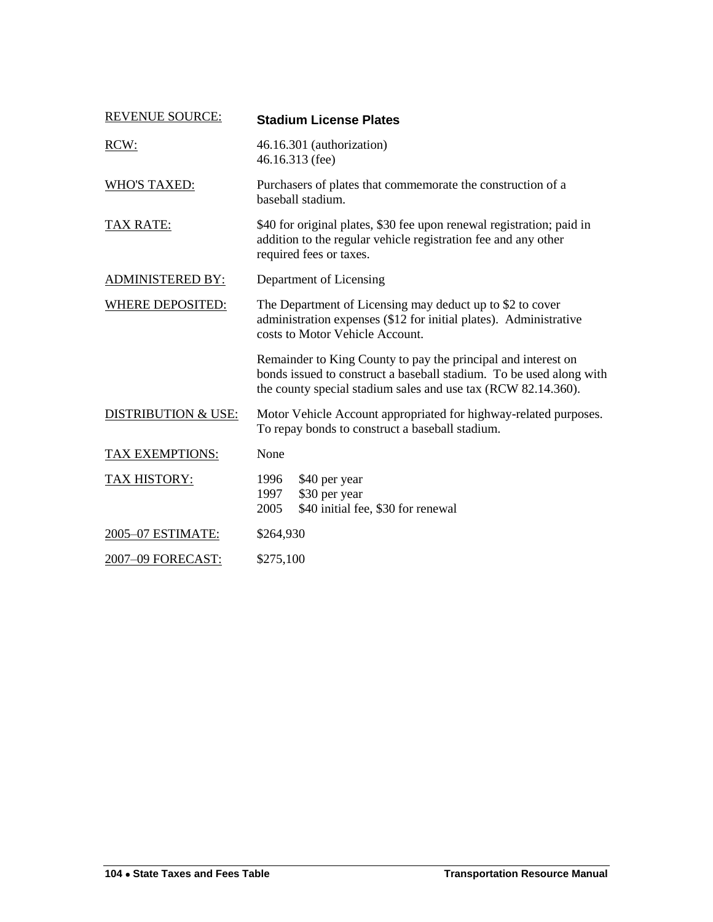| <b>REVENUE SOURCE:</b>         | <b>Stadium License Plates</b>                                                                                                                                                                         |  |  |
|--------------------------------|-------------------------------------------------------------------------------------------------------------------------------------------------------------------------------------------------------|--|--|
| RCW:                           | 46.16.301 (authorization)<br>46.16.313 (fee)                                                                                                                                                          |  |  |
| <b>WHO'S TAXED:</b>            | Purchasers of plates that commemorate the construction of a<br>baseball stadium.                                                                                                                      |  |  |
| <b>TAX RATE:</b>               | \$40 for original plates, \$30 fee upon renewal registration; paid in<br>addition to the regular vehicle registration fee and any other<br>required fees or taxes.                                    |  |  |
| <b>ADMINISTERED BY:</b>        | Department of Licensing                                                                                                                                                                               |  |  |
| <b>WHERE DEPOSITED:</b>        | The Department of Licensing may deduct up to \$2 to cover<br>administration expenses (\$12 for initial plates). Administrative<br>costs to Motor Vehicle Account.                                     |  |  |
|                                | Remainder to King County to pay the principal and interest on<br>bonds issued to construct a baseball stadium. To be used along with<br>the county special stadium sales and use tax (RCW 82.14.360). |  |  |
| <b>DISTRIBUTION &amp; USE:</b> | Motor Vehicle Account appropriated for highway-related purposes.<br>To repay bonds to construct a baseball stadium.                                                                                   |  |  |
| TAX EXEMPTIONS:                | None                                                                                                                                                                                                  |  |  |
| <b>TAX HISTORY:</b>            | 1996<br>\$40 per year<br>\$30 per year<br>1997<br>2005<br>\$40 initial fee, \$30 for renewal                                                                                                          |  |  |
| 2005-07 ESTIMATE:              | \$264,930                                                                                                                                                                                             |  |  |
| 2007-09 FORECAST:              | \$275,100                                                                                                                                                                                             |  |  |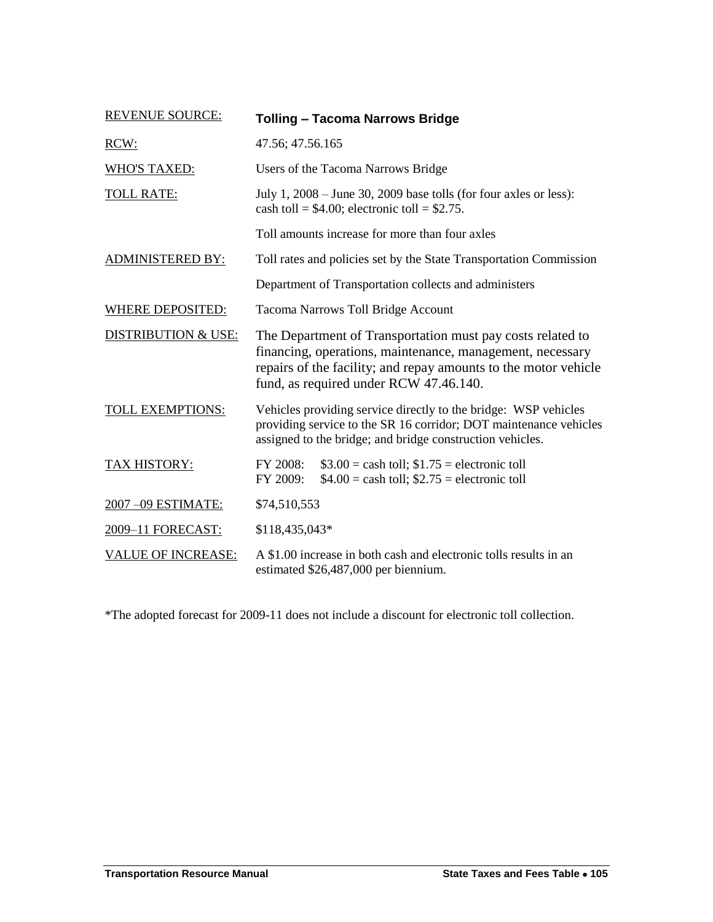| <b>REVENUE SOURCE:</b>         | <b>Tolling - Tacoma Narrows Bridge</b>                                                                                                                                                                                               |  |  |  |
|--------------------------------|--------------------------------------------------------------------------------------------------------------------------------------------------------------------------------------------------------------------------------------|--|--|--|
| RCW:                           | 47.56; 47.56.165                                                                                                                                                                                                                     |  |  |  |
| <b>WHO'S TAXED:</b>            | Users of the Tacoma Narrows Bridge                                                                                                                                                                                                   |  |  |  |
| <b>TOLL RATE:</b>              | July 1, $2008 -$ June 30, $2009$ base tolls (for four axles or less):<br>cash toll = $$4.00$ ; electronic toll = $$2.75$ .                                                                                                           |  |  |  |
|                                | Toll amounts increase for more than four axles                                                                                                                                                                                       |  |  |  |
| <b>ADMINISTERED BY:</b>        | Toll rates and policies set by the State Transportation Commission                                                                                                                                                                   |  |  |  |
|                                | Department of Transportation collects and administers                                                                                                                                                                                |  |  |  |
| <b>WHERE DEPOSITED:</b>        | Tacoma Narrows Toll Bridge Account                                                                                                                                                                                                   |  |  |  |
| <b>DISTRIBUTION &amp; USE:</b> | The Department of Transportation must pay costs related to<br>financing, operations, maintenance, management, necessary<br>repairs of the facility; and repay amounts to the motor vehicle<br>fund, as required under RCW 47.46.140. |  |  |  |
| TOLL EXEMPTIONS:               | Vehicles providing service directly to the bridge: WSP vehicles<br>providing service to the SR 16 corridor; DOT maintenance vehicles<br>assigned to the bridge; and bridge construction vehicles.                                    |  |  |  |
| <b>TAX HISTORY:</b>            | FY 2008:<br>$$3.00 =$ cash toll; $$1.75 =$ electronic toll<br>FY 2009:<br>$$4.00 =$ cash toll; $$2.75 =$ electronic toll                                                                                                             |  |  |  |
| 2007-09 ESTIMATE:              | \$74,510,553                                                                                                                                                                                                                         |  |  |  |
| 2009-11 FORECAST:              | \$118,435,043*                                                                                                                                                                                                                       |  |  |  |
| <b>VALUE OF INCREASE:</b>      | A \$1.00 increase in both cash and electronic tolls results in an<br>estimated \$26,487,000 per biennium.                                                                                                                            |  |  |  |

\*The adopted forecast for 2009-11 does not include a discount for electronic toll collection.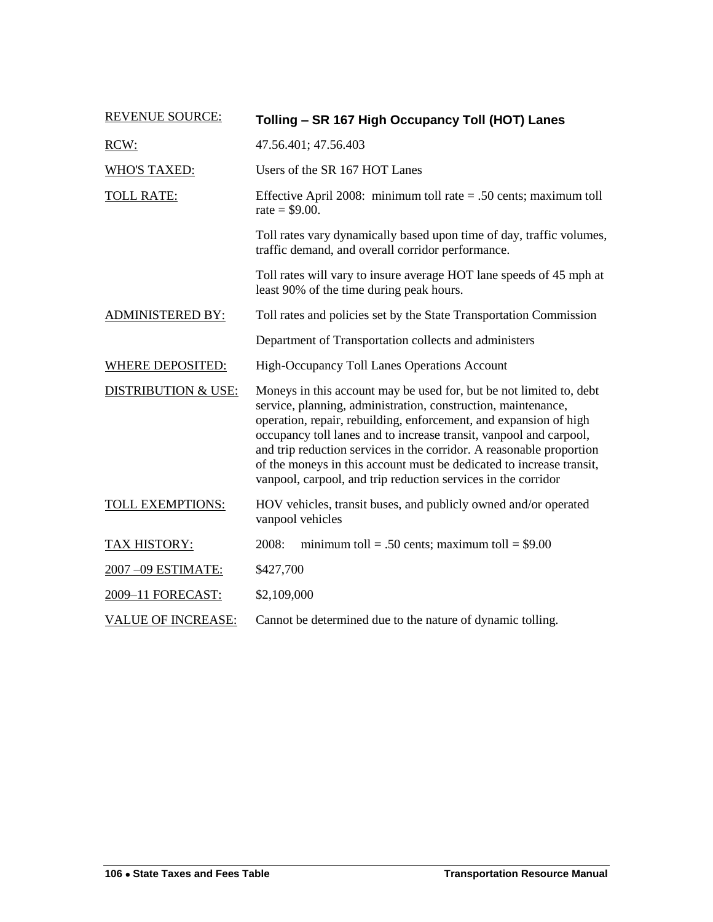| <b>REVENUE SOURCE:</b>    | Tolling - SR 167 High Occupancy Toll (HOT) Lanes                                                                                                                                                                                                                                                                                                                                                                                                                                                 |  |  |  |
|---------------------------|--------------------------------------------------------------------------------------------------------------------------------------------------------------------------------------------------------------------------------------------------------------------------------------------------------------------------------------------------------------------------------------------------------------------------------------------------------------------------------------------------|--|--|--|
| RCW:                      | 47.56.401; 47.56.403                                                                                                                                                                                                                                                                                                                                                                                                                                                                             |  |  |  |
| <b>WHO'S TAXED:</b>       | Users of the SR 167 HOT Lanes                                                                                                                                                                                                                                                                                                                                                                                                                                                                    |  |  |  |
| <b>TOLL RATE:</b>         | Effective April 2008: minimum toll rate $= .50$ cents; maximum toll<br>rate = $$9.00$ .                                                                                                                                                                                                                                                                                                                                                                                                          |  |  |  |
|                           | Toll rates vary dynamically based upon time of day, traffic volumes,<br>traffic demand, and overall corridor performance.                                                                                                                                                                                                                                                                                                                                                                        |  |  |  |
|                           | Toll rates will vary to insure average HOT lane speeds of 45 mph at<br>least 90% of the time during peak hours.                                                                                                                                                                                                                                                                                                                                                                                  |  |  |  |
| <b>ADMINISTERED BY:</b>   | Toll rates and policies set by the State Transportation Commission                                                                                                                                                                                                                                                                                                                                                                                                                               |  |  |  |
|                           | Department of Transportation collects and administers                                                                                                                                                                                                                                                                                                                                                                                                                                            |  |  |  |
| <b>WHERE DEPOSITED:</b>   | High-Occupancy Toll Lanes Operations Account                                                                                                                                                                                                                                                                                                                                                                                                                                                     |  |  |  |
| DISTRIBUTION & USE:       | Moneys in this account may be used for, but be not limited to, debt<br>service, planning, administration, construction, maintenance,<br>operation, repair, rebuilding, enforcement, and expansion of high<br>occupancy toll lanes and to increase transit, vanpool and carpool,<br>and trip reduction services in the corridor. A reasonable proportion<br>of the moneys in this account must be dedicated to increase transit,<br>vanpool, carpool, and trip reduction services in the corridor |  |  |  |
| TOLL EXEMPTIONS:          | HOV vehicles, transit buses, and publicly owned and/or operated<br>vanpool vehicles                                                                                                                                                                                                                                                                                                                                                                                                              |  |  |  |
| <b>TAX HISTORY:</b>       | 2008:<br>minimum toll = .50 cents; maximum toll = $$9.00$                                                                                                                                                                                                                                                                                                                                                                                                                                        |  |  |  |
| 2007-09 ESTIMATE:         | \$427,700                                                                                                                                                                                                                                                                                                                                                                                                                                                                                        |  |  |  |
| 2009-11 FORECAST:         | \$2,109,000                                                                                                                                                                                                                                                                                                                                                                                                                                                                                      |  |  |  |
| <b>VALUE OF INCREASE:</b> | Cannot be determined due to the nature of dynamic tolling.                                                                                                                                                                                                                                                                                                                                                                                                                                       |  |  |  |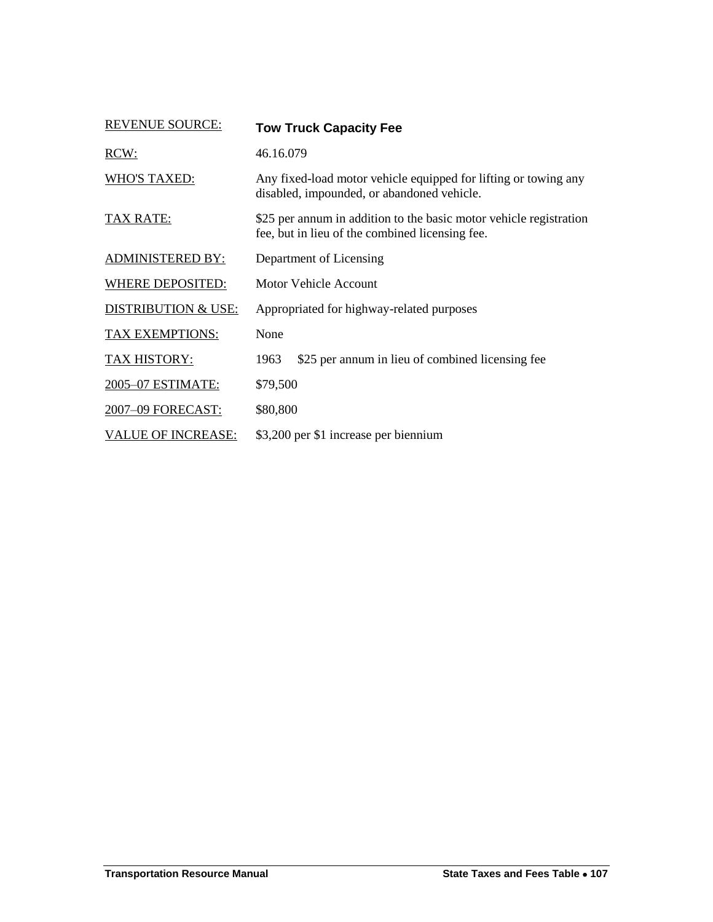| <b>REVENUE SOURCE:</b>         | <b>Tow Truck Capacity Fee</b>                                                                                         |  |  |
|--------------------------------|-----------------------------------------------------------------------------------------------------------------------|--|--|
| RCW:                           | 46.16.079                                                                                                             |  |  |
| <b>WHO'S TAXED:</b>            | Any fixed-load motor vehicle equipped for lifting or towing any<br>disabled, impounded, or abandoned vehicle.         |  |  |
| <b>TAX RATE:</b>               | \$25 per annum in addition to the basic motor vehicle registration<br>fee, but in lieu of the combined licensing fee. |  |  |
| <b>ADMINISTERED BY:</b>        | Department of Licensing                                                                                               |  |  |
| <b>WHERE DEPOSITED:</b>        | Motor Vehicle Account                                                                                                 |  |  |
| <b>DISTRIBUTION &amp; USE:</b> | Appropriated for highway-related purposes                                                                             |  |  |
| <b>TAX EXEMPTIONS:</b>         | None                                                                                                                  |  |  |
| TAX HISTORY:                   | \$25 per annum in lieu of combined licensing fee<br>1963                                                              |  |  |
| 2005-07 ESTIMATE:              | \$79,500                                                                                                              |  |  |
| 2007-09 FORECAST:              | \$80,800                                                                                                              |  |  |
| <b>VALUE OF INCREASE:</b>      | \$3,200 per \$1 increase per biennium                                                                                 |  |  |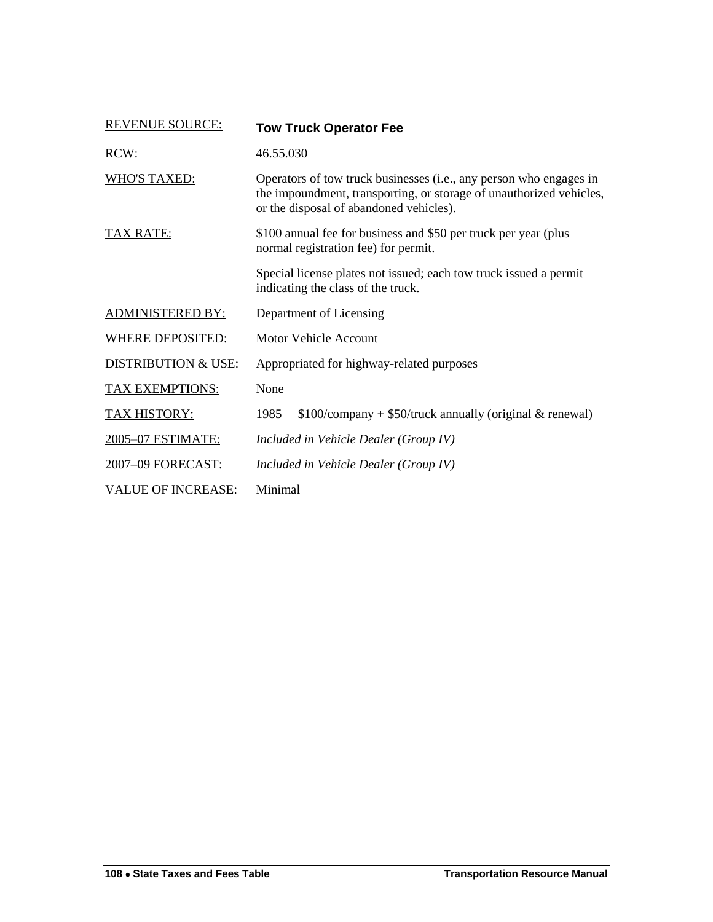<span id="page-77-0"></span>

| <b>REVENUE SOURCE:</b>         | <b>Tow Truck Operator Fee</b>                                                                                                                                                        |  |  |  |
|--------------------------------|--------------------------------------------------------------------------------------------------------------------------------------------------------------------------------------|--|--|--|
| RCW:                           | 46.55.030                                                                                                                                                                            |  |  |  |
| <b>WHO'S TAXED:</b>            | Operators of tow truck businesses (i.e., any person who engages in<br>the impoundment, transporting, or storage of unauthorized vehicles,<br>or the disposal of abandoned vehicles). |  |  |  |
| <b>TAX RATE:</b>               | \$100 annual fee for business and \$50 per truck per year (plus)<br>normal registration fee) for permit.                                                                             |  |  |  |
|                                | Special license plates not issued; each tow truck issued a permit<br>indicating the class of the truck.                                                                              |  |  |  |
| <b>ADMINISTERED BY:</b>        | Department of Licensing                                                                                                                                                              |  |  |  |
| <b>WHERE DEPOSITED:</b>        | <b>Motor Vehicle Account</b>                                                                                                                                                         |  |  |  |
| <b>DISTRIBUTION &amp; USE:</b> | Appropriated for highway-related purposes                                                                                                                                            |  |  |  |
| TAX EXEMPTIONS:                | None                                                                                                                                                                                 |  |  |  |
| <b>TAX HISTORY:</b>            | $$100$ /company + \$50/truck annually (original & renewal)<br>1985                                                                                                                   |  |  |  |
| 2005-07 ESTIMATE:              | Included in Vehicle Dealer (Group IV)                                                                                                                                                |  |  |  |
| 2007-09 FORECAST:              | Included in Vehicle Dealer (Group IV)                                                                                                                                                |  |  |  |
| <b>VALUE OF INCREASE:</b>      | Minimal                                                                                                                                                                              |  |  |  |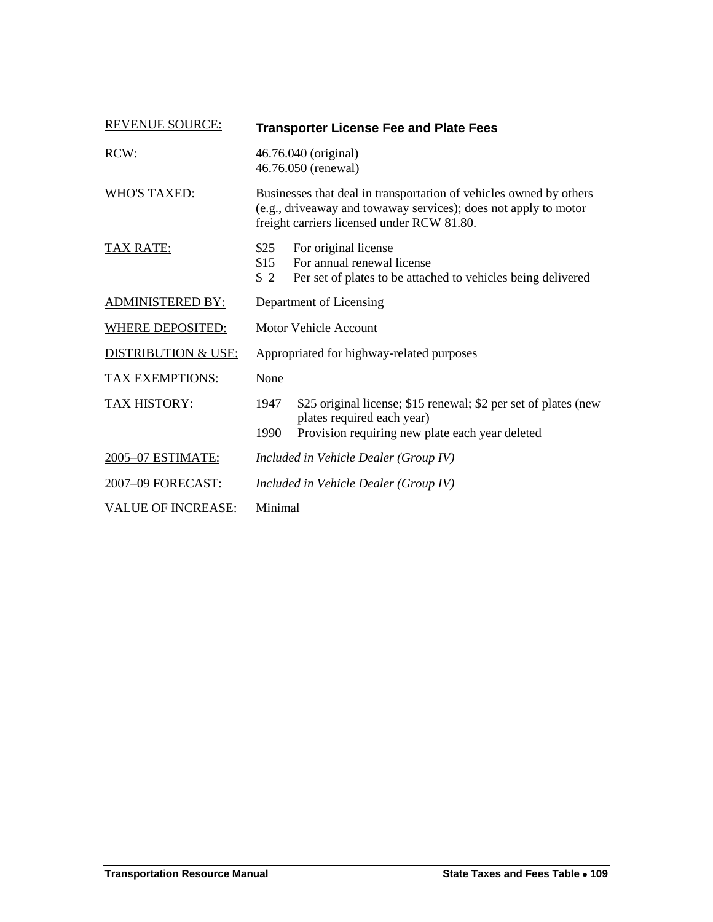<span id="page-78-0"></span>

| <b>REVENUE SOURCE:</b>         | <b>Transporter License Fee and Plate Fees</b>                                                                                                                                       |                                                                                                                    |  |
|--------------------------------|-------------------------------------------------------------------------------------------------------------------------------------------------------------------------------------|--------------------------------------------------------------------------------------------------------------------|--|
| RCW:                           | 46.76.040 (original)<br>46.76.050 (renewal)                                                                                                                                         |                                                                                                                    |  |
| <b>WHO'S TAXED:</b>            | Businesses that deal in transportation of vehicles owned by others<br>(e.g., driveaway and towaway services); does not apply to motor<br>freight carriers licensed under RCW 81.80. |                                                                                                                    |  |
| <b>TAX RATE:</b>               | \$25<br>\$15<br>\$2                                                                                                                                                                 | For original license<br>For annual renewal license<br>Per set of plates to be attached to vehicles being delivered |  |
| <b>ADMINISTERED BY:</b>        | Department of Licensing                                                                                                                                                             |                                                                                                                    |  |
| <b>WHERE DEPOSITED:</b>        | Motor Vehicle Account                                                                                                                                                               |                                                                                                                    |  |
| <b>DISTRIBUTION &amp; USE:</b> | Appropriated for highway-related purposes                                                                                                                                           |                                                                                                                    |  |
| <b>TAX EXEMPTIONS:</b>         | None                                                                                                                                                                                |                                                                                                                    |  |
| <b>TAX HISTORY:</b>            | 1947                                                                                                                                                                                | \$25 original license; \$15 renewal; \$2 per set of plates (new                                                    |  |
|                                | 1990                                                                                                                                                                                | plates required each year)<br>Provision requiring new plate each year deleted                                      |  |
| 2005-07 ESTIMATE:              | Included in Vehicle Dealer (Group IV)                                                                                                                                               |                                                                                                                    |  |
| 2007-09 FORECAST:              | Included in Vehicle Dealer (Group IV)                                                                                                                                               |                                                                                                                    |  |
| <b>VALUE OF INCREASE:</b>      | Minimal                                                                                                                                                                             |                                                                                                                    |  |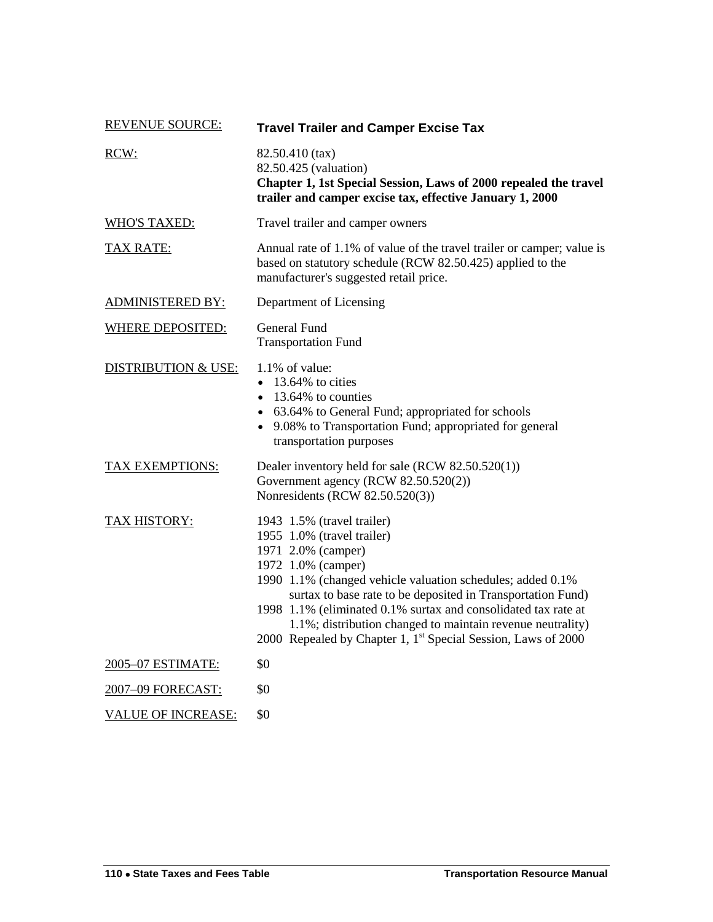| <b>REVENUE SOURCE:</b>         | <b>Travel Trailer and Camper Excise Tax</b><br>82.50.410 (tax)<br>82.50.425 (valuation)<br>Chapter 1, 1st Special Session, Laws of 2000 repealed the travel<br>trailer and camper excise tax, effective January 1, 2000                                                                                                                                                                                                                        |  |  |
|--------------------------------|------------------------------------------------------------------------------------------------------------------------------------------------------------------------------------------------------------------------------------------------------------------------------------------------------------------------------------------------------------------------------------------------------------------------------------------------|--|--|
| RCW:                           |                                                                                                                                                                                                                                                                                                                                                                                                                                                |  |  |
| <b>WHO'S TAXED:</b>            | Travel trailer and camper owners                                                                                                                                                                                                                                                                                                                                                                                                               |  |  |
| <b>TAX RATE:</b>               | Annual rate of 1.1% of value of the travel trailer or camper; value is<br>based on statutory schedule (RCW 82.50.425) applied to the<br>manufacturer's suggested retail price.                                                                                                                                                                                                                                                                 |  |  |
| <b>ADMINISTERED BY:</b>        | Department of Licensing                                                                                                                                                                                                                                                                                                                                                                                                                        |  |  |
| <b>WHERE DEPOSITED:</b>        | General Fund<br><b>Transportation Fund</b>                                                                                                                                                                                                                                                                                                                                                                                                     |  |  |
| <b>DISTRIBUTION &amp; USE:</b> | 1.1% of value:<br>$\bullet$ 13.64% to cities<br>• 13.64% to counties<br>• 63.64% to General Fund; appropriated for schools<br>• 9.08% to Transportation Fund; appropriated for general<br>transportation purposes                                                                                                                                                                                                                              |  |  |
| <b>TAX EXEMPTIONS:</b>         | Dealer inventory held for sale (RCW 82.50.520(1))<br>Government agency (RCW 82.50.520(2))<br>Nonresidents (RCW 82.50.520(3))                                                                                                                                                                                                                                                                                                                   |  |  |
| <b>TAX HISTORY:</b>            | 1943 1.5% (travel trailer)<br>1955 1.0% (travel trailer)<br>1971 2.0% (camper)<br>1972 1.0% (camper)<br>1990 1.1% (changed vehicle valuation schedules; added 0.1%<br>surtax to base rate to be deposited in Transportation Fund)<br>1998 1.1% (eliminated 0.1% surtax and consolidated tax rate at<br>1.1%; distribution changed to maintain revenue neutrality)<br>2000 Repealed by Chapter 1, 1 <sup>st</sup> Special Session, Laws of 2000 |  |  |
| 2005-07 ESTIMATE:              | \$0                                                                                                                                                                                                                                                                                                                                                                                                                                            |  |  |
| 2007-09 FORECAST:              | \$0                                                                                                                                                                                                                                                                                                                                                                                                                                            |  |  |
| <b>VALUE OF INCREASE:</b>      | \$0                                                                                                                                                                                                                                                                                                                                                                                                                                            |  |  |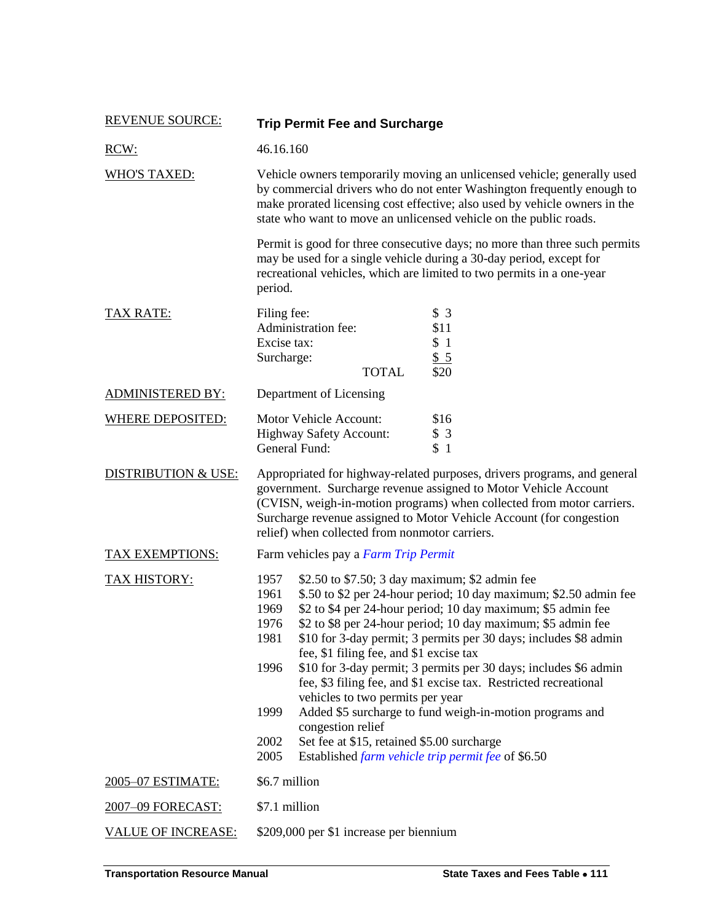| <b>REVENUE SOURCE:</b>         | <b>Trip Permit Fee and Surcharge</b>                                                                                                                                                                                                                                                                                                                                                                                                                                                                                                                                                                                                                                                                                                                                                                        |  |  |  |
|--------------------------------|-------------------------------------------------------------------------------------------------------------------------------------------------------------------------------------------------------------------------------------------------------------------------------------------------------------------------------------------------------------------------------------------------------------------------------------------------------------------------------------------------------------------------------------------------------------------------------------------------------------------------------------------------------------------------------------------------------------------------------------------------------------------------------------------------------------|--|--|--|
| RCW:                           | 46.16.160                                                                                                                                                                                                                                                                                                                                                                                                                                                                                                                                                                                                                                                                                                                                                                                                   |  |  |  |
| <b>WHO'S TAXED:</b>            | Vehicle owners temporarily moving an unlicensed vehicle; generally used<br>by commercial drivers who do not enter Washington frequently enough to<br>make prorated licensing cost effective; also used by vehicle owners in the<br>state who want to move an unlicensed vehicle on the public roads.                                                                                                                                                                                                                                                                                                                                                                                                                                                                                                        |  |  |  |
|                                | Permit is good for three consecutive days; no more than three such permits<br>may be used for a single vehicle during a 30-day period, except for<br>recreational vehicles, which are limited to two permits in a one-year<br>period.                                                                                                                                                                                                                                                                                                                                                                                                                                                                                                                                                                       |  |  |  |
| <b>TAX RATE:</b>               | Filing fee:<br>\$3<br>Administration fee:<br>\$11<br>Excise tax:<br>\$1<br>Surcharge:<br>\$5<br><b>TOTAL</b><br>\$20                                                                                                                                                                                                                                                                                                                                                                                                                                                                                                                                                                                                                                                                                        |  |  |  |
| <b>ADMINISTERED BY:</b>        | Department of Licensing                                                                                                                                                                                                                                                                                                                                                                                                                                                                                                                                                                                                                                                                                                                                                                                     |  |  |  |
| <b>WHERE DEPOSITED:</b>        | <b>Motor Vehicle Account:</b><br>\$16<br><b>Highway Safety Account:</b><br>\$3<br>General Fund:<br>\$1                                                                                                                                                                                                                                                                                                                                                                                                                                                                                                                                                                                                                                                                                                      |  |  |  |
| <b>DISTRIBUTION &amp; USE:</b> | Appropriated for highway-related purposes, drivers programs, and general<br>government. Surcharge revenue assigned to Motor Vehicle Account<br>(CVISN, weigh-in-motion programs) when collected from motor carriers.<br>Surcharge revenue assigned to Motor Vehicle Account (for congestion<br>relief) when collected from nonmotor carriers.                                                                                                                                                                                                                                                                                                                                                                                                                                                               |  |  |  |
| <b>TAX EXEMPTIONS:</b>         | Farm vehicles pay a Farm Trip Permit                                                                                                                                                                                                                                                                                                                                                                                                                                                                                                                                                                                                                                                                                                                                                                        |  |  |  |
| TAX HISTORY:                   | 1957<br>\$2.50 to \$7.50; 3 day maximum; \$2 admin fee<br>1961<br>\$.50 to \$2 per 24-hour period; 10 day maximum; \$2.50 admin fee<br>\$2 to \$4 per 24-hour period; 10 day maximum; \$5 admin fee<br>1969<br>\$2 to \$8 per 24-hour period; 10 day maximum; \$5 admin fee<br>1976<br>\$10 for 3-day permit; 3 permits per 30 days; includes \$8 admin<br>1981<br>fee, \$1 filing fee, and \$1 excise tax<br>\$10 for 3-day permit; 3 permits per 30 days; includes \$6 admin<br>1996<br>fee, \$3 filing fee, and \$1 excise tax. Restricted recreational<br>vehicles to two permits per year<br>Added \$5 surcharge to fund weigh-in-motion programs and<br>1999<br>congestion relief<br>Set fee at \$15, retained \$5.00 surcharge<br>2002<br>2005<br>Established farm vehicle trip permit fee of \$6.50 |  |  |  |
| 2005-07 ESTIMATE:              | \$6.7 million                                                                                                                                                                                                                                                                                                                                                                                                                                                                                                                                                                                                                                                                                                                                                                                               |  |  |  |
| 2007-09 FORECAST:              | \$7.1 million                                                                                                                                                                                                                                                                                                                                                                                                                                                                                                                                                                                                                                                                                                                                                                                               |  |  |  |
| <b>VALUE OF INCREASE:</b>      | \$209,000 per \$1 increase per biennium                                                                                                                                                                                                                                                                                                                                                                                                                                                                                                                                                                                                                                                                                                                                                                     |  |  |  |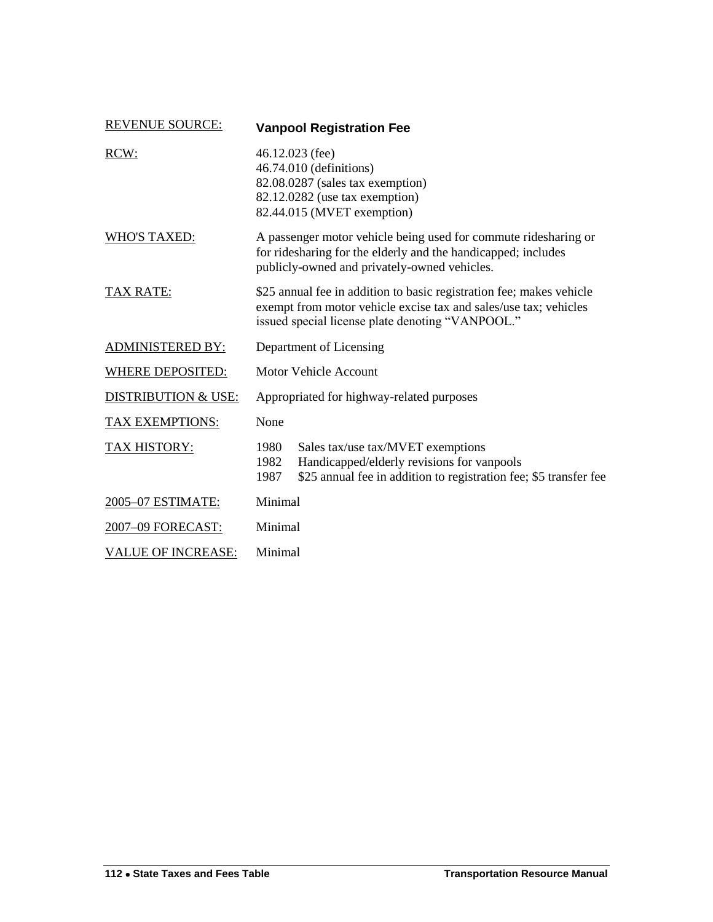| <b>REVENUE SOURCE:</b>         | <b>Vanpool Registration Fee</b>                                                                                                                                                              |                                                                                                                                                      |  |
|--------------------------------|----------------------------------------------------------------------------------------------------------------------------------------------------------------------------------------------|------------------------------------------------------------------------------------------------------------------------------------------------------|--|
| RCW:                           | 46.12.023 (fee)<br>46.74.010 (definitions)<br>82.08.0287 (sales tax exemption)<br>82.12.0282 (use tax exemption)<br>82.44.015 (MVET exemption)                                               |                                                                                                                                                      |  |
| <b>WHO'S TAXED:</b>            | A passenger motor vehicle being used for commute ridesharing or<br>for ridesharing for the elderly and the handicapped; includes<br>publicly-owned and privately-owned vehicles.             |                                                                                                                                                      |  |
| <b>TAX RATE:</b>               | \$25 annual fee in addition to basic registration fee; makes vehicle<br>exempt from motor vehicle excise tax and sales/use tax; vehicles<br>issued special license plate denoting "VANPOOL." |                                                                                                                                                      |  |
| <b>ADMINISTERED BY:</b>        | Department of Licensing                                                                                                                                                                      |                                                                                                                                                      |  |
| <b>WHERE DEPOSITED:</b>        | Motor Vehicle Account                                                                                                                                                                        |                                                                                                                                                      |  |
| <b>DISTRIBUTION &amp; USE:</b> | Appropriated for highway-related purposes                                                                                                                                                    |                                                                                                                                                      |  |
| <b>TAX EXEMPTIONS:</b>         | None                                                                                                                                                                                         |                                                                                                                                                      |  |
| <b>TAX HISTORY:</b>            | 1980<br>1982<br>1987                                                                                                                                                                         | Sales tax/use tax/MVET exemptions<br>Handicapped/elderly revisions for vanpools<br>\$25 annual fee in addition to registration fee; \$5 transfer fee |  |
| 2005-07 ESTIMATE:              | Minimal                                                                                                                                                                                      |                                                                                                                                                      |  |
| 2007-09 FORECAST:              | Minimal                                                                                                                                                                                      |                                                                                                                                                      |  |
| <b>VALUE OF INCREASE:</b>      | Minimal                                                                                                                                                                                      |                                                                                                                                                      |  |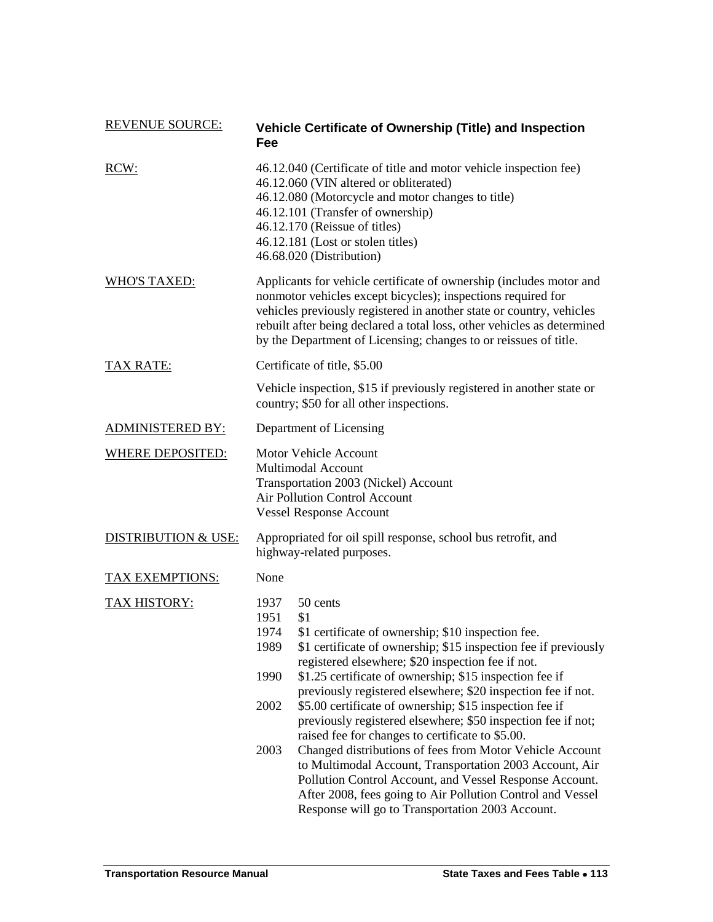| <b>REVENUE SOURCE:</b>         | Vehicle Certificate of Ownership (Title) and Inspection<br>Fee                                                                                                                                                                                                                                                                                                                                                                                                                                                                                                                                                                                                                                                                                                                                                                                                      |  |  |
|--------------------------------|---------------------------------------------------------------------------------------------------------------------------------------------------------------------------------------------------------------------------------------------------------------------------------------------------------------------------------------------------------------------------------------------------------------------------------------------------------------------------------------------------------------------------------------------------------------------------------------------------------------------------------------------------------------------------------------------------------------------------------------------------------------------------------------------------------------------------------------------------------------------|--|--|
| RCW:                           | 46.12.040 (Certificate of title and motor vehicle inspection fee)<br>46.12.060 (VIN altered or obliterated)<br>46.12.080 (Motorcycle and motor changes to title)<br>46.12.101 (Transfer of ownership)<br>46.12.170 (Reissue of titles)<br>46.12.181 (Lost or stolen titles)<br>46.68.020 (Distribution)                                                                                                                                                                                                                                                                                                                                                                                                                                                                                                                                                             |  |  |
| <b>WHO'S TAXED:</b>            | Applicants for vehicle certificate of ownership (includes motor and<br>nonmotor vehicles except bicycles); inspections required for<br>vehicles previously registered in another state or country, vehicles<br>rebuilt after being declared a total loss, other vehicles as determined<br>by the Department of Licensing; changes to or reissues of title.                                                                                                                                                                                                                                                                                                                                                                                                                                                                                                          |  |  |
| TAX RATE:                      | Certificate of title, \$5.00                                                                                                                                                                                                                                                                                                                                                                                                                                                                                                                                                                                                                                                                                                                                                                                                                                        |  |  |
|                                | Vehicle inspection, \$15 if previously registered in another state or<br>country; \$50 for all other inspections.                                                                                                                                                                                                                                                                                                                                                                                                                                                                                                                                                                                                                                                                                                                                                   |  |  |
| <b>ADMINISTERED BY:</b>        | Department of Licensing                                                                                                                                                                                                                                                                                                                                                                                                                                                                                                                                                                                                                                                                                                                                                                                                                                             |  |  |
| <b>WHERE DEPOSITED:</b>        | Motor Vehicle Account<br>Multimodal Account<br>Transportation 2003 (Nickel) Account<br><b>Air Pollution Control Account</b><br><b>Vessel Response Account</b>                                                                                                                                                                                                                                                                                                                                                                                                                                                                                                                                                                                                                                                                                                       |  |  |
| <b>DISTRIBUTION &amp; USE:</b> | Appropriated for oil spill response, school bus retrofit, and<br>highway-related purposes.                                                                                                                                                                                                                                                                                                                                                                                                                                                                                                                                                                                                                                                                                                                                                                          |  |  |
| TAX EXEMPTIONS:                | None                                                                                                                                                                                                                                                                                                                                                                                                                                                                                                                                                                                                                                                                                                                                                                                                                                                                |  |  |
| TAX HISTORY:                   | 1937<br>50 cents<br>1951<br>\$1<br>\$1 certificate of ownership; \$10 inspection fee.<br>1974<br>1989<br>\$1 certificate of ownership; \$15 inspection fee if previously<br>registered elsewhere; \$20 inspection fee if not.<br>\$1.25 certificate of ownership; \$15 inspection fee if<br>1990<br>previously registered elsewhere; \$20 inspection fee if not.<br>\$5.00 certificate of ownership; \$15 inspection fee if<br>2002<br>previously registered elsewhere; \$50 inspection fee if not;<br>raised fee for changes to certificate to \$5.00.<br>2003<br>Changed distributions of fees from Motor Vehicle Account<br>to Multimodal Account, Transportation 2003 Account, Air<br>Pollution Control Account, and Vessel Response Account.<br>After 2008, fees going to Air Pollution Control and Vessel<br>Response will go to Transportation 2003 Account. |  |  |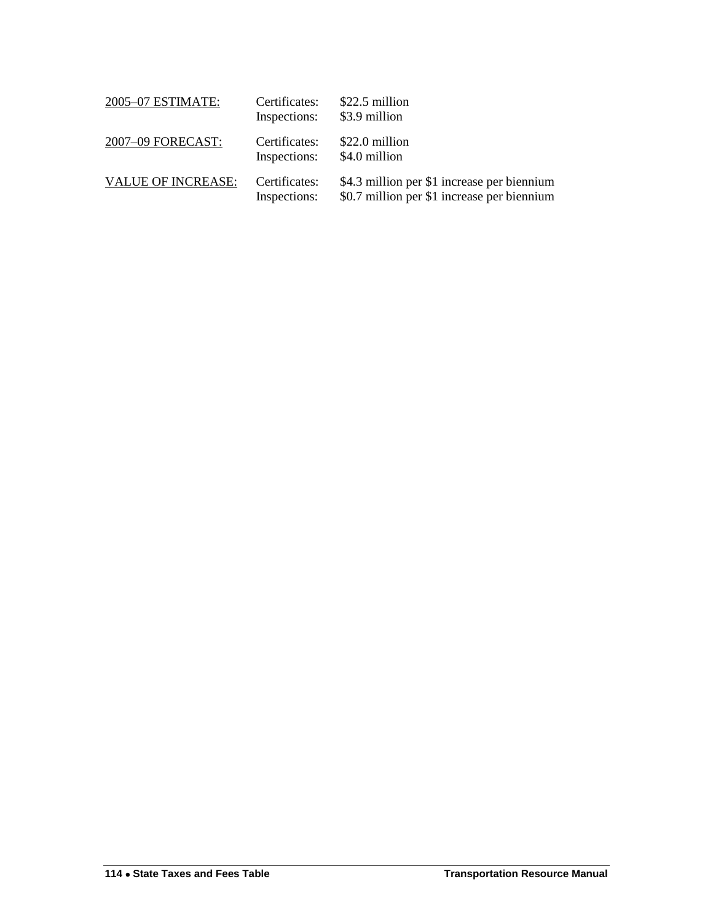| 2005-07 ESTIMATE:         | Certificates:<br>Inspections: | \$22.5 million<br>\$3.9 million                                                            |
|---------------------------|-------------------------------|--------------------------------------------------------------------------------------------|
| 2007-09 FORECAST:         | Certificates:<br>Inspections: | \$22.0 million<br>\$4.0 million                                                            |
| <b>VALUE OF INCREASE:</b> | Certificates:<br>Inspections: | \$4.3 million per \$1 increase per biennium<br>\$0.7 million per \$1 increase per biennium |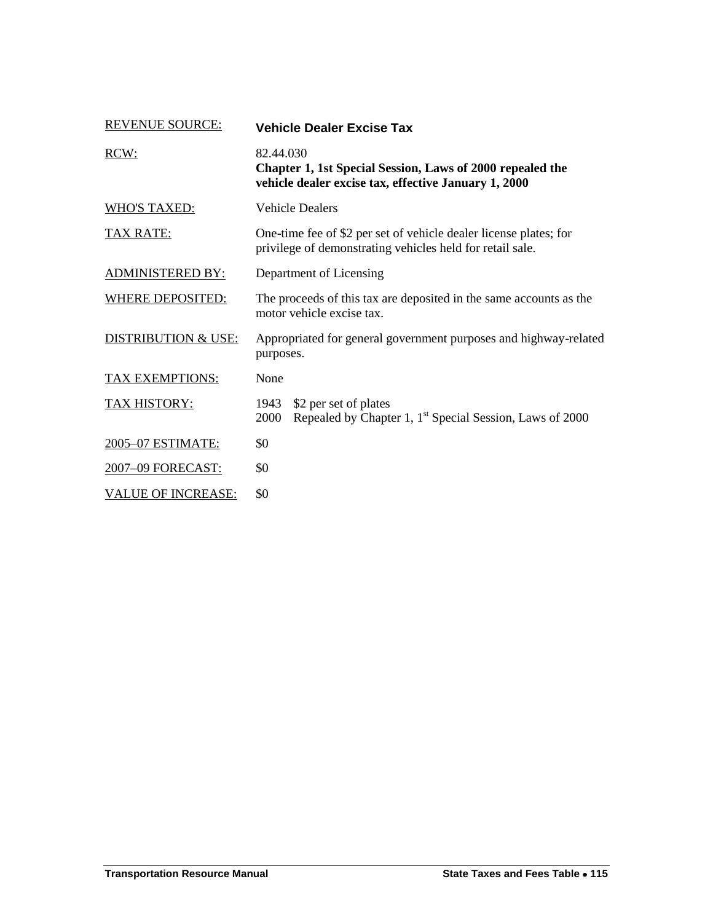| <b>REVENUE SOURCE:</b>         | <b>Vehicle Dealer Excise Tax</b>                                                                                               |  |
|--------------------------------|--------------------------------------------------------------------------------------------------------------------------------|--|
| RCW:                           | 82.44.030<br>Chapter 1, 1st Special Session, Laws of 2000 repealed the<br>vehicle dealer excise tax, effective January 1, 2000 |  |
| <b>WHO'S TAXED:</b>            | <b>Vehicle Dealers</b>                                                                                                         |  |
| <b>TAX RATE:</b>               | One-time fee of \$2 per set of vehicle dealer license plates; for<br>privilege of demonstrating vehicles held for retail sale. |  |
| <b>ADMINISTERED BY:</b>        | Department of Licensing                                                                                                        |  |
| WHERE DEPOSITED:               | The proceeds of this tax are deposited in the same accounts as the<br>motor vehicle excise tax.                                |  |
| <b>DISTRIBUTION &amp; USE:</b> | Appropriated for general government purposes and highway-related<br>purposes.                                                  |  |
| <b>TAX EXEMPTIONS:</b>         | None                                                                                                                           |  |
| <b>TAX HISTORY:</b>            | \$2 per set of plates<br>1943<br>Repealed by Chapter 1, 1 <sup>st</sup> Special Session, Laws of 2000<br>2000                  |  |
| 2005-07 ESTIMATE:              | \$0                                                                                                                            |  |
| 2007-09 FORECAST:              | \$0                                                                                                                            |  |
| <b>VALUE OF INCREASE:</b>      | \$0                                                                                                                            |  |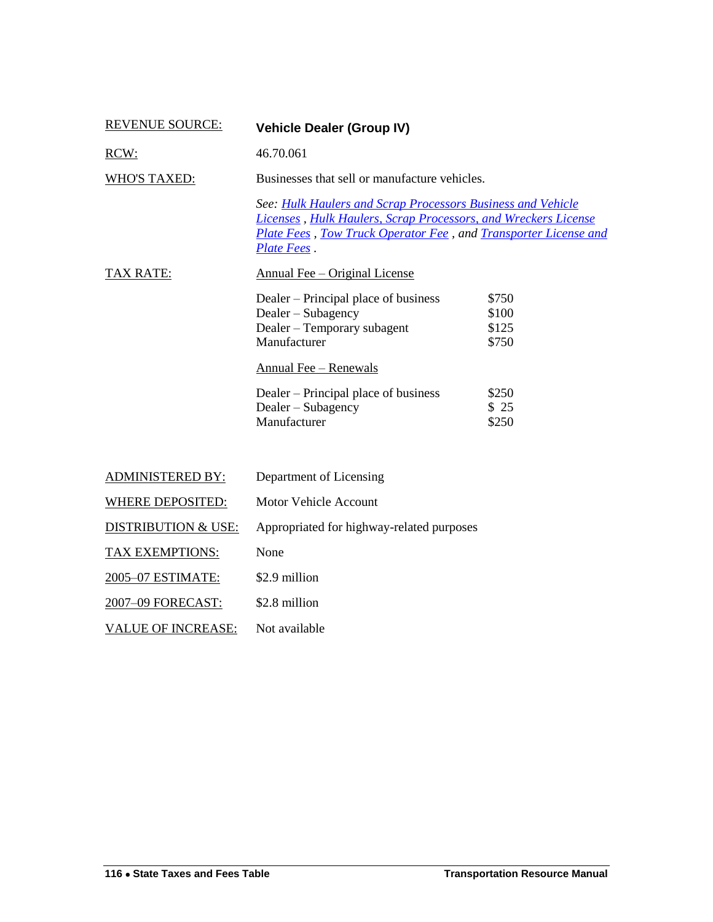| <b>REVENUE SOURCE:</b>         | <b>Vehicle Dealer (Group IV)</b>                                                                                                                                                                                |                                  |
|--------------------------------|-----------------------------------------------------------------------------------------------------------------------------------------------------------------------------------------------------------------|----------------------------------|
| RCW:                           | 46.70.061                                                                                                                                                                                                       |                                  |
| <b>WHO'S TAXED:</b>            | Businesses that sell or manufacture vehicles.                                                                                                                                                                   |                                  |
|                                | See: Hulk Haulers and Scrap Processors Business and Vehicle<br>Licenses, Hulk Haulers, Scrap Processors, and Wreckers License<br>Plate Fees, Tow Truck Operator Fee, and Transporter License and<br>Plate Fees. |                                  |
| <b>TAX RATE:</b>               | <b>Annual Fee – Original License</b>                                                                                                                                                                            |                                  |
|                                | Dealer – Principal place of business<br>Dealer – Subagency<br>Dealer - Temporary subagent<br>Manufacturer                                                                                                       | \$750<br>\$100<br>\$125<br>\$750 |
|                                | <b>Annual Fee - Renewals</b>                                                                                                                                                                                    |                                  |
|                                | Dealer – Principal place of business<br>Dealer – Subagency<br>Manufacturer                                                                                                                                      | \$250<br>\$25<br>\$250           |
| <b>ADMINISTERED BY:</b>        | Department of Licensing                                                                                                                                                                                         |                                  |
| <b>WHERE DEPOSITED:</b>        | Motor Vehicle Account                                                                                                                                                                                           |                                  |
| <b>DISTRIBUTION &amp; USE:</b> | Appropriated for highway-related purposes                                                                                                                                                                       |                                  |
| <b>TAX EXEMPTIONS:</b>         | None                                                                                                                                                                                                            |                                  |
| 2005-07 ESTIMATE:              | \$2.9 million                                                                                                                                                                                                   |                                  |
| 2007-09 FORECAST:              | \$2.8 million                                                                                                                                                                                                   |                                  |
| <b>VALUE OF INCREASE:</b>      | Not available                                                                                                                                                                                                   |                                  |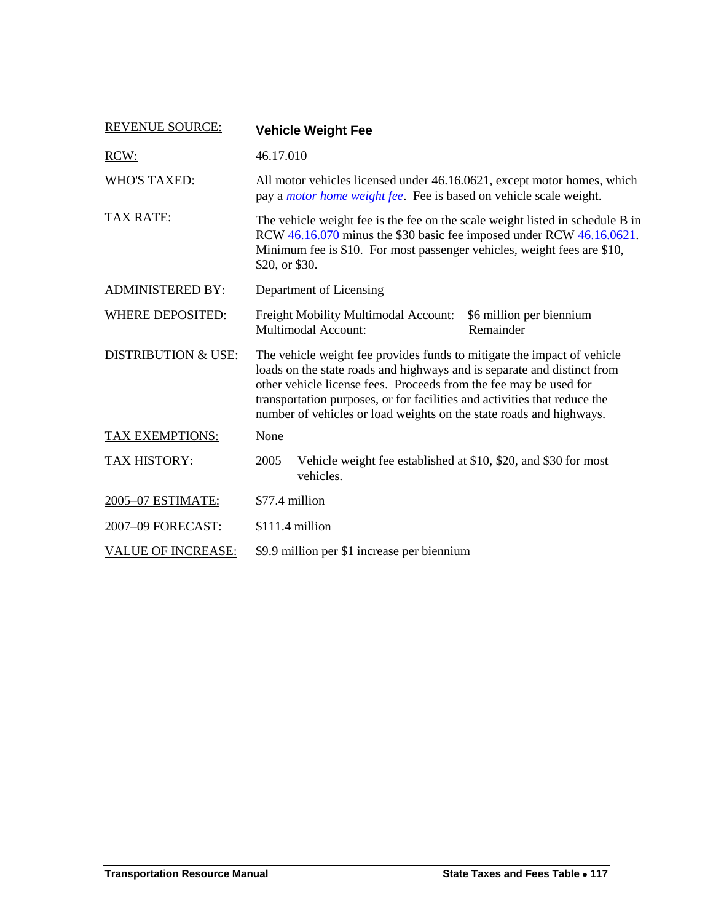| <b>REVENUE SOURCE:</b>    | <b>Vehicle Weight Fee</b>                                                                                                                                                                                                                                                                                                                                                   |  |
|---------------------------|-----------------------------------------------------------------------------------------------------------------------------------------------------------------------------------------------------------------------------------------------------------------------------------------------------------------------------------------------------------------------------|--|
| RCW:                      | 46.17.010                                                                                                                                                                                                                                                                                                                                                                   |  |
| <b>WHO'S TAXED:</b>       | All motor vehicles licensed under 46.16.0621, except motor homes, which<br>pay a <i>motor home weight fee</i> . Fee is based on vehicle scale weight.                                                                                                                                                                                                                       |  |
| <b>TAX RATE:</b>          | The vehicle weight fee is the fee on the scale weight listed in schedule B in<br>RCW 46.16.070 minus the \$30 basic fee imposed under RCW 46.16.0621.<br>Minimum fee is \$10. For most passenger vehicles, weight fees are \$10,<br>\$20, or \$30.                                                                                                                          |  |
| <b>ADMINISTERED BY:</b>   | Department of Licensing                                                                                                                                                                                                                                                                                                                                                     |  |
| <b>WHERE DEPOSITED:</b>   | Freight Mobility Multimodal Account:<br>\$6 million per biennium<br><b>Multimodal Account:</b><br>Remainder                                                                                                                                                                                                                                                                 |  |
| DISTRIBUTION & USE:       | The vehicle weight fee provides funds to mitigate the impact of vehicle<br>loads on the state roads and highways and is separate and distinct from<br>other vehicle license fees. Proceeds from the fee may be used for<br>transportation purposes, or for facilities and activities that reduce the<br>number of vehicles or load weights on the state roads and highways. |  |
| TAX EXEMPTIONS:           | None                                                                                                                                                                                                                                                                                                                                                                        |  |
| TAX HISTORY:              | Vehicle weight fee established at \$10, \$20, and \$30 for most<br>2005<br>vehicles.                                                                                                                                                                                                                                                                                        |  |
| 2005-07 ESTIMATE:         | \$77.4 million                                                                                                                                                                                                                                                                                                                                                              |  |
| 2007-09 FORECAST:         | \$111.4 million                                                                                                                                                                                                                                                                                                                                                             |  |
| <b>VALUE OF INCREASE:</b> | \$9.9 million per \$1 increase per biennium                                                                                                                                                                                                                                                                                                                                 |  |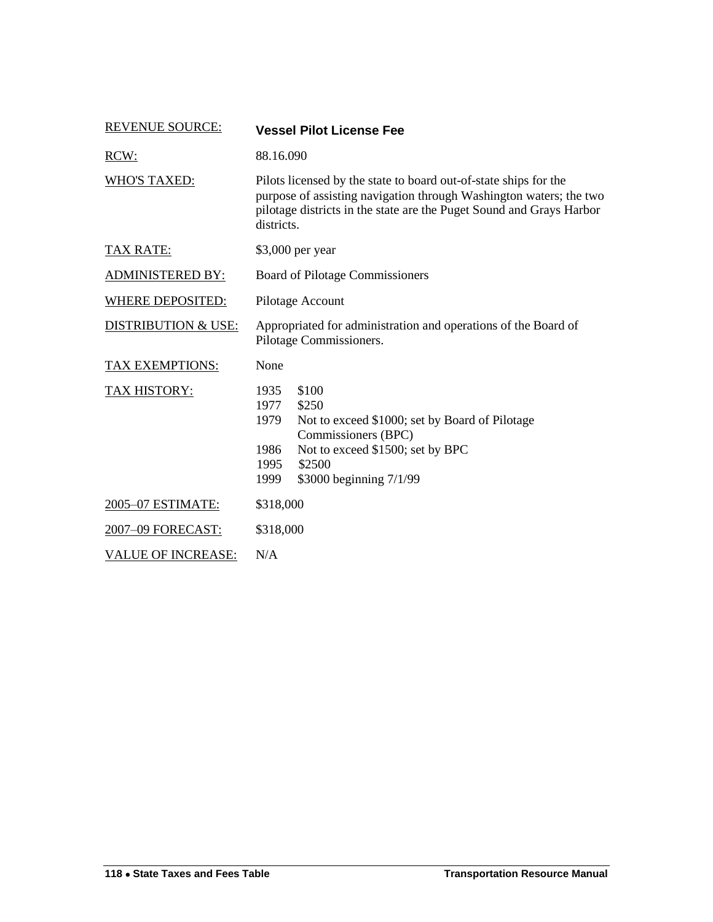| <b>REVENUE SOURCE:</b>         | <b>Vessel Pilot License Fee</b>                                                                                                                                                                                              |
|--------------------------------|------------------------------------------------------------------------------------------------------------------------------------------------------------------------------------------------------------------------------|
| RCW:                           | 88.16.090                                                                                                                                                                                                                    |
| <b>WHO'S TAXED:</b>            | Pilots licensed by the state to board out-of-state ships for the<br>purpose of assisting navigation through Washington waters; the two<br>pilotage districts in the state are the Puget Sound and Grays Harbor<br>districts. |
| <b>TAX RATE:</b>               | \$3,000 per year                                                                                                                                                                                                             |
| <b>ADMINISTERED BY:</b>        | Board of Pilotage Commissioners                                                                                                                                                                                              |
| <b>WHERE DEPOSITED:</b>        | Pilotage Account                                                                                                                                                                                                             |
| <b>DISTRIBUTION &amp; USE:</b> | Appropriated for administration and operations of the Board of<br>Pilotage Commissioners.                                                                                                                                    |
| TAX EXEMPTIONS:                | None                                                                                                                                                                                                                         |
| TAX HISTORY:                   | 1935<br>\$100<br>1977<br>\$250<br>1979<br>Not to exceed \$1000; set by Board of Pilotage<br>Commissioners (BPC)<br>Not to exceed \$1500; set by BPC<br>1986<br>\$2500<br>1995<br>\$3000 beginning 7/1/99<br>1999             |
| 2005-07 ESTIMATE:              | \$318,000                                                                                                                                                                                                                    |
| 2007-09 FORECAST:              | \$318,000                                                                                                                                                                                                                    |
| <b>VALUE OF INCREASE:</b>      | N/A                                                                                                                                                                                                                          |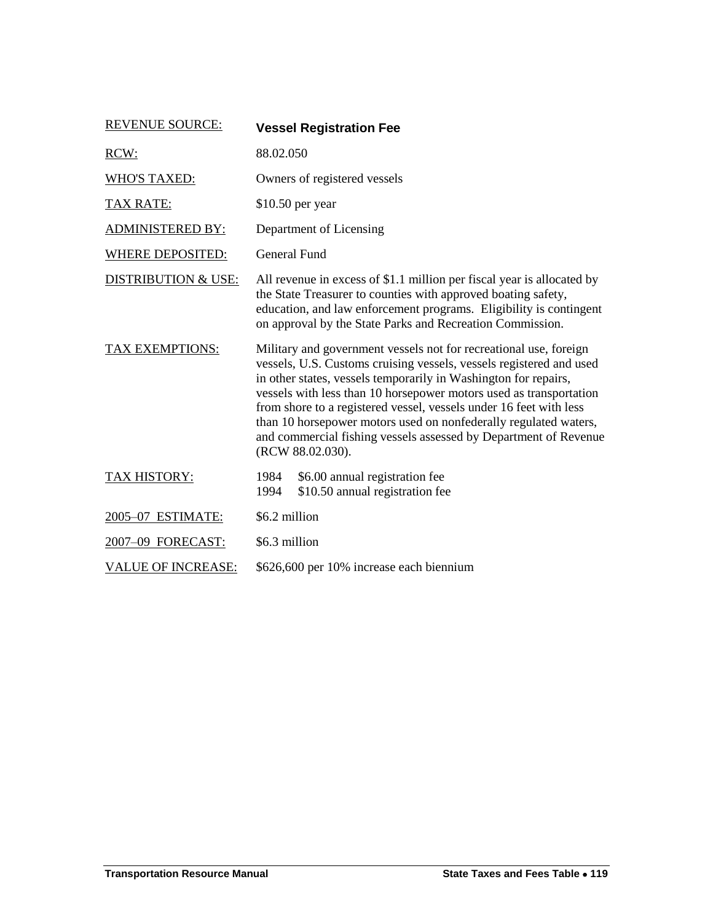| <b>REVENUE SOURCE:</b>         | <b>Vessel Registration Fee</b>                                                                                                                                                                                                                                                                                                                                                                                                                                                                                      |
|--------------------------------|---------------------------------------------------------------------------------------------------------------------------------------------------------------------------------------------------------------------------------------------------------------------------------------------------------------------------------------------------------------------------------------------------------------------------------------------------------------------------------------------------------------------|
| RCW:                           | 88.02.050                                                                                                                                                                                                                                                                                                                                                                                                                                                                                                           |
| <b>WHO'S TAXED:</b>            | Owners of registered vessels                                                                                                                                                                                                                                                                                                                                                                                                                                                                                        |
| <b>TAX RATE:</b>               | $$10.50$ per year                                                                                                                                                                                                                                                                                                                                                                                                                                                                                                   |
| <b>ADMINISTERED BY:</b>        | Department of Licensing                                                                                                                                                                                                                                                                                                                                                                                                                                                                                             |
| <b>WHERE DEPOSITED:</b>        | <b>General Fund</b>                                                                                                                                                                                                                                                                                                                                                                                                                                                                                                 |
| <b>DISTRIBUTION &amp; USE:</b> | All revenue in excess of \$1.1 million per fiscal year is allocated by<br>the State Treasurer to counties with approved boating safety,<br>education, and law enforcement programs. Eligibility is contingent<br>on approval by the State Parks and Recreation Commission.                                                                                                                                                                                                                                          |
| <b>TAX EXEMPTIONS:</b>         | Military and government vessels not for recreational use, foreign<br>vessels, U.S. Customs cruising vessels, vessels registered and used<br>in other states, vessels temporarily in Washington for repairs,<br>vessels with less than 10 horsepower motors used as transportation<br>from shore to a registered vessel, vessels under 16 feet with less<br>than 10 horsepower motors used on nonfederally regulated waters,<br>and commercial fishing vessels assessed by Department of Revenue<br>(RCW 88.02.030). |
| TAX HISTORY:                   | 1984<br>\$6.00 annual registration fee<br>\$10.50 annual registration fee<br>1994                                                                                                                                                                                                                                                                                                                                                                                                                                   |
| 2005-07 ESTIMATE:              | \$6.2 million                                                                                                                                                                                                                                                                                                                                                                                                                                                                                                       |
| 2007-09 FORECAST:              | \$6.3 million                                                                                                                                                                                                                                                                                                                                                                                                                                                                                                       |
| <b>VALUE OF INCREASE:</b>      | \$626,600 per 10% increase each biennium                                                                                                                                                                                                                                                                                                                                                                                                                                                                            |